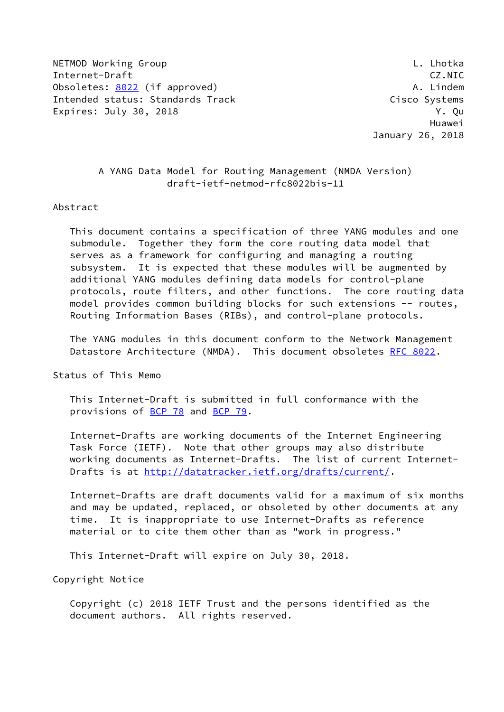NETMOD Working Group **Letter and Contact Contact Contact Contact Contact Contact Contact Contact Contact Contact** Internet-Draft CZ.NIC Obsoletes: [8022](https://datatracker.ietf.org/doc/pdf/rfc8022) (if approved) and the control of the A. Lindem Intended status: Standards Track Cisco Systems Expires: July 30, 2018 **Y. Quarter** 

 Huawei January 26, 2018

## A YANG Data Model for Routing Management (NMDA Version) draft-ietf-netmod-rfc8022bis-11

#### Abstract

 This document contains a specification of three YANG modules and one submodule. Together they form the core routing data model that serves as a framework for configuring and managing a routing subsystem. It is expected that these modules will be augmented by additional YANG modules defining data models for control-plane protocols, route filters, and other functions. The core routing data model provides common building blocks for such extensions -- routes, Routing Information Bases (RIBs), and control-plane protocols.

 The YANG modules in this document conform to the Network Management Datastore Architecture (NMDA). This document obsoletes [RFC 8022](https://datatracker.ietf.org/doc/pdf/rfc8022).

Status of This Memo

 This Internet-Draft is submitted in full conformance with the provisions of [BCP 78](https://datatracker.ietf.org/doc/pdf/bcp78) and [BCP 79](https://datatracker.ietf.org/doc/pdf/bcp79).

 Internet-Drafts are working documents of the Internet Engineering Task Force (IETF). Note that other groups may also distribute working documents as Internet-Drafts. The list of current Internet- Drafts is at<http://datatracker.ietf.org/drafts/current/>.

 Internet-Drafts are draft documents valid for a maximum of six months and may be updated, replaced, or obsoleted by other documents at any time. It is inappropriate to use Internet-Drafts as reference material or to cite them other than as "work in progress."

This Internet-Draft will expire on July 30, 2018.

Copyright Notice

 Copyright (c) 2018 IETF Trust and the persons identified as the document authors. All rights reserved.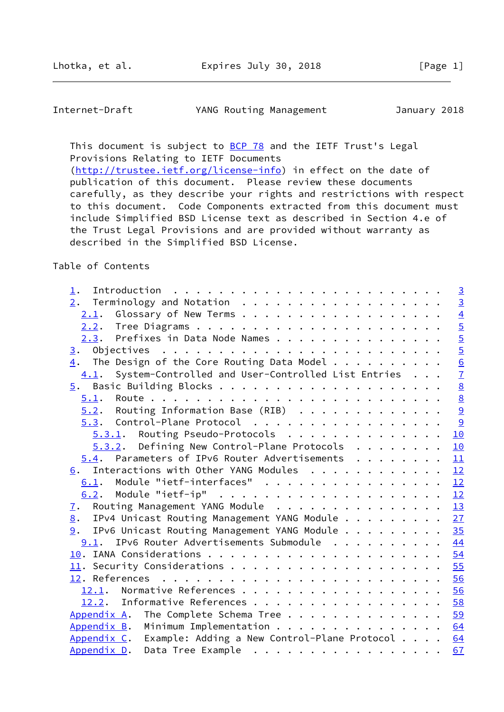Internet-Draft YANG Routing Management January 2018

This document is subject to **[BCP 78](https://datatracker.ietf.org/doc/pdf/bcp78)** and the IETF Trust's Legal Provisions Relating to IETF Documents [\(http://trustee.ietf.org/license-info](http://trustee.ietf.org/license-info)) in effect on the date of publication of this document. Please review these documents carefully, as they describe your rights and restrictions with respect to this document. Code Components extracted from this document must include Simplified BSD License text as described in Section 4.e of

 the Trust Legal Provisions and are provided without warranty as described in the Simplified BSD License.

# Table of Contents

| $1$ .                                                       |  | $\overline{3}$  |
|-------------------------------------------------------------|--|-----------------|
|                                                             |  | $\overline{3}$  |
|                                                             |  | $\overline{4}$  |
|                                                             |  | $\overline{5}$  |
| 2.3. Prefixes in Data Node Names                            |  | $\frac{5}{7}$   |
| 3.                                                          |  |                 |
| $\frac{4}{1}$ . The Design of the Core Routing Data Model   |  |                 |
| 4.1. System-Controlled and User-Controlled List Entries     |  |                 |
|                                                             |  | $\underline{8}$ |
|                                                             |  | $\overline{8}$  |
| $5.2$ . Routing Information Base (RIB) 9                    |  |                 |
| $\frac{5.3}{2}$ . Control-Plane Protocol 9                  |  |                 |
| $5.3.1$ . Routing Pseudo-Protocols                          |  | 10              |
| $5.3.2$ . Defining New Control-Plane Protocols              |  | 10              |
| 5.4. Parameters of IPv6 Router Advertisements               |  | 11              |
| 6. Interactions with Other YANG Modules                     |  | 12              |
| 6.1. Module "ietf-interfaces" 12                            |  |                 |
|                                                             |  |                 |
| Routing Management YANG Module 13<br><u>7</u> .             |  |                 |
| IPv4 Unicast Routing Management YANG Module 27<br>8.        |  |                 |
| 9. IPv6 Unicast Routing Management YANG Module 35           |  |                 |
| 9.1. IPv6 Router Advertisements Submodule                   |  | 44              |
|                                                             |  |                 |
|                                                             |  |                 |
|                                                             |  |                 |
| 12.1. Normative References 56                               |  |                 |
| 12.2. Informative References 58                             |  |                 |
| The Complete Schema Tree 59<br>Appendix A.                  |  |                 |
| Appendix B. Minimum Implementation                          |  | 64              |
| Appendix C. Example: Adding a New Control-Plane Protocol 64 |  |                 |
|                                                             |  | 67              |
| Appendix D. Data Tree Example                               |  |                 |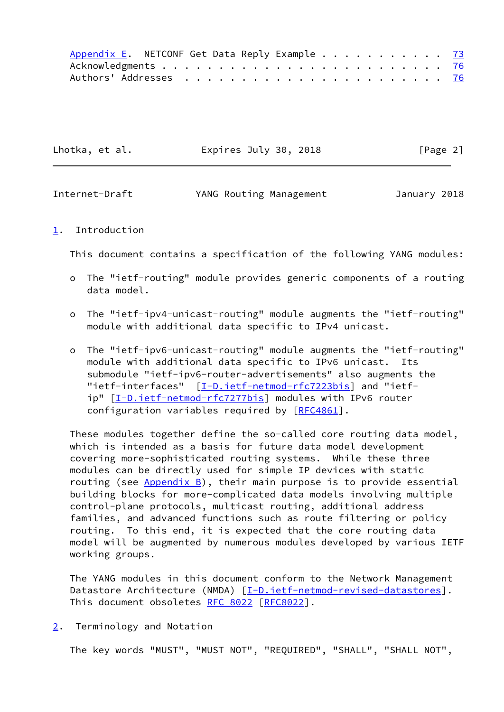|  | Appendix E. NETCONF Get Data Reply Example 73 |  |  |  |  |  |  |  |  |  |  |  |  |
|--|-----------------------------------------------|--|--|--|--|--|--|--|--|--|--|--|--|
|  |                                               |  |  |  |  |  |  |  |  |  |  |  |  |
|  |                                               |  |  |  |  |  |  |  |  |  |  |  |  |

| Lhotka, et al. | Expires July 30, 2018 | [Page 2] |
|----------------|-----------------------|----------|
|----------------|-----------------------|----------|

<span id="page-2-1"></span>

| Internet-Draft | YANG Routing Management | January 2018 |
|----------------|-------------------------|--------------|
|----------------|-------------------------|--------------|

### <span id="page-2-0"></span>[1](#page-2-0). Introduction

This document contains a specification of the following YANG modules:

- o The "ietf-routing" module provides generic components of a routing data model.
- o The "ietf-ipv4-unicast-routing" module augments the "ietf-routing" module with additional data specific to IPv4 unicast.
- o The "ietf-ipv6-unicast-routing" module augments the "ietf-routing" module with additional data specific to IPv6 unicast. Its submodule "ietf-ipv6-router-advertisements" also augments the "ietf-interfaces" [[I-D.ietf-netmod-rfc7223bis\]](#page-64-2) and "ietf-ip" [\[I-D.ietf-netmod-rfc7277bis](#page-64-3)] modules with IPv6 router configuration variables required by [\[RFC4861](https://datatracker.ietf.org/doc/pdf/rfc4861)].

 These modules together define the so-called core routing data model, which is intended as a basis for future data model development covering more-sophisticated routing systems. While these three modules can be directly used for simple IP devices with static routing (see  $Appendix B$ ), their main purpose is to provide essential building blocks for more-complicated data models involving multiple control-plane protocols, multicast routing, additional address families, and advanced functions such as route filtering or policy routing. To this end, it is expected that the core routing data model will be augmented by numerous modules developed by various IETF working groups.

 The YANG modules in this document conform to the Network Management Datastore Architecture (NMDA) [[I-D.ietf-netmod-revised-datastores\]](#page-64-4). This document obsoletes [RFC 8022](https://datatracker.ietf.org/doc/pdf/rfc8022) [\[RFC8022](https://datatracker.ietf.org/doc/pdf/rfc8022)].

<span id="page-2-2"></span>[2](#page-2-2). Terminology and Notation

The key words "MUST", "MUST NOT", "REQUIRED", "SHALL", "SHALL NOT",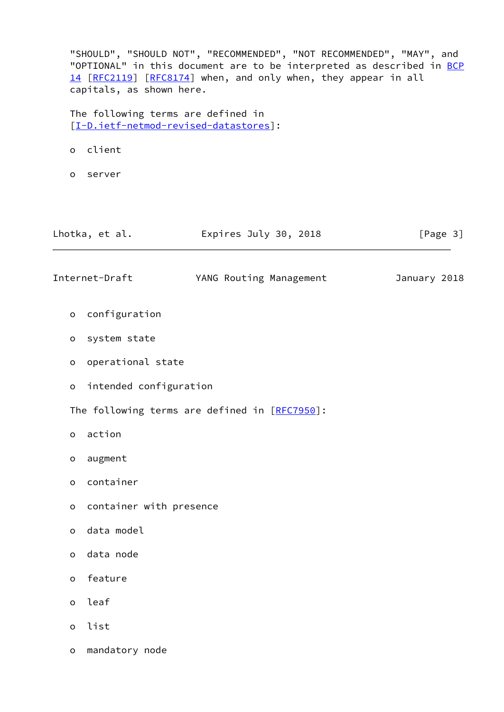<span id="page-3-0"></span> "SHOULD", "SHOULD NOT", "RECOMMENDED", "NOT RECOMMENDED", "MAY", and "OPTIONAL" in this document are to be interpreted as described in [BCP](https://datatracker.ietf.org/doc/pdf/bcp14) [14](https://datatracker.ietf.org/doc/pdf/bcp14) [[RFC2119\]](https://datatracker.ietf.org/doc/pdf/rfc2119) [\[RFC8174](https://datatracker.ietf.org/doc/pdf/rfc8174)] when, and only when, they appear in all capitals, as shown here. The following terms are defined in [\[I-D.ietf-netmod-revised-datastores\]](#page-64-4): o client o server Lhotka, et al. Expires July 30, 2018 [Page 3] Internet-Draft YANG Routing Management January 2018 o configuration o system state o operational state o intended configuration The following terms are defined in [[RFC7950\]](https://datatracker.ietf.org/doc/pdf/rfc7950): o action o augment o container o container with presence o data model o data node o feature o leaf o list o mandatory node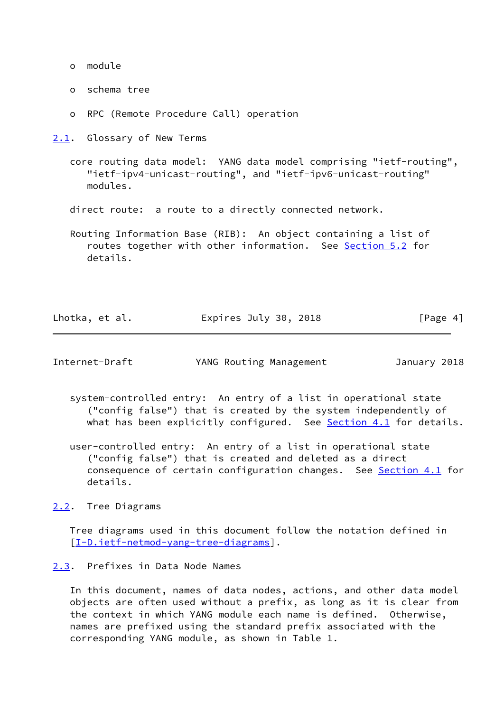- o module
- o schema tree
- o RPC (Remote Procedure Call) operation

<span id="page-4-0"></span>[2.1](#page-4-0). Glossary of New Terms

- core routing data model: YANG data model comprising "ietf-routing", "ietf-ipv4-unicast-routing", and "ietf-ipv6-unicast-routing" modules.
- direct route: a route to a directly connected network.
- Routing Information Base (RIB): An object containing a list of routes together with other information. See [Section 5.2](#page-9-0) for details.

| Lhotka, et al. | Expires July 30, 2018 | [Page 4] |
|----------------|-----------------------|----------|
|----------------|-----------------------|----------|

<span id="page-4-2"></span>Internet-Draft YANG Routing Management January 2018

- system-controlled entry: An entry of a list in operational state ("config false") that is created by the system independently of what has been explicitly configured. See  $Section 4.1$  for details.
- user-controlled entry: An entry of a list in operational state ("config false") that is created and deleted as a direct consequence of certain configuration changes. See [Section 4.1](#page-7-0) for details.
- <span id="page-4-1"></span>[2.2](#page-4-1). Tree Diagrams

 Tree diagrams used in this document follow the notation defined in [\[I-D.ietf-netmod-yang-tree-diagrams\]](#page-65-1).

<span id="page-4-3"></span>[2.3](#page-4-3). Prefixes in Data Node Names

 In this document, names of data nodes, actions, and other data model objects are often used without a prefix, as long as it is clear from the context in which YANG module each name is defined. Otherwise, names are prefixed using the standard prefix associated with the corresponding YANG module, as shown in Table 1.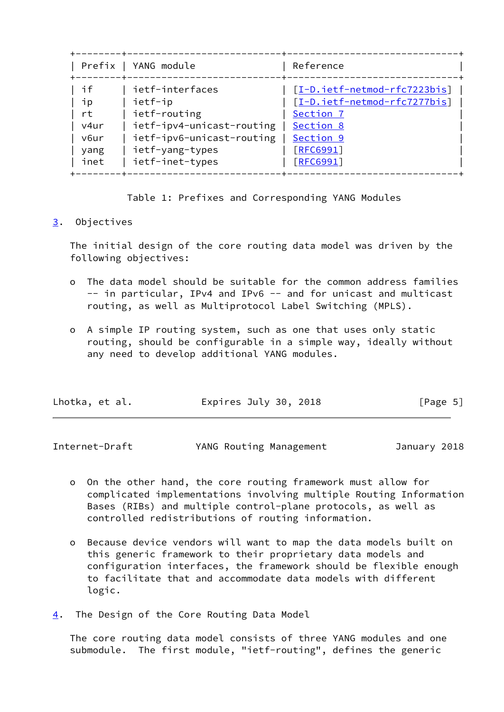|      | Prefix   YANG module      | Reference                    |
|------|---------------------------|------------------------------|
| if   | ietf-interfaces           | [I-D.ietf-netmod-rfc7223bis] |
| ПD   | ietf-ip                   | [I-D.ietf-netmod-rfc7277bis] |
| rt   | ietf-routing              | Section 7                    |
| v4ur | ietf-ipv4-unicast-routing | Section 8                    |
| v6ur | ietf-ipv6-unicast-routing | Section 9                    |
| yang | ietf-yang-types           | [REG991]                     |
| inet | ietf-inet-types           | [REG991]                     |

Table 1: Prefixes and Corresponding YANG Modules

## <span id="page-5-0"></span>[3](#page-5-0). Objectives

 The initial design of the core routing data model was driven by the following objectives:

- o The data model should be suitable for the common address families -- in particular, IPv4 and IPv6 -- and for unicast and multicast routing, as well as Multiprotocol Label Switching (MPLS).
- o A simple IP routing system, such as one that uses only static routing, should be configurable in a simple way, ideally without any need to develop additional YANG modules.

| Lhotka, et al. | Expires July 30, 2018 | [Page 5] |
|----------------|-----------------------|----------|
|----------------|-----------------------|----------|

<span id="page-5-2"></span>Internet-Draft YANG Routing Management January 2018

- o On the other hand, the core routing framework must allow for complicated implementations involving multiple Routing Information Bases (RIBs) and multiple control-plane protocols, as well as controlled redistributions of routing information.
- o Because device vendors will want to map the data models built on this generic framework to their proprietary data models and configuration interfaces, the framework should be flexible enough to facilitate that and accommodate data models with different logic.
- <span id="page-5-1"></span>[4](#page-5-1). The Design of the Core Routing Data Model

 The core routing data model consists of three YANG modules and one submodule. The first module, "ietf-routing", defines the generic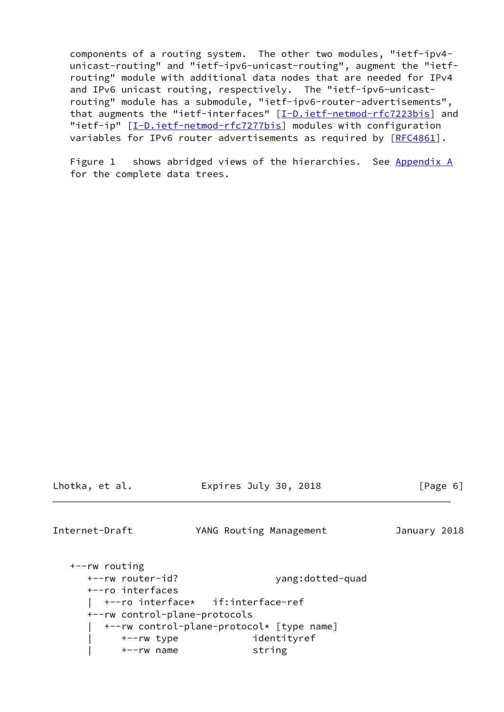components of a routing system. The other two modules, "ietf-ipv4 unicast-routing" and "ietf-ipv6-unicast-routing", augment the "ietf routing" module with additional data nodes that are needed for IPv4 and IPv6 unicast routing, respectively. The "ietf-ipv6-unicast routing" module has a submodule, "ietf-ipv6-router-advertisements", that augments the "ietf-interfaces" [\[I-D.ietf-netmod-rfc7223bis\]](#page-64-2) and "ietf-ip" [[I-D.ietf-netmod-rfc7277bis\]](#page-64-3) modules with configuration variables for IPv6 router advertisements as required by [\[RFC4861](https://datatracker.ietf.org/doc/pdf/rfc4861)].

Figure 1 shows abridged views of the hierarchies. See [Appendix A](#page-66-0) for the complete data trees.

Lhotka, et al. Expires July 30, 2018 [Page 6]

<span id="page-6-0"></span>Internet-Draft YANG Routing Management January 2018

```
 +--rw routing
   +--rw router-id? yang:dotted-quad
   +--ro interfaces
   | +--ro interface* if:interface-ref
   +--rw control-plane-protocols
      | +--rw control-plane-protocol* [type name]
        | +--rw type identityref
        | +--rw name string
```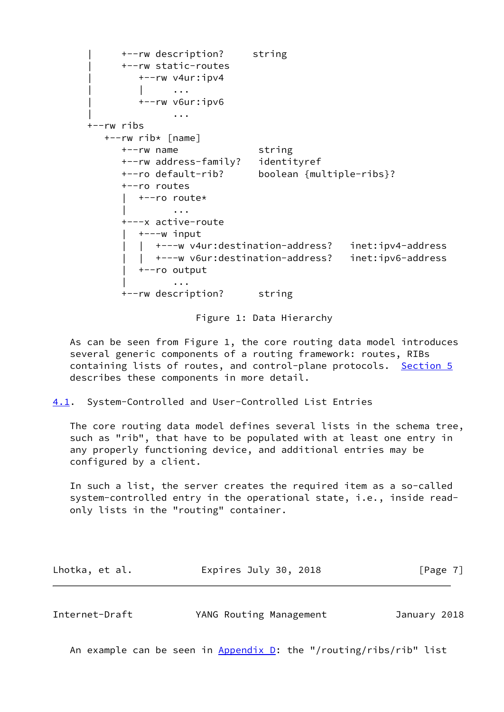```
 | +--rw description? string
           | +--rw static-routes
              | +--rw v4ur:ipv4
             \| ...
              | +--rw v6ur:ipv6
 | ...
      +--rw ribs
        +--rw rib* [name]
           +--rw name string
           +--rw address-family? identityref
           +--ro default-rib? boolean {multiple-ribs}?
           +--ro routes
             | +--ro route*
 | ...
           +---x active-route
             | +---w input
               | | +---w v4ur:destination-address? inet:ipv4-address
              | | +---w v6ur:destination-address? inet:ipv6-address
              | +--ro output
 | ...
           +--rw description? string
```
#### Figure 1: Data Hierarchy

 As can be seen from Figure 1, the core routing data model introduces several generic components of a routing framework: routes, RIBs containing lists of routes, and control-plane protocols. [Section 5](#page-8-0) describes these components in more detail.

<span id="page-7-0"></span>[4.1](#page-7-0). System-Controlled and User-Controlled List Entries

 The core routing data model defines several lists in the schema tree, such as "rib", that have to be populated with at least one entry in any properly functioning device, and additional entries may be configured by a client.

 In such a list, the server creates the required item as a so-called system-controlled entry in the operational state, i.e., inside read only lists in the "routing" container.

| Lhotka, et al. | Expires July 30, 2018 | [Page 7] |
|----------------|-----------------------|----------|
|----------------|-----------------------|----------|

<span id="page-7-1"></span>

| Internet-Draft | YANG Routing Management | January 2018 |
|----------------|-------------------------|--------------|
|                |                         |              |

An example can be seen in  $Appendix D$ : the "/routing/ribs/rib" list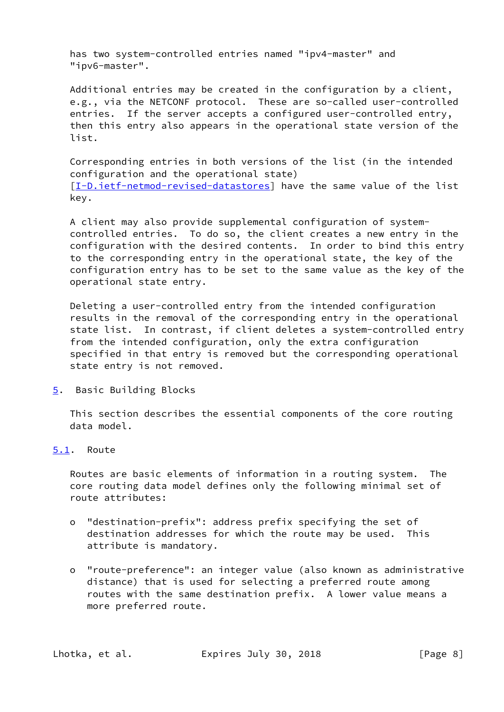has two system-controlled entries named "ipv4-master" and "ipv6-master".

 Additional entries may be created in the configuration by a client, e.g., via the NETCONF protocol. These are so-called user-controlled entries. If the server accepts a configured user-controlled entry, then this entry also appears in the operational state version of the list.

 Corresponding entries in both versions of the list (in the intended configuration and the operational state) [\[I-D.ietf-netmod-revised-datastores\]](#page-64-4) have the same value of the list key.

 A client may also provide supplemental configuration of system controlled entries. To do so, the client creates a new entry in the configuration with the desired contents. In order to bind this entry to the corresponding entry in the operational state, the key of the configuration entry has to be set to the same value as the key of the operational state entry.

 Deleting a user-controlled entry from the intended configuration results in the removal of the corresponding entry in the operational state list. In contrast, if client deletes a system-controlled entry from the intended configuration, only the extra configuration specified in that entry is removed but the corresponding operational state entry is not removed.

<span id="page-8-0"></span>[5](#page-8-0). Basic Building Blocks

 This section describes the essential components of the core routing data model.

<span id="page-8-1"></span>[5.1](#page-8-1). Route

 Routes are basic elements of information in a routing system. The core routing data model defines only the following minimal set of route attributes:

- o "destination-prefix": address prefix specifying the set of destination addresses for which the route may be used. This attribute is mandatory.
- o "route-preference": an integer value (also known as administrative distance) that is used for selecting a preferred route among routes with the same destination prefix. A lower value means a more preferred route.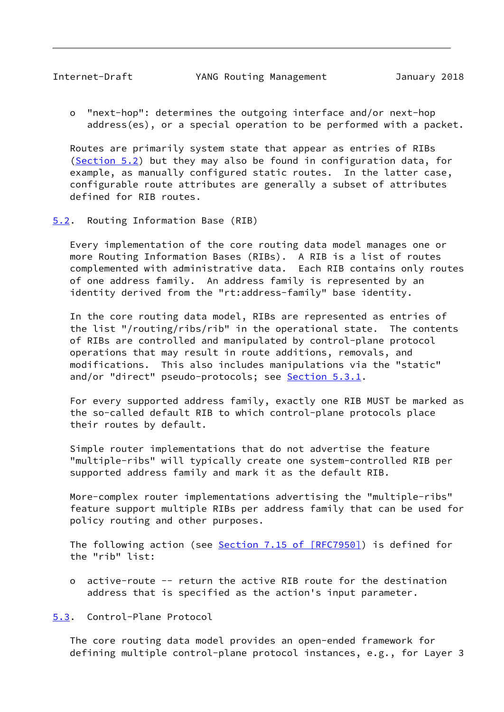<span id="page-9-1"></span> o "next-hop": determines the outgoing interface and/or next-hop address(es), or a special operation to be performed with a packet.

 Routes are primarily system state that appear as entries of RIBs [\(Section 5.2](#page-9-0)) but they may also be found in configuration data, for example, as manually configured static routes. In the latter case, configurable route attributes are generally a subset of attributes defined for RIB routes.

<span id="page-9-0"></span>[5.2](#page-9-0). Routing Information Base (RIB)

 Every implementation of the core routing data model manages one or more Routing Information Bases (RIBs). A RIB is a list of routes complemented with administrative data. Each RIB contains only routes of one address family. An address family is represented by an identity derived from the "rt:address-family" base identity.

 In the core routing data model, RIBs are represented as entries of the list "/routing/ribs/rib" in the operational state. The contents of RIBs are controlled and manipulated by control-plane protocol operations that may result in route additions, removals, and modifications. This also includes manipulations via the "static" and/or "direct" pseudo-protocols; see [Section 5.3.1.](#page-10-0)

 For every supported address family, exactly one RIB MUST be marked as the so-called default RIB to which control-plane protocols place their routes by default.

 Simple router implementations that do not advertise the feature "multiple-ribs" will typically create one system-controlled RIB per supported address family and mark it as the default RIB.

 More-complex router implementations advertising the "multiple-ribs" feature support multiple RIBs per address family that can be used for policy routing and other purposes.

The following action (see Section [7.15 of \[RFC7950\]\)](https://datatracker.ietf.org/doc/pdf/rfc7950#section-7.15) is defined for the "rib" list:

 o active-route -- return the active RIB route for the destination address that is specified as the action's input parameter.

<span id="page-9-2"></span>[5.3](#page-9-2). Control-Plane Protocol

 The core routing data model provides an open-ended framework for defining multiple control-plane protocol instances, e.g., for Layer 3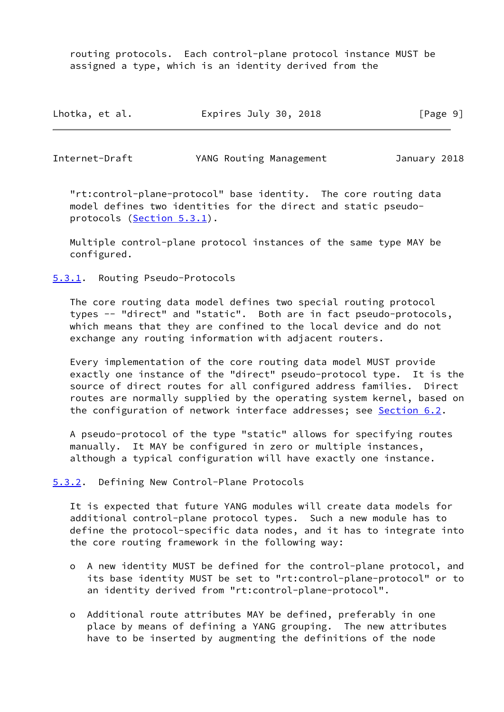routing protocols. Each control-plane protocol instance MUST be assigned a type, which is an identity derived from the

| Lhotka, et al. | Expires July 30, 2018 | [Page 9] |
|----------------|-----------------------|----------|
|----------------|-----------------------|----------|

<span id="page-10-1"></span>Internet-Draft YANG Routing Management January 2018

 "rt:control-plane-protocol" base identity. The core routing data model defines two identities for the direct and static pseudo protocols ([Section 5.3.1\)](#page-10-0).

 Multiple control-plane protocol instances of the same type MAY be configured.

<span id="page-10-0"></span>[5.3.1](#page-10-0). Routing Pseudo-Protocols

 The core routing data model defines two special routing protocol types -- "direct" and "static". Both are in fact pseudo-protocols, which means that they are confined to the local device and do not exchange any routing information with adjacent routers.

 Every implementation of the core routing data model MUST provide exactly one instance of the "direct" pseudo-protocol type. It is the source of direct routes for all configured address families. Direct routes are normally supplied by the operating system kernel, based on the configuration of network interface addresses; see [Section 6.2](#page-13-0).

 A pseudo-protocol of the type "static" allows for specifying routes manually. It MAY be configured in zero or multiple instances, although a typical configuration will have exactly one instance.

<span id="page-10-2"></span>[5.3.2](#page-10-2). Defining New Control-Plane Protocols

 It is expected that future YANG modules will create data models for additional control-plane protocol types. Such a new module has to define the protocol-specific data nodes, and it has to integrate into the core routing framework in the following way:

- o A new identity MUST be defined for the control-plane protocol, and its base identity MUST be set to "rt:control-plane-protocol" or to an identity derived from "rt:control-plane-protocol".
- o Additional route attributes MAY be defined, preferably in one place by means of defining a YANG grouping. The new attributes have to be inserted by augmenting the definitions of the node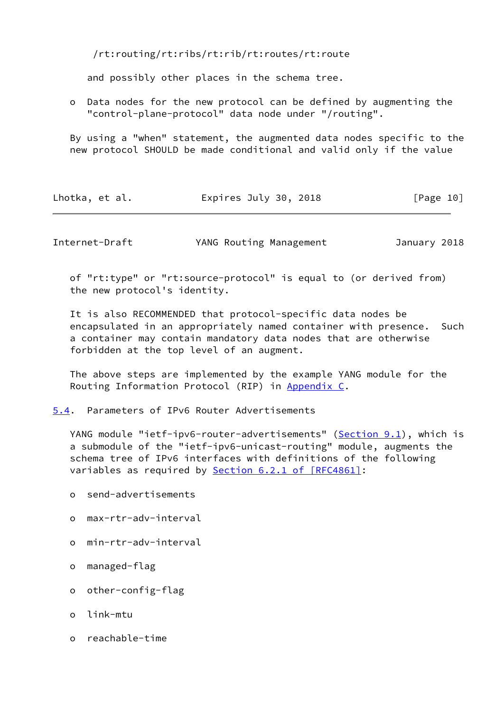/rt:routing/rt:ribs/rt:rib/rt:routes/rt:route

and possibly other places in the schema tree.

 o Data nodes for the new protocol can be defined by augmenting the "control-plane-protocol" data node under "/routing".

 By using a "when" statement, the augmented data nodes specific to the new protocol SHOULD be made conditional and valid only if the value

| Lhotka, et al. | Expires July 30, 2018 | [Page 10] |
|----------------|-----------------------|-----------|
|----------------|-----------------------|-----------|

<span id="page-11-1"></span>Internet-Draft YANG Routing Management January 2018

 of "rt:type" or "rt:source-protocol" is equal to (or derived from) the new protocol's identity.

 It is also RECOMMENDED that protocol-specific data nodes be encapsulated in an appropriately named container with presence. Such a container may contain mandatory data nodes that are otherwise forbidden at the top level of an augment.

 The above steps are implemented by the example YANG module for the Routing Information Protocol (RIP) in [Appendix C.](#page-72-1)

<span id="page-11-0"></span>[5.4](#page-11-0). Parameters of IPv6 Router Advertisements

YANG module "ietf-ipv6-router-advertisements" ([Section 9.1](#page-48-0)), which is a submodule of the "ietf-ipv6-unicast-routing" module, augments the schema tree of IPv6 interfaces with definitions of the following variables as required by Section [6.2.1 of \[RFC4861\]:](https://datatracker.ietf.org/doc/pdf/rfc4861#section-6.2.1)

- o send-advertisements
- o max-rtr-adv-interval
- o min-rtr-adv-interval
- o managed-flag
- o other-config-flag
- o link-mtu
- o reachable-time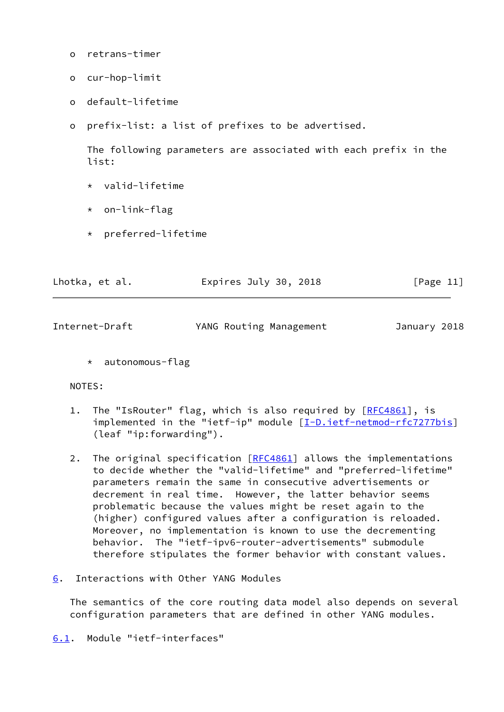- o retrans-timer
- o cur-hop-limit
- o default-lifetime
- o prefix-list: a list of prefixes to be advertised.

 The following parameters are associated with each prefix in the list:

- \* valid-lifetime
- \* on-link-flag
- \* preferred-lifetime

| Lhotka, et al. | Expires July 30, 2018 | [Page 11] |
|----------------|-----------------------|-----------|
|                |                       |           |

<span id="page-12-1"></span>

| Internet-Draft | YANG Routing Management | January 2018 |  |
|----------------|-------------------------|--------------|--|
|                |                         |              |  |

\* autonomous-flag

# NOTES:

- 1. The "IsRouter" flag, which is also required by [[RFC4861\]](https://datatracker.ietf.org/doc/pdf/rfc4861), is implemented in the "ietf-ip" module [\[I-D.ietf-netmod-rfc7277bis\]](#page-64-3) (leaf "ip:forwarding").
- 2. The original specification [\[RFC4861](https://datatracker.ietf.org/doc/pdf/rfc4861)] allows the implementations to decide whether the "valid-lifetime" and "preferred-lifetime" parameters remain the same in consecutive advertisements or decrement in real time. However, the latter behavior seems problematic because the values might be reset again to the (higher) configured values after a configuration is reloaded. Moreover, no implementation is known to use the decrementing behavior. The "ietf-ipv6-router-advertisements" submodule therefore stipulates the former behavior with constant values.
- <span id="page-12-0"></span>[6](#page-12-0). Interactions with Other YANG Modules

 The semantics of the core routing data model also depends on several configuration parameters that are defined in other YANG modules.

<span id="page-12-2"></span>[6.1](#page-12-2). Module "ietf-interfaces"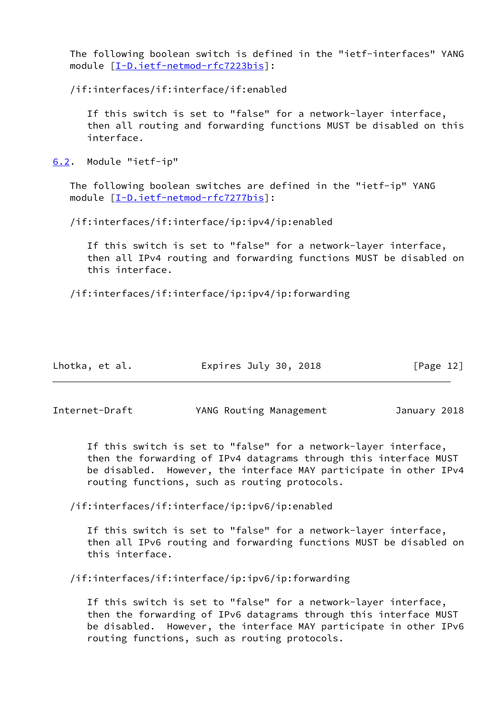The following boolean switch is defined in the "ietf-interfaces" YANG module [\[I-D.ietf-netmod-rfc7223bis](#page-64-2)]:

/if:interfaces/if:interface/if:enabled

 If this switch is set to "false" for a network-layer interface, then all routing and forwarding functions MUST be disabled on this interface.

<span id="page-13-0"></span>[6.2](#page-13-0). Module "ietf-ip"

 The following boolean switches are defined in the "ietf-ip" YANG module [\[I-D.ietf-netmod-rfc7277bis](#page-64-3)]:

/if:interfaces/if:interface/ip:ipv4/ip:enabled

 If this switch is set to "false" for a network-layer interface, then all IPv4 routing and forwarding functions MUST be disabled on this interface.

/if:interfaces/if:interface/ip:ipv4/ip:forwarding

| Lhotka, et al. | Expires July 30, 2018 | [Page 12] |
|----------------|-----------------------|-----------|
|----------------|-----------------------|-----------|

<span id="page-13-1"></span>Internet-Draft YANG Routing Management January 2018

 If this switch is set to "false" for a network-layer interface, then the forwarding of IPv4 datagrams through this interface MUST be disabled. However, the interface MAY participate in other IPv4 routing functions, such as routing protocols.

/if:interfaces/if:interface/ip:ipv6/ip:enabled

 If this switch is set to "false" for a network-layer interface, then all IPv6 routing and forwarding functions MUST be disabled on this interface.

/if:interfaces/if:interface/ip:ipv6/ip:forwarding

 If this switch is set to "false" for a network-layer interface, then the forwarding of IPv6 datagrams through this interface MUST be disabled. However, the interface MAY participate in other IPv6 routing functions, such as routing protocols.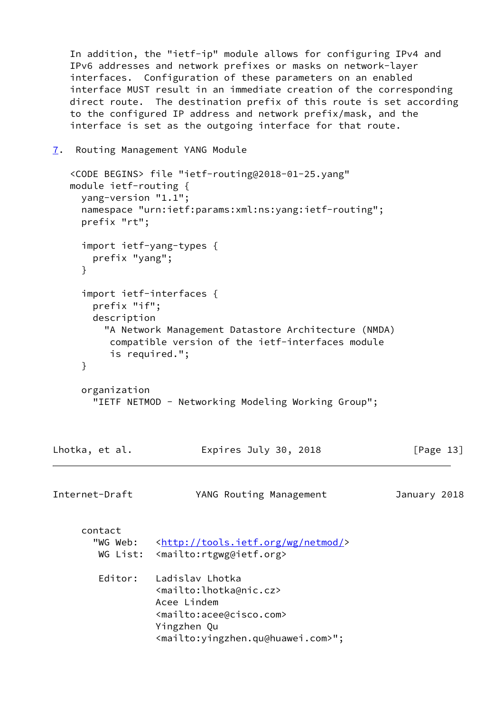In addition, the "ietf-ip" module allows for configuring IPv4 and IPv6 addresses and network prefixes or masks on network-layer interfaces. Configuration of these parameters on an enabled interface MUST result in an immediate creation of the corresponding direct route. The destination prefix of this route is set according to the configured IP address and network prefix/mask, and the interface is set as the outgoing interface for that route.

```
7. Routing Management YANG Module
```

```
 <CODE BEGINS> file "ietf-routing@2018-01-25.yang"
   module ietf-routing {
     yang-version "1.1";
     namespace "urn:ietf:params:xml:ns:yang:ietf-routing";
     prefix "rt";
     import ietf-yang-types {
       prefix "yang";
     }
     import ietf-interfaces {
       prefix "if";
       description
         "A Network Management Datastore Architecture (NMDA)
          compatible version of the ietf-interfaces module
          is required.";
     }
     organization
       "IETF NETMOD - Networking Modeling Working Group";
Lhotka, et al. Expires July 30, 2018 [Page 13]
Internet-Draft YANG Routing Management January 2018
     contact
      <http://tools.ietf.org/wg/netmod/>
        WG List: <mailto:rtgwg@ietf.org>
        Editor: Ladislav Lhotka
                  <mailto:lhotka@nic.cz>
                  Acee Lindem
                  <mailto:acee@cisco.com>
                  Yingzhen Qu
                  <mailto:yingzhen.qu@huawei.com>";
```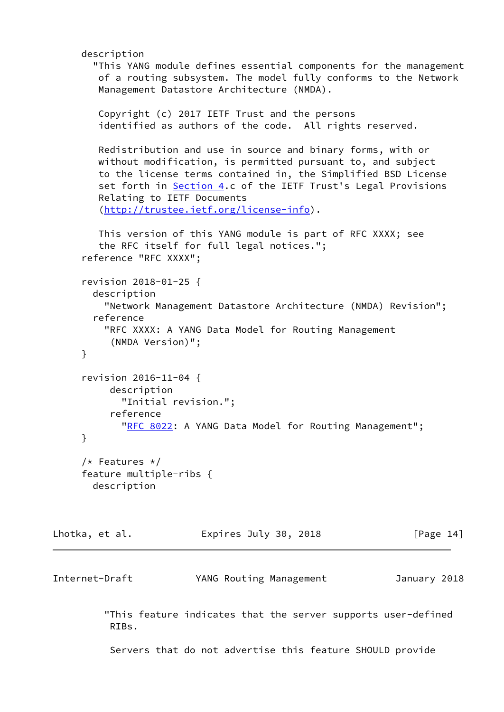```
 description
        "This YANG module defines essential components for the management
        of a routing subsystem. The model fully conforms to the Network
        Management Datastore Architecture (NMDA).
        Copyright (c) 2017 IETF Trust and the persons
         identified as authors of the code. All rights reserved.
        Redistribution and use in source and binary forms, with or
        without modification, is permitted pursuant to, and subject
        to the license terms contained in, the Simplified BSD License
        Section 4.c of the IETF Trust's Legal Provisions
        Relating to IETF Documents
         (http://trustee.ietf.org/license-info).
        This version of this YANG module is part of RFC XXXX; see
         the RFC itself for full legal notices.";
      reference "RFC XXXX";
      revision 2018-01-25 {
       description
          "Network Management Datastore Architecture (NMDA) Revision";
        reference
         "RFC XXXX: A YANG Data Model for Routing Management
           (NMDA Version)";
     }
      revision 2016-11-04 {
          description
            "Initial revision.";
          reference
           "RFC 8022: A YANG Data Model for Routing Management";
     }
     /* Features */
     feature multiple-ribs {
       description
Lhotka, et al. Expires July 30, 2018 [Page 14]
Internet-Draft YANG Routing Management January 2018
          "This feature indicates that the server supports user-defined
          RIBs.
          Servers that do not advertise this feature SHOULD provide
```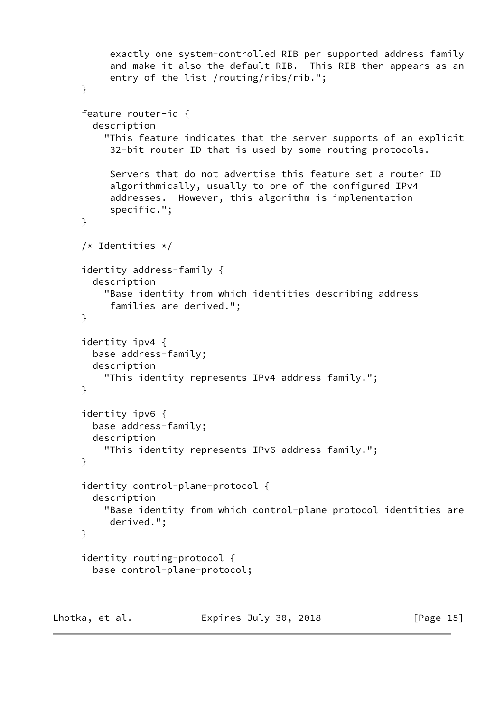```
 exactly one system-controlled RIB per supported address family
           and make it also the default RIB. This RIB then appears as an
           entry of the list /routing/ribs/rib.";
      }
      feature router-id {
        description
          "This feature indicates that the server supports of an explicit
           32-bit router ID that is used by some routing protocols.
           Servers that do not advertise this feature set a router ID
           algorithmically, usually to one of the configured IPv4
           addresses. However, this algorithm is implementation
           specific.";
      }
      /* Identities */
      identity address-family {
        description
          "Base identity from which identities describing address
           families are derived.";
      }
      identity ipv4 {
        base address-family;
        description
          "This identity represents IPv4 address family.";
      }
      identity ipv6 {
        base address-family;
        description
          "This identity represents IPv6 address family.";
      }
      identity control-plane-protocol {
        description
          "Base identity from which control-plane protocol identities are
           derived.";
      }
      identity routing-protocol {
        base control-plane-protocol;
Lhotka, et al. Expires July 30, 2018 [Page 15]
```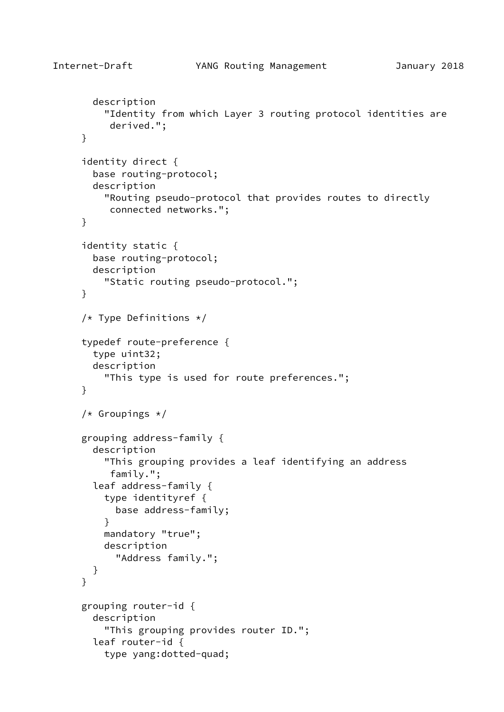```
 description
     "Identity from which Layer 3 routing protocol identities are
      derived.";
 }
 identity direct {
   base routing-protocol;
   description
     "Routing pseudo-protocol that provides routes to directly
      connected networks.";
 }
 identity static {
   base routing-protocol;
   description
     "Static routing pseudo-protocol.";
 }
 /* Type Definitions */
 typedef route-preference {
   type uint32;
   description
     "This type is used for route preferences.";
 }
 /* Groupings */
 grouping address-family {
   description
     "This grouping provides a leaf identifying an address
      family.";
   leaf address-family {
     type identityref {
       base address-family;
     }
     mandatory "true";
     description
       "Address family.";
   }
 }
 grouping router-id {
   description
     "This grouping provides router ID.";
   leaf router-id {
     type yang:dotted-quad;
```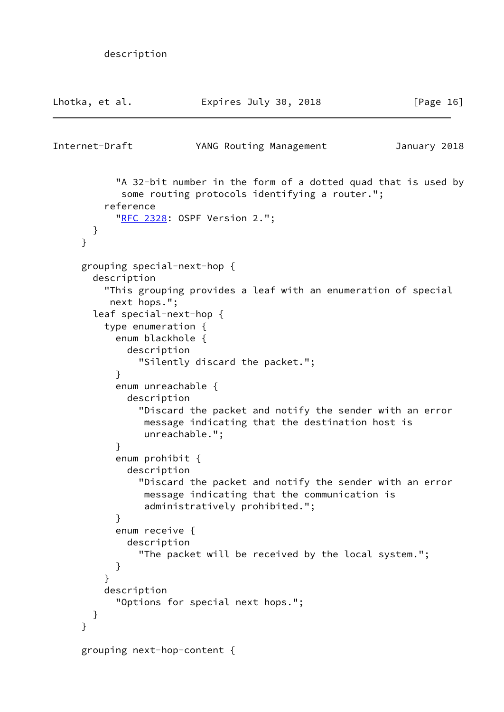```
 description
```

```
Lhotka, et al.               Expires July 30, 2018               [Page 16]
Internet-Draft YANG Routing Management January 2018
            "A 32-bit number in the form of a dotted quad that is used by
            some routing protocols identifying a router.";
          reference
           "RFC 2328: OSPF Version 2.";
       }
      }
     grouping special-next-hop {
       description
          "This grouping provides a leaf with an enumeration of special
          next hops.";
       leaf special-next-hop {
         type enumeration {
            enum blackhole {
             description
                "Silently discard the packet.";
 }
            enum unreachable {
             description
                "Discard the packet and notify the sender with an error
                message indicating that the destination host is
                unreachable.";
 }
            enum prohibit {
             description
                "Discard the packet and notify the sender with an error
                message indicating that the communication is
                administratively prohibited.";
 }
           enum receive {
             description
                "The packet will be received by the local system.";
 }
          }
         description
            "Options for special next hops.";
       }
     }
     grouping next-hop-content {
```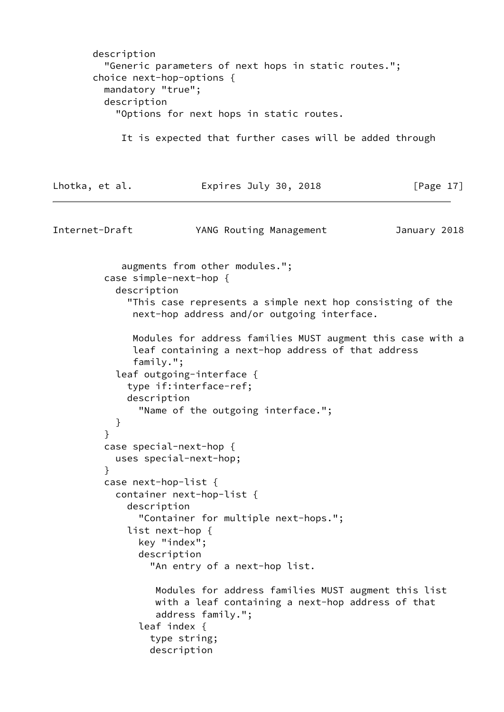```
 description
          "Generic parameters of next hops in static routes.";
       choice next-hop-options {
          mandatory "true";
         description
           "Options for next hops in static routes.
            It is expected that further cases will be added through
Lhotka, et al. Expires July 30, 2018 [Page 17]
Internet-Draft YANG Routing Management January 2018
            augments from other modules.";
         case simple-next-hop {
           description
             "This case represents a simple next hop consisting of the
              next-hop address and/or outgoing interface.
              Modules for address families MUST augment this case with a
              leaf containing a next-hop address of that address
              family.";
           leaf outgoing-interface {
             type if:interface-ref;
             description
               "Name of the outgoing interface.";
 }
 }
         case special-next-hop {
           uses special-next-hop;
 }
         case next-hop-list {
           container next-hop-list {
             description
               "Container for multiple next-hops.";
             list next-hop {
               key "index";
               description
                 "An entry of a next-hop list.
                  Modules for address families MUST augment this list
                  with a leaf containing a next-hop address of that
                  address family.";
               leaf index {
                 type string;
                 description
```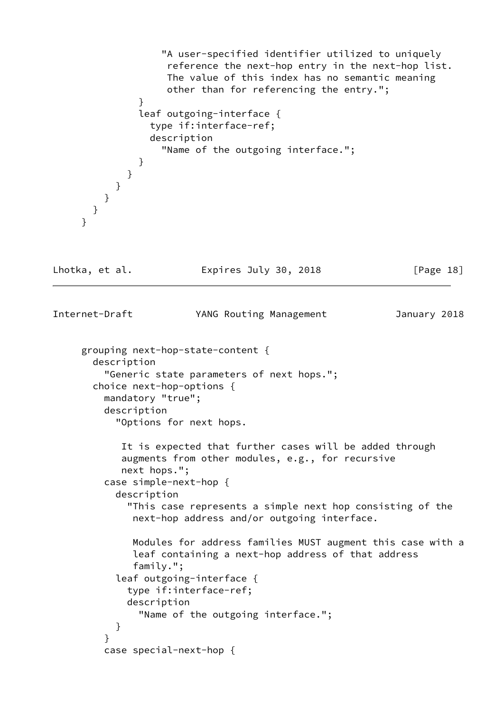```
 "A user-specified identifier utilized to uniquely
                    reference the next-hop entry in the next-hop list.
                    The value of this index has no semantic meaning
                    other than for referencing the entry.";
 }
               leaf outgoing-interface {
                 type if:interface-ref;
                 description
                   "Name of the outgoing interface.";
 }
             }
           }
        }
       }
     }
Lhotka, et al. Expires July 30, 2018 [Page 18]
Internet-Draft YANG Routing Management January 2018
     grouping next-hop-state-content {
       description
         "Generic state parameters of next hops.";
       choice next-hop-options {
         mandatory "true";
         description
           "Options for next hops.
            It is expected that further cases will be added through
            augments from other modules, e.g., for recursive
            next hops.";
         case simple-next-hop {
           description
             "This case represents a simple next hop consisting of the
              next-hop address and/or outgoing interface.
              Modules for address families MUST augment this case with a
              leaf containing a next-hop address of that address
              family.";
           leaf outgoing-interface {
             type if:interface-ref;
             description
               "Name of the outgoing interface.";
 }
 }
         case special-next-hop {
```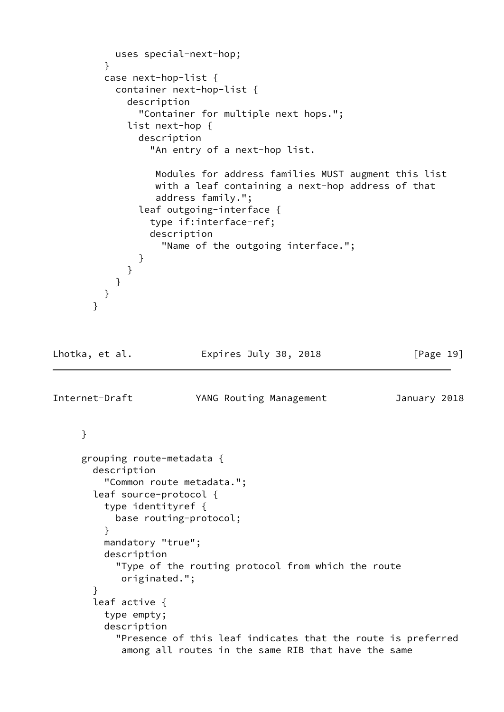```
 uses special-next-hop;
         }
         case next-hop-list {
           container next-hop-list {
             description
               "Container for multiple next hops.";
             list next-hop {
               description
                 "An entry of a next-hop list.
                  Modules for address families MUST augment this list
                  with a leaf containing a next-hop address of that
                  address family.";
               leaf outgoing-interface {
                 type if:interface-ref;
                 description
                   "Name of the outgoing interface.";
 }
 }
           }
         }
       }
Lhotka, et al. Expires July 30, 2018 [Page 19]
Internet-Draft YANG Routing Management January 2018
     }
     grouping route-metadata {
       description
         "Common route metadata.";
       leaf source-protocol {
         type identityref {
           base routing-protocol;
 }
         mandatory "true";
         description
           "Type of the routing protocol from which the route
            originated.";
       }
       leaf active {
         type empty;
         description
           "Presence of this leaf indicates that the route is preferred
            among all routes in the same RIB that have the same
```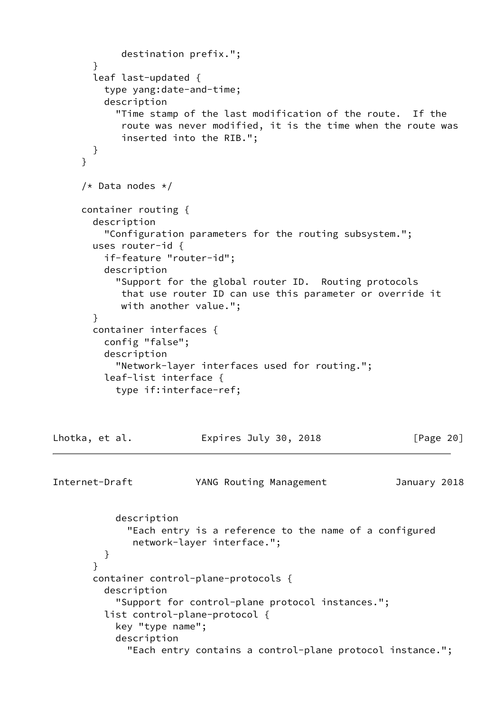```
 destination prefix.";
        }
        leaf last-updated {
          type yang:date-and-time;
          description
            "Time stamp of the last modification of the route. If the
             route was never modified, it is the time when the route was
             inserted into the RIB.";
        }
      }
      /* Data nodes */
      container routing {
        description
          "Configuration parameters for the routing subsystem.";
        uses router-id {
          if-feature "router-id";
          description
            "Support for the global router ID. Routing protocols
             that use router ID can use this parameter or override it
             with another value.";
        }
        container interfaces {
          config "false";
          description
            "Network-layer interfaces used for routing.";
          leaf-list interface {
            type if:interface-ref;
Lhotka, et al.             Expires July 30, 2018               [Page 20]
Internet-Draft YANG Routing Management January 2018
            description
              "Each entry is a reference to the name of a configured
               network-layer interface.";
          }
        }
        container control-plane-protocols {
          description
            "Support for control-plane protocol instances.";
          list control-plane-protocol {
            key "type name";
            description
              "Each entry contains a control-plane protocol instance.";
```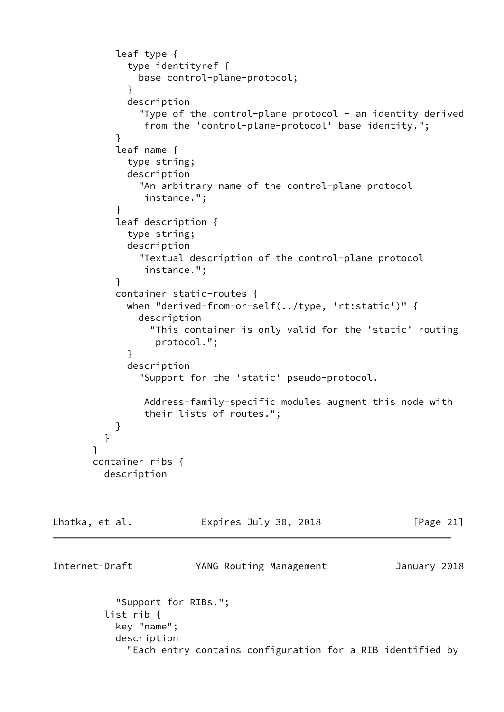```
 leaf type {
             type identityref {
               base control-plane-protocol;
 }
             description
              "Type of the control-plane protocol - an identity derived
                from the 'control-plane-protocol' base identity.";
 }
           leaf name {
             type string;
             description
               "An arbitrary name of the control-plane protocol
                instance.";
 }
           leaf description {
             type string;
             description
               "Textual description of the control-plane protocol
                instance.";
 }
           container static-routes {
             when "derived-from-or-self(../type, 'rt:static')" {
               description
                 "This container is only valid for the 'static' routing
                  protocol.";
 }
             description
               "Support for the 'static' pseudo-protocol.
                Address-family-specific modules augment this node with
                their lists of routes.";
 }
         }
       }
       container ribs {
         description
Lhotka, et al.               Expires July 30, 2018               [Page 21]
Internet-Draft YANG Routing Management January 2018
           "Support for RIBs.";
         list rib {
           key "name";
           description
             "Each entry contains configuration for a RIB identified by
```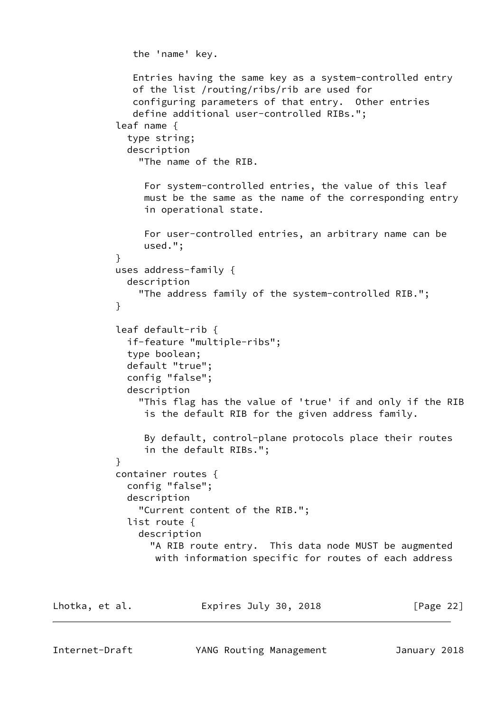```
 the 'name' key.
               Entries having the same key as a system-controlled entry
               of the list /routing/ribs/rib are used for
               configuring parameters of that entry. Other entries
               define additional user-controlled RIBs.";
            leaf name {
              type string;
             description
                "The name of the RIB.
                 For system-controlled entries, the value of this leaf
                 must be the same as the name of the corresponding entry
                 in operational state.
                 For user-controlled entries, an arbitrary name can be
                 used.";
 }
           uses address-family {
             description
                "The address family of the system-controlled RIB.";
 }
            leaf default-rib {
              if-feature "multiple-ribs";
              type boolean;
              default "true";
              config "false";
              description
                "This flag has the value of 'true' if and only if the RIB
                 is the default RIB for the given address family.
                 By default, control-plane protocols place their routes
                 in the default RIBs.";
 }
            container routes {
              config "false";
              description
                "Current content of the RIB.";
              list route {
                description
                  "A RIB route entry. This data node MUST be augmented
                   with information specific for routes of each address
```

| Lhotka, et al. | Expires July 30, 2018 | [Page 22] |
|----------------|-----------------------|-----------|
|                |                       |           |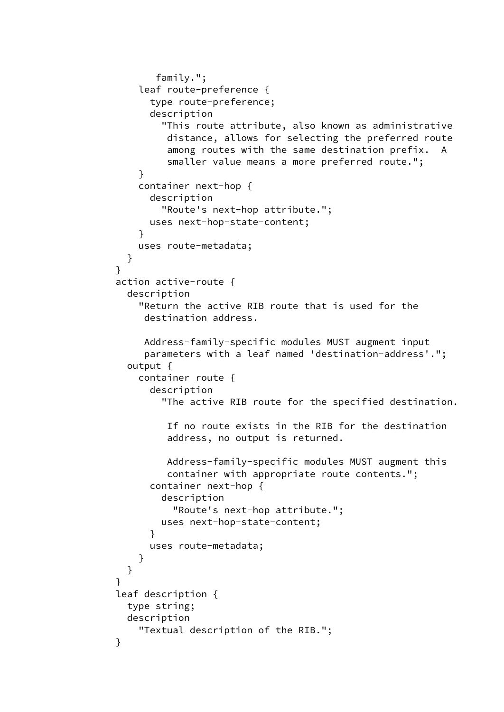```
 family.";
               leaf route-preference {
                 type route-preference;
                 description
                   "This route attribute, also known as administrative
                    distance, allows for selecting the preferred route
                    among routes with the same destination prefix. A
                    smaller value means a more preferred route.";
 }
               container next-hop {
                 description
                   "Route's next-hop attribute.";
                 uses next-hop-state-content;
 }
               uses route-metadata;
 }
 }
           action active-route {
             description
               "Return the active RIB route that is used for the
                destination address.
                Address-family-specific modules MUST augment input
                parameters with a leaf named 'destination-address'.";
             output {
               container route {
                 description
                   "The active RIB route for the specified destination.
                    If no route exists in the RIB for the destination
                    address, no output is returned.
                    Address-family-specific modules MUST augment this
                    container with appropriate route contents.";
                 container next-hop {
                   description
                     "Route's next-hop attribute.";
                   uses next-hop-state-content;
 }
                 uses route-metadata;
 }
 }
 }
           leaf description {
             type string;
             description
               "Textual description of the RIB.";
 }
```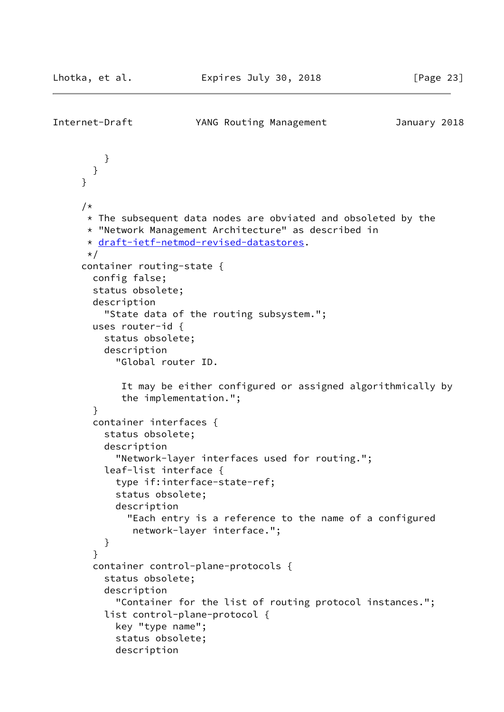```
Internet-Draft YANG Routing Management January 2018
          }
        }
      }
     /*
      * The subsequent data nodes are obviated and obsoleted by the
       * "Network Management Architecture" as described in
       * draft-ietf-netmod-revised-datastores.
      \star/ container routing-state {
        config false;
        status obsolete;
        description
          "State data of the routing subsystem.";
        uses router-id {
          status obsolete;
          description
            "Global router ID.
             It may be either configured or assigned algorithmically by
             the implementation.";
        }
        container interfaces {
          status obsolete;
          description
            "Network-layer interfaces used for routing.";
          leaf-list interface {
            type if:interface-state-ref;
            status obsolete;
            description
              "Each entry is a reference to the name of a configured
               network-layer interface.";
          }
        }
        container control-plane-protocols {
          status obsolete;
          description
            "Container for the list of routing protocol instances.";
          list control-plane-protocol {
            key "type name";
            status obsolete;
            description
```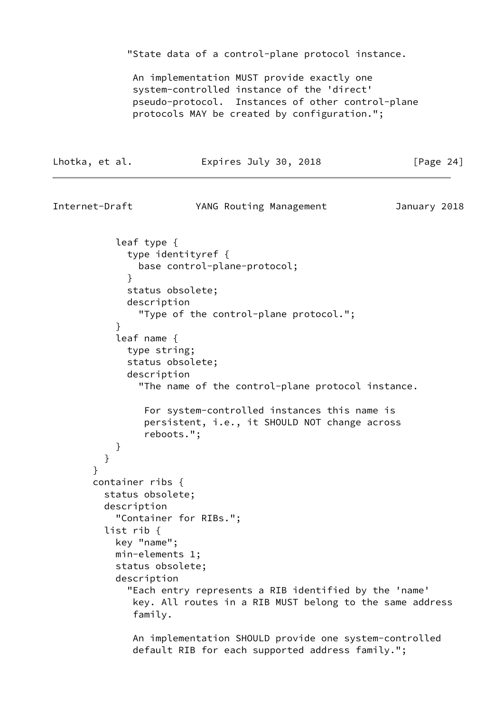"State data of a control-plane protocol instance.

Lhotka, et al. **Expires July 30, 2018** [Page 24]

 An implementation MUST provide exactly one system-controlled instance of the 'direct' pseudo-protocol. Instances of other control-plane protocols MAY be created by configuration.";

```
Internet-Draft YANG Routing Management January 2018
           leaf type {
             type identityref {
               base control-plane-protocol;
 }
             status obsolete;
             description
               "Type of the control-plane protocol.";
 }
           leaf name {
             type string;
             status obsolete;
             description
               "The name of the control-plane protocol instance.
                For system-controlled instances this name is
                persistent, i.e., it SHOULD NOT change across
                reboots.";
 }
 }
       }
       container ribs {
         status obsolete;
         description
           "Container for RIBs.";
         list rib {
           key "name";
           min-elements 1;
           status obsolete;
           description
             "Each entry represents a RIB identified by the 'name'
              key. All routes in a RIB MUST belong to the same address
              family.
              An implementation SHOULD provide one system-controlled
```
default RIB for each supported address family.";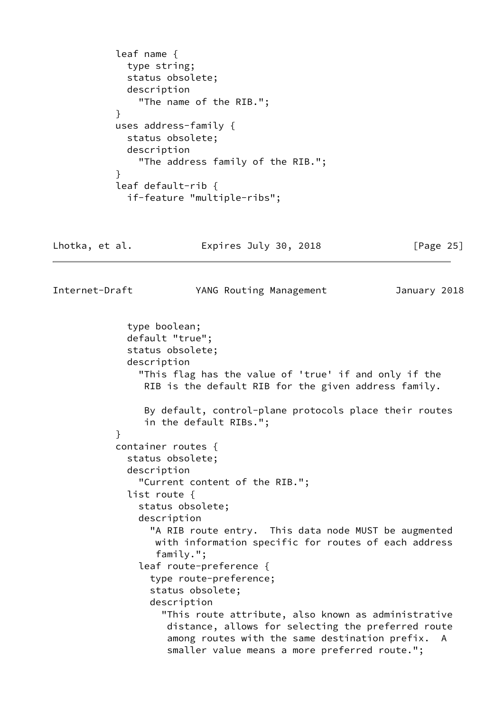```
 leaf name {
             type string;
             status obsolete;
             description
               "The name of the RIB.";
 }
           uses address-family {
             status obsolete;
             description
               "The address family of the RIB.";
 }
           leaf default-rib {
             if-feature "multiple-ribs";
```

|  | Lhotka, et al. | Expires July 30, 2018 | [Page 25] |
|--|----------------|-----------------------|-----------|
|--|----------------|-----------------------|-----------|

Internet-Draft YANG Routing Management January 2018

 type boolean; default "true"; status obsolete; description "This flag has the value of 'true' if and only if the RIB is the default RIB for the given address family. By default, control-plane protocols place their routes in the default RIBs."; } container routes { status obsolete; description "Current content of the RIB."; list route { status obsolete; description "A RIB route entry. This data node MUST be augmented with information specific for routes of each address family."; leaf route-preference { type route-preference; status obsolete; description "This route attribute, also known as administrative distance, allows for selecting the preferred route among routes with the same destination prefix. A smaller value means a more preferred route.";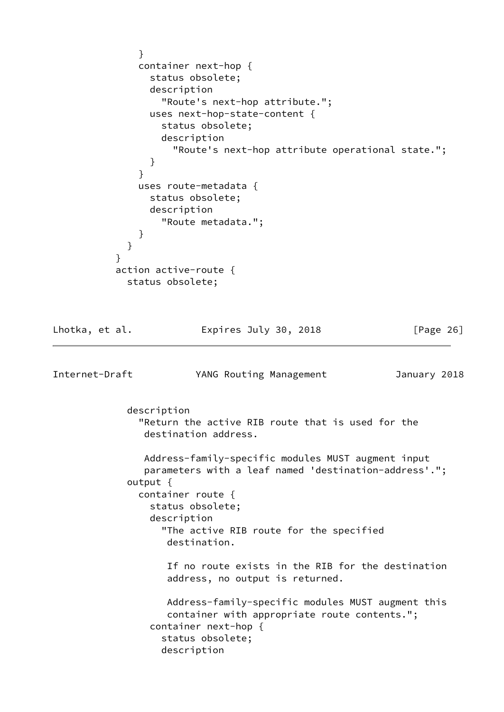```
 }
               container next-hop {
                 status obsolete;
                 description
                   "Route's next-hop attribute.";
                 uses next-hop-state-content {
                   status obsolete;
                   description
                     "Route's next-hop attribute operational state.";
 }
 }
               uses route-metadata {
                 status obsolete;
                 description
                   "Route metadata.";
 }
 }
 }
           action active-route {
             status obsolete;
Lhotka, et al.               Expires July 30, 2018             [Page 26]
Internet-Draft YANG Routing Management January 2018
             description
               "Return the active RIB route that is used for the
                destination address.
                Address-family-specific modules MUST augment input
                parameters with a leaf named 'destination-address'.";
             output {
               container route {
                 status obsolete;
                 description
                   "The active RIB route for the specified
                    destination.
                    If no route exists in the RIB for the destination
                    address, no output is returned.
                    Address-family-specific modules MUST augment this
                    container with appropriate route contents.";
                 container next-hop {
                   status obsolete;
                   description
```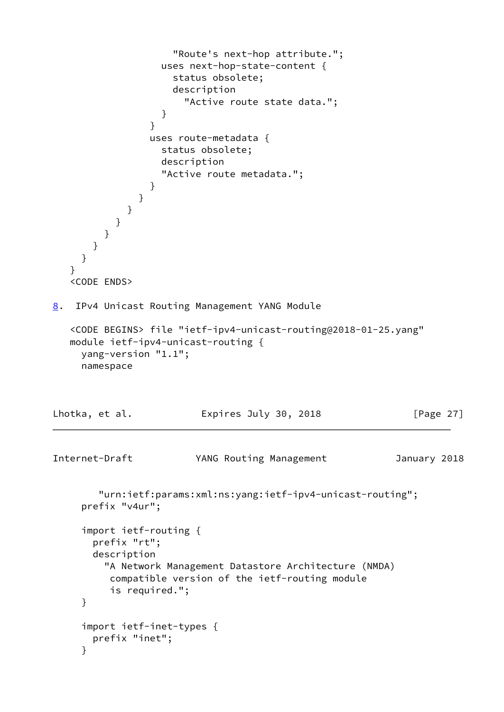```
 "Route's next-hop attribute.";
                  uses next-hop-state-content {
                    status obsolete;
                    description
                      "Active route state data.";
 }
 }
                uses route-metadata {
                  status obsolete;
                  description
                  "Active route metadata.";
 }
 }
            }
          }
         }
       }
     }
   }
   <CODE ENDS>
8. IPv4 Unicast Routing Management YANG Module
   <CODE BEGINS> file "ietf-ipv4-unicast-routing@2018-01-25.yang"
   module ietf-ipv4-unicast-routing {
     yang-version "1.1";
     namespace
Lhotka, et al. Expires July 30, 2018 [Page 27]
Internet-Draft YANG Routing Management January 2018
        "urn:ietf:params:xml:ns:yang:ietf-ipv4-unicast-routing";
     prefix "v4ur";
     import ietf-routing {
       prefix "rt";
       description
         "A Network Management Datastore Architecture (NMDA)
          compatible version of the ietf-routing module
          is required.";
     }
     import ietf-inet-types {
       prefix "inet";
     }
```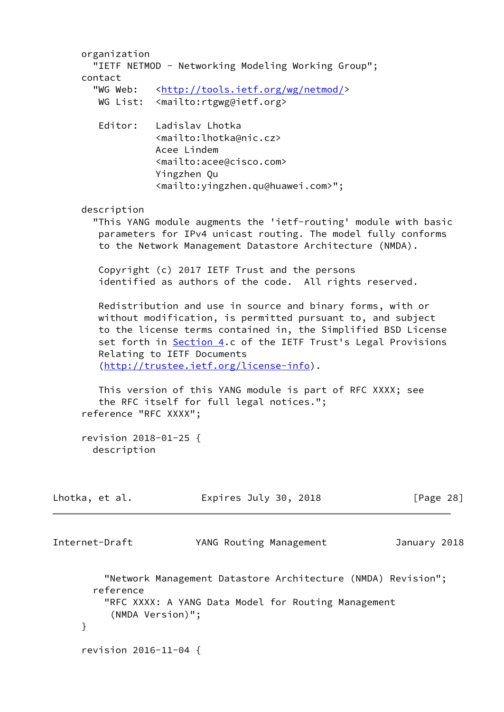|                                                         | organization                         | "IETF NETMOD - Networking Modeling Working Group";                                                                           |                         |  |  |              |
|---------------------------------------------------------|--------------------------------------|------------------------------------------------------------------------------------------------------------------------------|-------------------------|--|--|--------------|
| contact                                                 |                                      |                                                                                                                              |                         |  |  |              |
|                                                         | "WG Web:                             | <http: netmod="" tools.ietf.org="" wg=""></http:>                                                                            |                         |  |  |              |
|                                                         |                                      | WG List: <mailto:rtgwg@ietf.org></mailto:rtgwg@ietf.org>                                                                     |                         |  |  |              |
|                                                         | Editor:                              | Ladislav Lhotka                                                                                                              |                         |  |  |              |
|                                                         |                                      | <mailto:lhotka@nic.cz></mailto:lhotka@nic.cz>                                                                                |                         |  |  |              |
|                                                         |                                      | Acee Lindem<br><mailto:acee@cisco.com></mailto:acee@cisco.com>                                                               |                         |  |  |              |
|                                                         |                                      | Yingzhen Qu                                                                                                                  |                         |  |  |              |
|                                                         |                                      | <mailto: yingzhen.qu@huawei.com="">";</mailto:>                                                                              |                         |  |  |              |
|                                                         | description                          |                                                                                                                              |                         |  |  |              |
|                                                         |                                      | "This YANG module augments the 'ietf-routing' module with basic                                                              |                         |  |  |              |
|                                                         |                                      | parameters for IPv4 unicast routing. The model fully conforms<br>to the Network Management Datastore Architecture (NMDA).    |                         |  |  |              |
|                                                         |                                      | Copyright (c) 2017 IETF Trust and the persons                                                                                |                         |  |  |              |
| identified as authors of the code. All rights reserved. |                                      |                                                                                                                              |                         |  |  |              |
|                                                         |                                      | Redistribution and use in source and binary forms, with or                                                                   |                         |  |  |              |
|                                                         |                                      | without modification, is permitted pursuant to, and subject<br>to the license terms contained in, the Simplified BSD License |                         |  |  |              |
|                                                         |                                      | set forth in Section 4.c of the IETF Trust's Legal Provisions                                                                |                         |  |  |              |
|                                                         |                                      | Relating to IETF Documents                                                                                                   |                         |  |  |              |
|                                                         |                                      | (http://trustee.ietf.org/license-info).                                                                                      |                         |  |  |              |
|                                                         |                                      | This version of this YANG module is part of RFC XXXX; see                                                                    |                         |  |  |              |
|                                                         |                                      | the RFC itself for full legal notices.";                                                                                     |                         |  |  |              |
|                                                         | reference "RFC XXXX";                |                                                                                                                              |                         |  |  |              |
|                                                         | revision 2018-01-25 {<br>description |                                                                                                                              |                         |  |  |              |
|                                                         |                                      |                                                                                                                              |                         |  |  |              |
| Lhotka, et al.                                          |                                      |                                                                                                                              | Expires July 30, 2018   |  |  | [Page $28$ ] |
| Internet-Draft                                          |                                      |                                                                                                                              | YANG Routing Management |  |  | January 2018 |
|                                                         |                                      |                                                                                                                              |                         |  |  |              |
|                                                         | reference                            | "Network Management Datastore Architecture (NMDA) Revision";                                                                 |                         |  |  |              |
|                                                         |                                      | "RFC XXXX: A YANG Data Model for Routing Management                                                                          |                         |  |  |              |
|                                                         |                                      | (NMDA Version)";                                                                                                             |                         |  |  |              |
| }                                                       |                                      |                                                                                                                              |                         |  |  |              |
|                                                         | revision 2016-11-04 {                |                                                                                                                              |                         |  |  |              |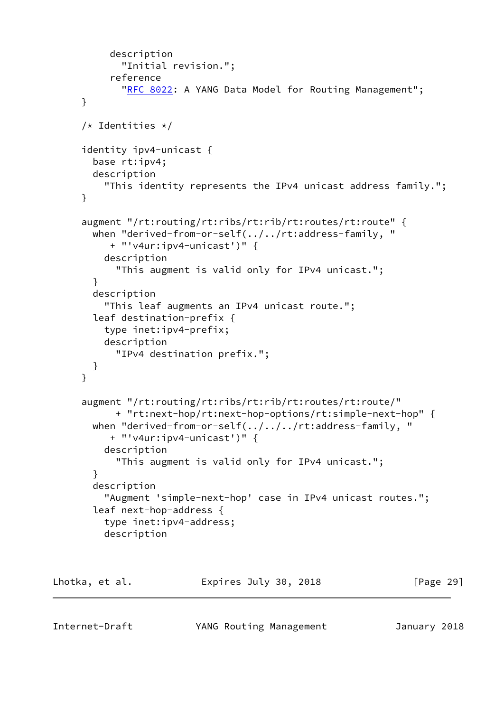```
 description
             "Initial revision.";
           reference
            "RFC 8022: A YANG Data Model for Routing Management";
      }
      /* Identities */
      identity ipv4-unicast {
        base rt:ipv4;
        description
          "This identity represents the IPv4 unicast address family.";
      }
      augment "/rt:routing/rt:ribs/rt:rib/rt:routes/rt:route" {
        when "derived-from-or-self(../../rt:address-family, "
           + "'v4ur:ipv4-unicast')" {
          description
            "This augment is valid only for IPv4 unicast.";
        }
        description
          "This leaf augments an IPv4 unicast route.";
        leaf destination-prefix {
          type inet:ipv4-prefix;
          description
            "IPv4 destination prefix.";
        }
      }
      augment "/rt:routing/rt:ribs/rt:rib/rt:routes/rt:route/"
            + "rt:next-hop/rt:next-hop-options/rt:simple-next-hop" {
       when "derived-from-or-self(../../../rt:address-family, "
           + "'v4ur:ipv4-unicast')" {
          description
            "This augment is valid only for IPv4 unicast.";
        }
        description
          "Augment 'simple-next-hop' case in IPv4 unicast routes.";
        leaf next-hop-address {
          type inet:ipv4-address;
          description
Lhotka, et al. Expires July 30, 2018 [Page 29]
```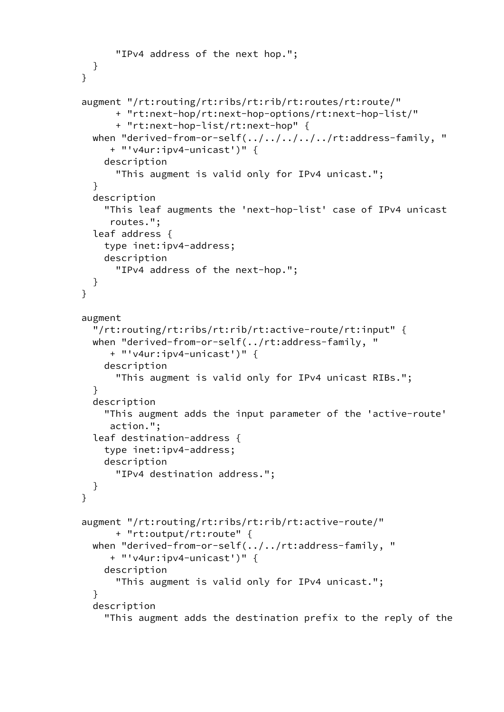```
 "IPv4 address of the next hop.";
  }
 }
 augment "/rt:routing/rt:ribs/rt:rib/rt:routes/rt:route/"
       + "rt:next-hop/rt:next-hop-options/rt:next-hop-list/"
       + "rt:next-hop-list/rt:next-hop" {
  when "derived-from-or-self(../../../../../rt:address-family, "
      + "'v4ur:ipv4-unicast')" {
     description
       "This augment is valid only for IPv4 unicast.";
   }
   description
     "This leaf augments the 'next-hop-list' case of IPv4 unicast
      routes.";
   leaf address {
     type inet:ipv4-address;
     description
       "IPv4 address of the next-hop.";
   }
 }
 augment
   "/rt:routing/rt:ribs/rt:rib/rt:active-route/rt:input" {
   when "derived-from-or-self(../rt:address-family, "
      + "'v4ur:ipv4-unicast')" {
     description
       "This augment is valid only for IPv4 unicast RIBs.";
   }
   description
     "This augment adds the input parameter of the 'active-route'
      action.";
   leaf destination-address {
     type inet:ipv4-address;
     description
       "IPv4 destination address.";
   }
 }
 augment "/rt:routing/rt:ribs/rt:rib/rt:active-route/"
       + "rt:output/rt:route" {
   when "derived-from-or-self(../../rt:address-family, "
      + "'v4ur:ipv4-unicast')" {
     description
       "This augment is valid only for IPv4 unicast.";
   }
   description
     "This augment adds the destination prefix to the reply of the
```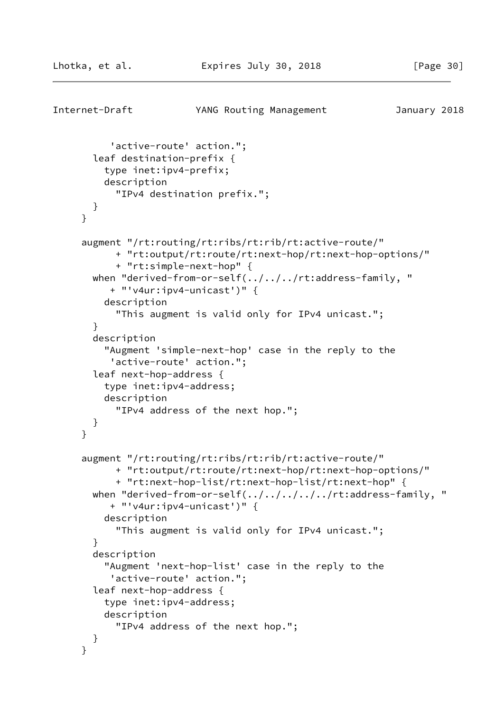```
Internet-Draft YANG Routing Management January 2018
           'active-route' action.";
        leaf destination-prefix {
          type inet:ipv4-prefix;
          description
            "IPv4 destination prefix.";
        }
      }
      augment "/rt:routing/rt:ribs/rt:rib/rt:active-route/"
            + "rt:output/rt:route/rt:next-hop/rt:next-hop-options/"
            + "rt:simple-next-hop" {
       when "derived-from-or-self(../../../rt:address-family, "
           + "'v4ur:ipv4-unicast')" {
          description
            "This augment is valid only for IPv4 unicast.";
        }
        description
          "Augment 'simple-next-hop' case in the reply to the
           'active-route' action.";
        leaf next-hop-address {
          type inet:ipv4-address;
          description
            "IPv4 address of the next hop.";
        }
      }
      augment "/rt:routing/rt:ribs/rt:rib/rt:active-route/"
            + "rt:output/rt:route/rt:next-hop/rt:next-hop-options/"
            + "rt:next-hop-list/rt:next-hop-list/rt:next-hop" {
       when "derived-from-or-self(../../../../../rt:address-family, "
           + "'v4ur:ipv4-unicast')" {
          description
            "This augment is valid only for IPv4 unicast.";
        }
        description
          "Augment 'next-hop-list' case in the reply to the
           'active-route' action.";
        leaf next-hop-address {
          type inet:ipv4-address;
          description
            "IPv4 address of the next hop.";
        }
      }
```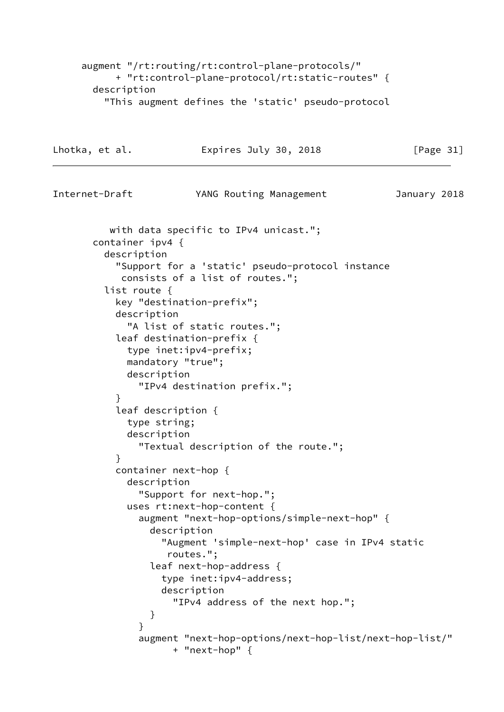augment "/rt:routing/rt:control-plane-protocols/" + "rt:control-plane-protocol/rt:static-routes" { description "This augment defines the 'static' pseudo-protocol Lhotka, et al. **Expires July 30, 2018** [Page 31] Internet-Draft YANG Routing Management January 2018 with data specific to IPv4 unicast."; container ipv4 { description "Support for a 'static' pseudo-protocol instance consists of a list of routes."; list route { key "destination-prefix"; description "A list of static routes."; leaf destination-prefix { type inet:ipv4-prefix; mandatory "true"; description "IPv4 destination prefix."; } leaf description { type string; description "Textual description of the route."; } container next-hop { description "Support for next-hop."; uses rt:next-hop-content { augment "next-hop-options/simple-next-hop" { description "Augment 'simple-next-hop' case in IPv4 static routes."; leaf next-hop-address { type inet:ipv4-address; description "IPv4 address of the next hop."; } } augment "next-hop-options/next-hop-list/next-hop-list/" + "next-hop" {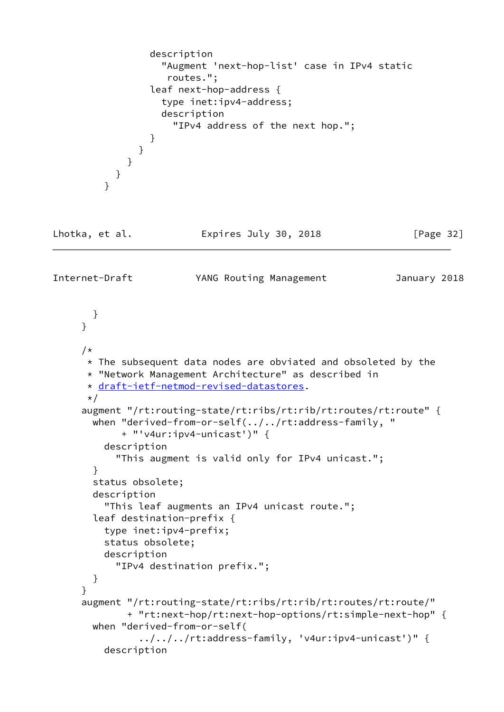```
 description
                    "Augment 'next-hop-list' case in IPv4 static
                     routes.";
                  leaf next-hop-address {
                    type inet:ipv4-address;
                    description
                      "IPv4 address of the next hop.";
 }
 }
             }
           }
          }
Lhotka, et al.               Expires July 30, 2018               [Page 32]
Internet-Draft YANG Routing Management January 2018
       }
      }
      /*
      * The subsequent data nodes are obviated and obsoleted by the
       * "Network Management Architecture" as described in
       * draft-ietf-netmod-revised-datastores.
       */
      augment "/rt:routing-state/rt:ribs/rt:rib/rt:routes/rt:route" {
        when "derived-from-or-self(../../rt:address-family, "
             + "'v4ur:ipv4-unicast')" {
          description
            "This augment is valid only for IPv4 unicast.";
        }
        status obsolete;
        description
          "This leaf augments an IPv4 unicast route.";
        leaf destination-prefix {
          type inet:ipv4-prefix;
          status obsolete;
          description
            "IPv4 destination prefix.";
        }
      }
      augment "/rt:routing-state/rt:ribs/rt:rib/rt:routes/rt:route/"
             + "rt:next-hop/rt:next-hop-options/rt:simple-next-hop" {
        when "derived-from-or-self(
                ../../../rt:address-family, 'v4ur:ipv4-unicast')" {
          description
```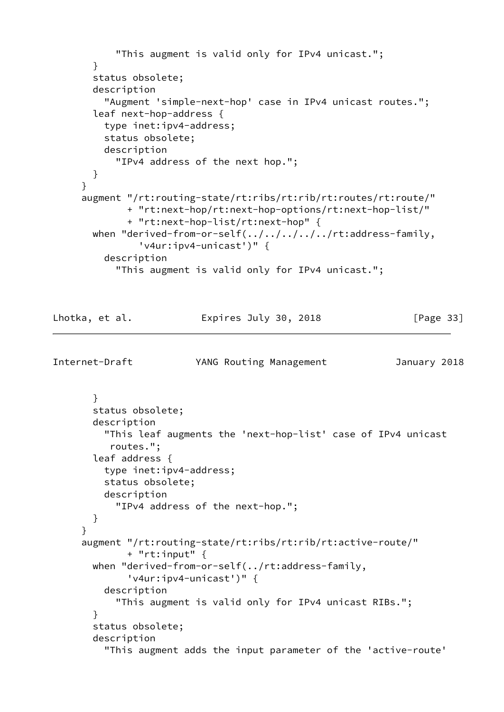```
 "This augment is valid only for IPv4 unicast.";
       }
       status obsolete;
       description
          "Augment 'simple-next-hop' case in IPv4 unicast routes.";
       leaf next-hop-address {
          type inet:ipv4-address;
          status obsolete;
          description
            "IPv4 address of the next hop.";
       }
      }
      augment "/rt:routing-state/rt:ribs/rt:rib/rt:routes/rt:route/"
             + "rt:next-hop/rt:next-hop-options/rt:next-hop-list/"
              + "rt:next-hop-list/rt:next-hop" {
      when "derived-from-or-self(../../../../../rt:address-family,
                'v4ur:ipv4-unicast')" {
          description
            "This augment is valid only for IPv4 unicast.";
Lhotka, et al. Expires July 30, 2018 [Page 33]
Internet-Draft YANG Routing Management January 2018
       }
       status obsolete;
       description
          "This leaf augments the 'next-hop-list' case of IPv4 unicast
           routes.";
       leaf address {
          type inet:ipv4-address;
          status obsolete;
          description
            "IPv4 address of the next-hop.";
       }
      }
      augment "/rt:routing-state/rt:ribs/rt:rib/rt:active-route/"
             + "rt:input" {
       when "derived-from-or-self(../rt:address-family,
              'v4ur:ipv4-unicast')" {
          description
            "This augment is valid only for IPv4 unicast RIBs.";
```
"This augment adds the input parameter of the 'active-route'

}

status obsolete;

description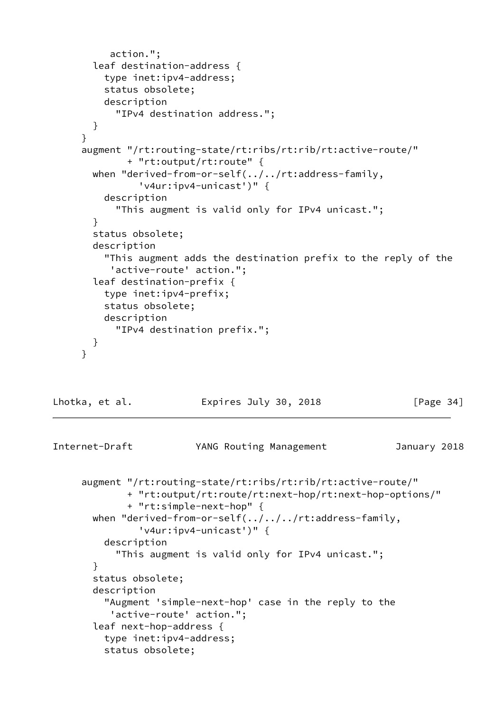```
 action.";
       leaf destination-address {
          type inet:ipv4-address;
          status obsolete;
         description
            "IPv4 destination address.";
       }
      }
      augment "/rt:routing-state/rt:ribs/rt:rib/rt:active-route/"
             + "rt:output/rt:route" {
       when "derived-from-or-self(../../rt:address-family,
                'v4ur:ipv4-unicast')" {
         description
            "This augment is valid only for IPv4 unicast.";
       }
       status obsolete;
       description
          "This augment adds the destination prefix to the reply of the
           'active-route' action.";
       leaf destination-prefix {
         type inet:ipv4-prefix;
         status obsolete;
         description
            "IPv4 destination prefix.";
       }
      }
Lhotka, et al. Expires July 30, 2018 [Page 34]
Internet-Draft YANG Routing Management January 2018
      augment "/rt:routing-state/rt:ribs/rt:rib/rt:active-route/"
             + "rt:output/rt:route/rt:next-hop/rt:next-hop-options/"
             + "rt:simple-next-hop" {
      when "derived-from-or-self(../../../rt:address-family,
```
 'v4ur:ipv4-unicast')" { description "This augment is valid only for IPv4 unicast."; } status obsolete; description

 "Augment 'simple-next-hop' case in the reply to the 'active-route' action."; leaf next-hop-address { type inet:ipv4-address;

```
 status obsolete;
```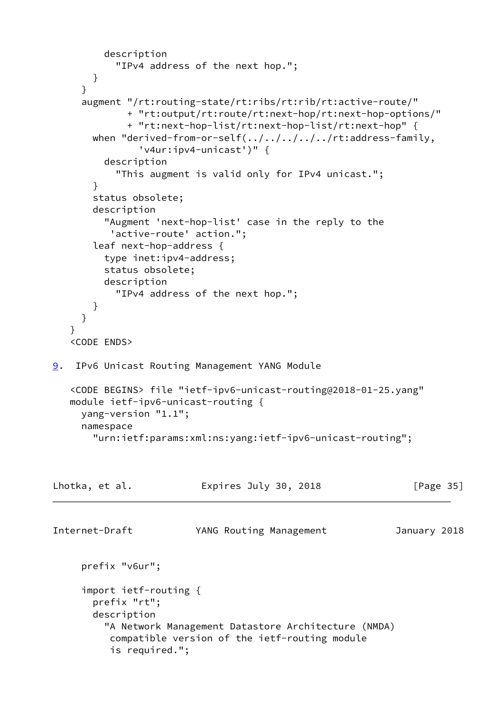```
 description
            "IPv4 address of the next hop.";
        }
      }
      augment "/rt:routing-state/rt:ribs/rt:rib/rt:active-route/"
              + "rt:output/rt:route/rt:next-hop/rt:next-hop-options/"
              + "rt:next-hop-list/rt:next-hop-list/rt:next-hop" {
        when "derived-from-or-self(../../../../../rt:address-family,
                'v4ur:ipv4-unicast')" {
          description
            "This augment is valid only for IPv4 unicast.";
        }
        status obsolete;
        description
          "Augment 'next-hop-list' case in the reply to the
           'active-route' action.";
        leaf next-hop-address {
          type inet:ipv4-address;
          status obsolete;
          description
            "IPv4 address of the next hop.";
        }
      }
    }
    <CODE ENDS>
9. IPv6 Unicast Routing Management YANG Module
    <CODE BEGINS> file "ietf-ipv6-unicast-routing@2018-01-25.yang"
    module ietf-ipv6-unicast-routing {
      yang-version "1.1";
      namespace
        "urn:ietf:params:xml:ns:yang:ietf-ipv6-unicast-routing";
Lhotka, et al.               Expires July 30, 2018               [Page 35]
Internet-Draft YANG Routing Management January 2018
      prefix "v6ur";
      import ietf-routing {
        prefix "rt";
        description
          "A Network Management Datastore Architecture (NMDA)
           compatible version of the ietf-routing module
           is required.";
```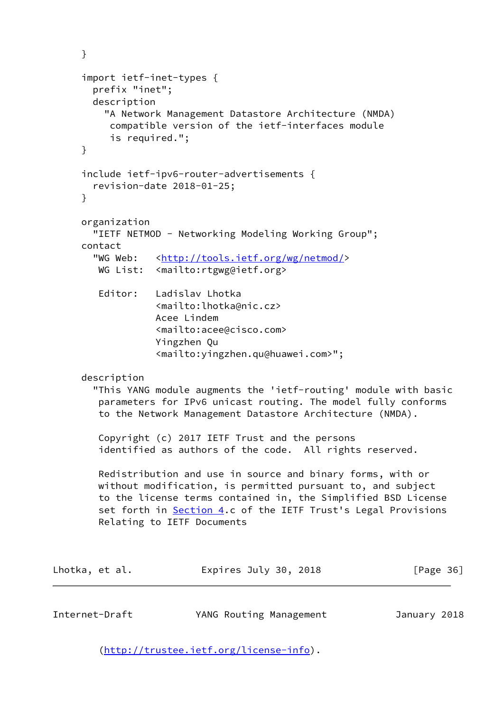```
 }
     import ietf-inet-types {
       prefix "inet";
       description
         "A Network Management Datastore Architecture (NMDA)
          compatible version of the ietf-interfaces module
          is required.";
     }
     include ietf-ipv6-router-advertisements {
       revision-date 2018-01-25;
     }
     organization
       "IETF NETMOD - Networking Modeling Working Group";
     contact
      <http://tools.ietf.org/wg/netmod/>
       WG List: <mailto:rtgwg@ietf.org>
        Editor: Ladislav Lhotka
                  <mailto:lhotka@nic.cz>
                  Acee Lindem
                  <mailto:acee@cisco.com>
                  Yingzhen Qu
                  <mailto:yingzhen.qu@huawei.com>";
     description
       "This YANG module augments the 'ietf-routing' module with basic
        parameters for IPv6 unicast routing. The model fully conforms
        to the Network Management Datastore Architecture (NMDA).
        Copyright (c) 2017 IETF Trust and the persons
        identified as authors of the code. All rights reserved.
        Redistribution and use in source and binary forms, with or
        without modification, is permitted pursuant to, and subject
        to the license terms contained in, the Simplified BSD License
        Section 4.c of the IETF Trust's Legal Provisions
        Relating to IETF Documents
Lhotka, et al. Expires July 30, 2018 [Page 36]
Internet-Draft YANG Routing Management January 2018
```
[\(http://trustee.ietf.org/license-info](http://trustee.ietf.org/license-info)).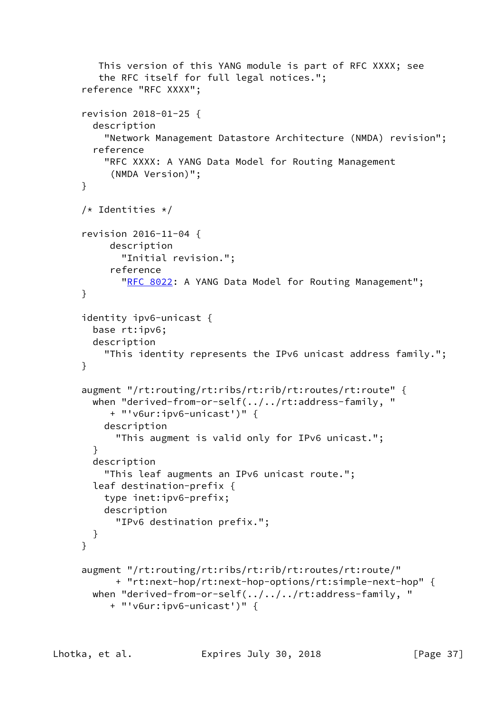```
 This version of this YANG module is part of RFC XXXX; see
    the RFC itself for full legal notices.";
 reference "RFC XXXX";
 revision 2018-01-25 {
   description
     "Network Management Datastore Architecture (NMDA) revision";
   reference
     "RFC XXXX: A YANG Data Model for Routing Management
      (NMDA Version)";
 }
 /* Identities */
 revision 2016-11-04 {
      description
        "Initial revision.";
      reference
       "RFC 8022: A YANG Data Model for Routing Management";
 }
 identity ipv6-unicast {
   base rt:ipv6;
   description
     "This identity represents the IPv6 unicast address family.";
 }
 augment "/rt:routing/rt:ribs/rt:rib/rt:routes/rt:route" {
   when "derived-from-or-self(../../rt:address-family, "
      + "'v6ur:ipv6-unicast')" {
     description
       "This augment is valid only for IPv6 unicast.";
   }
   description
     "This leaf augments an IPv6 unicast route.";
   leaf destination-prefix {
     type inet:ipv6-prefix;
     description
       "IPv6 destination prefix.";
   }
 }
 augment "/rt:routing/rt:ribs/rt:rib/rt:routes/rt:route/"
       + "rt:next-hop/rt:next-hop-options/rt:simple-next-hop" {
   when "derived-from-or-self(../../../rt:address-family, "
      + "'v6ur:ipv6-unicast')" {
```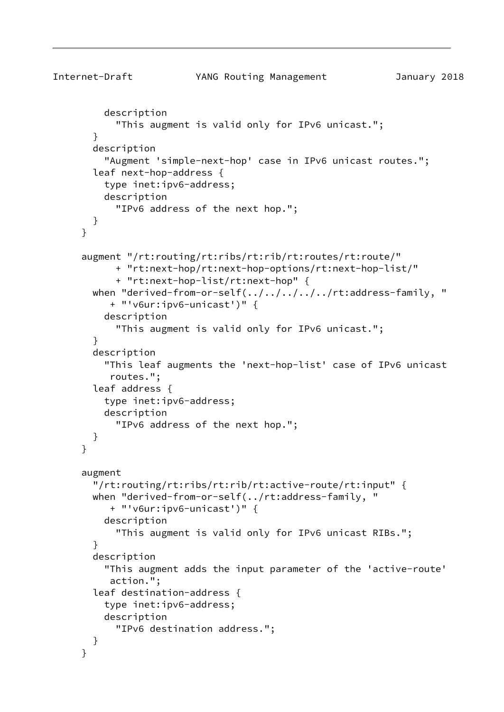```
Internet-Draft YANG Routing Management January 2018
          description
            "This augment is valid only for IPv6 unicast.";
        }
        description
          "Augment 'simple-next-hop' case in IPv6 unicast routes.";
        leaf next-hop-address {
          type inet:ipv6-address;
          description
            "IPv6 address of the next hop.";
        }
      }
      augment "/rt:routing/rt:ribs/rt:rib/rt:routes/rt:route/"
            + "rt:next-hop/rt:next-hop-options/rt:next-hop-list/"
            + "rt:next-hop-list/rt:next-hop" {
       when "derived-from-or-self(../../../../../rt:address-family, "
           + "'v6ur:ipv6-unicast')" {
          description
            "This augment is valid only for IPv6 unicast.";
        }
        description
          "This leaf augments the 'next-hop-list' case of IPv6 unicast
           routes.";
        leaf address {
          type inet:ipv6-address;
          description
            "IPv6 address of the next hop.";
        }
      }
      augment
        "/rt:routing/rt:ribs/rt:rib/rt:active-route/rt:input" {
        when "derived-from-or-self(../rt:address-family, "
           + "'v6ur:ipv6-unicast')" {
          description
            "This augment is valid only for IPv6 unicast RIBs.";
        }
        description
          "This augment adds the input parameter of the 'active-route'
           action.";
        leaf destination-address {
          type inet:ipv6-address;
          description
            "IPv6 destination address.";
        }
      }
```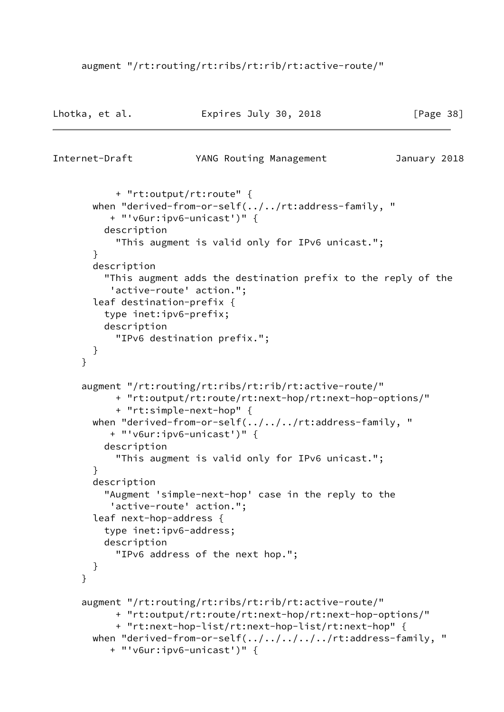## augment "/rt:routing/rt:ribs/rt:rib/rt:active-route/"

| Lhotka, et al. | Expires July 30, 2018 | [Page 38] |
|----------------|-----------------------|-----------|
|                |                       |           |

```
Internet-Draft YANG Routing Management January 2018
            + "rt:output/rt:route" {
        when "derived-from-or-self(../../rt:address-family, "
           + "'v6ur:ipv6-unicast')" {
          description
            "This augment is valid only for IPv6 unicast.";
        }
        description
          "This augment adds the destination prefix to the reply of the
           'active-route' action.";
        leaf destination-prefix {
          type inet:ipv6-prefix;
          description
            "IPv6 destination prefix.";
        }
      }
      augment "/rt:routing/rt:ribs/rt:rib/rt:active-route/"
            + "rt:output/rt:route/rt:next-hop/rt:next-hop-options/"
            + "rt:simple-next-hop" {
        when "derived-from-or-self(../../../rt:address-family, "
           + "'v6ur:ipv6-unicast')" {
          description
            "This augment is valid only for IPv6 unicast.";
        }
        description
          "Augment 'simple-next-hop' case in the reply to the
           'active-route' action.";
        leaf next-hop-address {
          type inet:ipv6-address;
          description
            "IPv6 address of the next hop.";
        }
      }
      augment "/rt:routing/rt:ribs/rt:rib/rt:active-route/"
            + "rt:output/rt:route/rt:next-hop/rt:next-hop-options/"
            + "rt:next-hop-list/rt:next-hop-list/rt:next-hop" {
       when "derived-from-or-self(../../../../rt:address-family, "
           + "'v6ur:ipv6-unicast')" {
```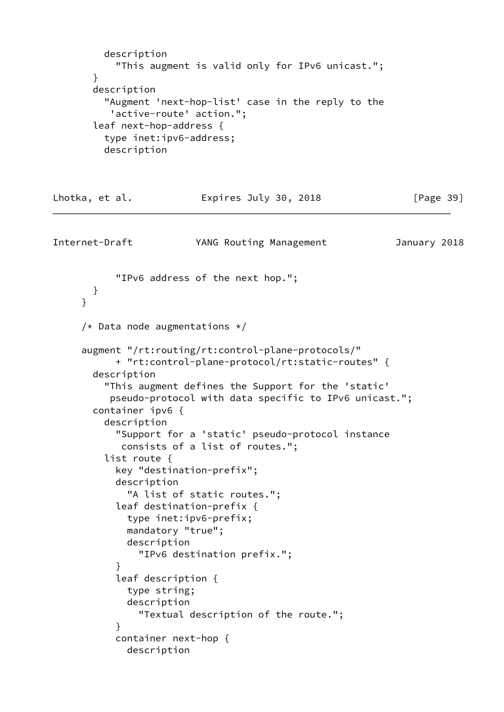```
 description
            "This augment is valid only for IPv6 unicast.";
        }
        description
          "Augment 'next-hop-list' case in the reply to the
           'active-route' action.";
        leaf next-hop-address {
          type inet:ipv6-address;
          description
Lhotka, et al.               Expires July 30, 2018             [Page 39]
Internet-Draft YANG Routing Management January 2018
            "IPv6 address of the next hop.";
        }
      }
     /* Data node augmentations */ augment "/rt:routing/rt:control-plane-protocols/"
            + "rt:control-plane-protocol/rt:static-routes" {
        description
          "This augment defines the Support for the 'static'
           pseudo-protocol with data specific to IPv6 unicast.";
        container ipv6 {
          description
            "Support for a 'static' pseudo-protocol instance
             consists of a list of routes.";
          list route {
            key "destination-prefix";
            description
              "A list of static routes.";
            leaf destination-prefix {
              type inet:ipv6-prefix;
              mandatory "true";
              description
                "IPv6 destination prefix.";
 }
            leaf description {
              type string;
              description
                "Textual description of the route.";
 }
            container next-hop {
              description
```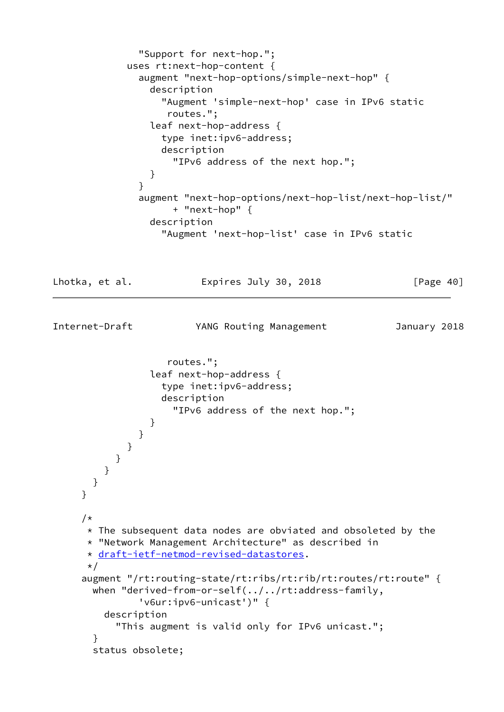```
 "Support for next-hop.";
             uses rt:next-hop-content {
               augment "next-hop-options/simple-next-hop" {
                 description
                   "Augment 'simple-next-hop' case in IPv6 static
                    routes.";
                 leaf next-hop-address {
                   type inet:ipv6-address;
                   description
                     "IPv6 address of the next hop.";
 }
 }
               augment "next-hop-options/next-hop-list/next-hop-list/"
                     + "next-hop" {
                 description
                   "Augment 'next-hop-list' case in IPv6 static
Lhotka, et al.             Expires July 30, 2018               [Page 40]
Internet-Draft YANG Routing Management January 2018
                    routes.";
                 leaf next-hop-address {
                   type inet:ipv6-address;
                   description
                     "IPv6 address of the next hop.";
 }
 }
            }
           }
         }
       }
     }
      /*
     * The subsequent data nodes are obviated and obsoleted by the
      * "Network Management Architecture" as described in
      * draft-ietf-netmod-revised-datastores.
      */
      augment "/rt:routing-state/rt:ribs/rt:rib/rt:routes/rt:route" {
       when "derived-from-or-self(../../rt:address-family,
               'v6ur:ipv6-unicast')" {
         description
           "This augment is valid only for IPv6 unicast.";
       }
       status obsolete;
```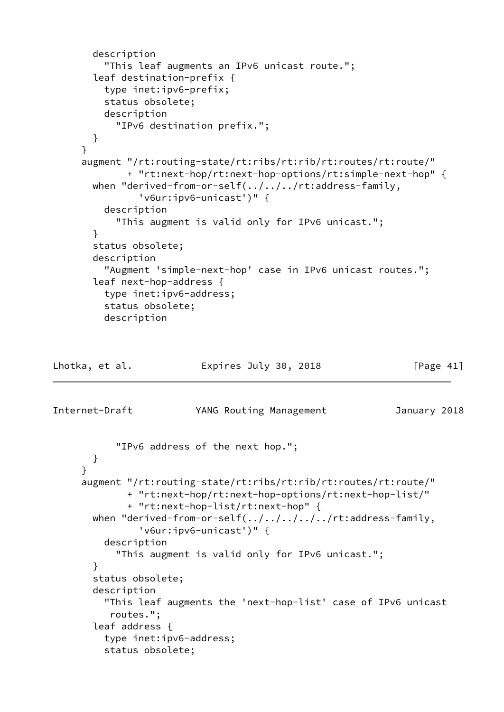```
 description
          "This leaf augments an IPv6 unicast route.";
        leaf destination-prefix {
          type inet:ipv6-prefix;
          status obsolete;
          description
            "IPv6 destination prefix.";
        }
      }
      augment "/rt:routing-state/rt:ribs/rt:rib/rt:routes/rt:route/"
              + "rt:next-hop/rt:next-hop-options/rt:simple-next-hop" {
        when "derived-from-or-self(../../../rt:address-family,
                'v6ur:ipv6-unicast')" {
          description
            "This augment is valid only for IPv6 unicast.";
        }
        status obsolete;
        description
          "Augment 'simple-next-hop' case in IPv6 unicast routes.";
        leaf next-hop-address {
          type inet:ipv6-address;
          status obsolete;
          description
Lhotka, et al.               Expires July 30, 2018               [Page 41]
Internet-Draft YANG Routing Management January 2018
            "IPv6 address of the next hop.";
        }
      }
      augment "/rt:routing-state/rt:ribs/rt:rib/rt:routes/rt:route/"
              + "rt:next-hop/rt:next-hop-options/rt:next-hop-list/"
              + "rt:next-hop-list/rt:next-hop" {
       when "derived-from-or-self(../../../../../rt:address-family,
                'v6ur:ipv6-unicast')" {
          description
            "This augment is valid only for IPv6 unicast.";
        }
        status obsolete;
        description
          "This leaf augments the 'next-hop-list' case of IPv6 unicast
           routes.";
        leaf address {
          type inet:ipv6-address;
          status obsolete;
```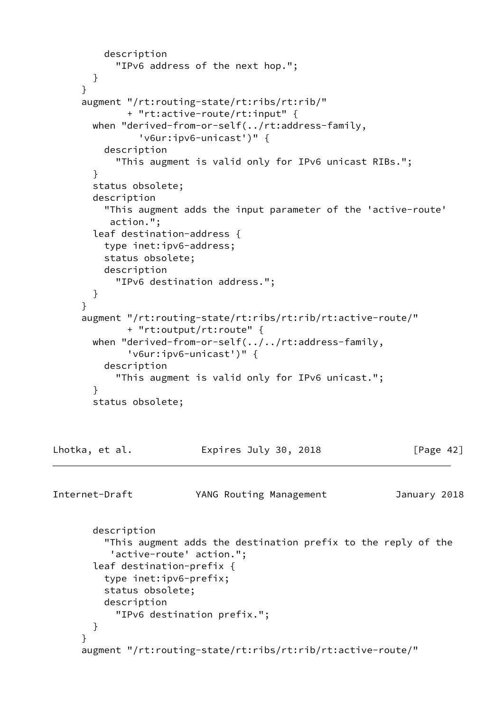```
 description
            "IPv6 address of the next hop.";
        }
      }
      augment "/rt:routing-state/rt:ribs/rt:rib/"
              + "rt:active-route/rt:input" {
        when "derived-from-or-self(../rt:address-family,
                'v6ur:ipv6-unicast')" {
          description
            "This augment is valid only for IPv6 unicast RIBs.";
        }
        status obsolete;
        description
          "This augment adds the input parameter of the 'active-route'
           action.";
        leaf destination-address {
          type inet:ipv6-address;
          status obsolete;
          description
            "IPv6 destination address.";
        }
      }
      augment "/rt:routing-state/rt:ribs/rt:rib/rt:active-route/"
             + "rt:output/rt:route" {
        when "derived-from-or-self(../../rt:address-family,
              'v6ur:ipv6-unicast')" {
          description
            "This augment is valid only for IPv6 unicast.";
        }
        status obsolete;
Lhotka, et al. Expires July 30, 2018 [Page 42]
Internet-Draft YANG Routing Management January 2018
        description
          "This augment adds the destination prefix to the reply of the
           'active-route' action.";
        leaf destination-prefix {
          type inet:ipv6-prefix;
          status obsolete;
          description
            "IPv6 destination prefix.";
        }
      }
      augment "/rt:routing-state/rt:ribs/rt:rib/rt:active-route/"
```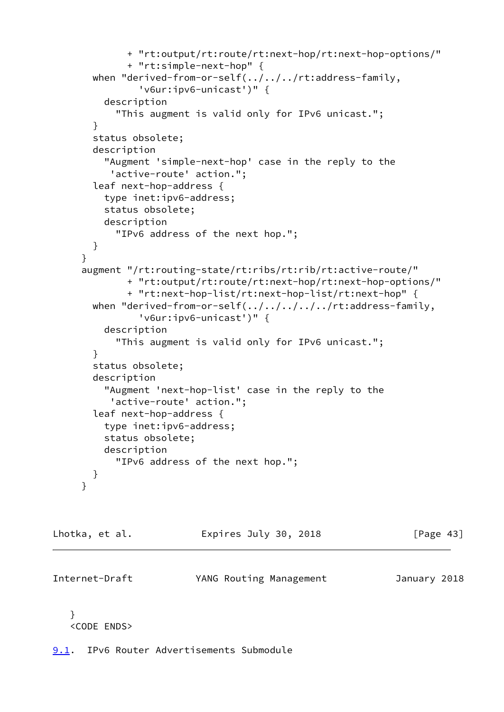```
 + "rt:output/rt:route/rt:next-hop/rt:next-hop-options/"
         + "rt:simple-next-hop" {
  when "derived-from-or-self(../../../rt:address-family,
           'v6ur:ipv6-unicast')" {
     description
       "This augment is valid only for IPv6 unicast.";
   }
   status obsolete;
   description
     "Augment 'simple-next-hop' case in the reply to the
      'active-route' action.";
   leaf next-hop-address {
     type inet:ipv6-address;
     status obsolete;
     description
       "IPv6 address of the next hop.";
   }
 }
 augment "/rt:routing-state/rt:ribs/rt:rib/rt:active-route/"
         + "rt:output/rt:route/rt:next-hop/rt:next-hop-options/"
         + "rt:next-hop-list/rt:next-hop-list/rt:next-hop" {
  when "derived-from-or-self(../../../../../rt:address-family,
           'v6ur:ipv6-unicast')" {
     description
       "This augment is valid only for IPv6 unicast.";
   }
   status obsolete;
   description
     "Augment 'next-hop-list' case in the reply to the
      'active-route' action.";
   leaf next-hop-address {
     type inet:ipv6-address;
     status obsolete;
     description
       "IPv6 address of the next hop.";
   }
 }
```
Lhotka, et al. **Expires July 30, 2018** [Page 43]

Internet-Draft YANG Routing Management January 2018

 } <CODE ENDS>

<span id="page-48-0"></span>[9.1](#page-48-0). IPv6 Router Advertisements Submodule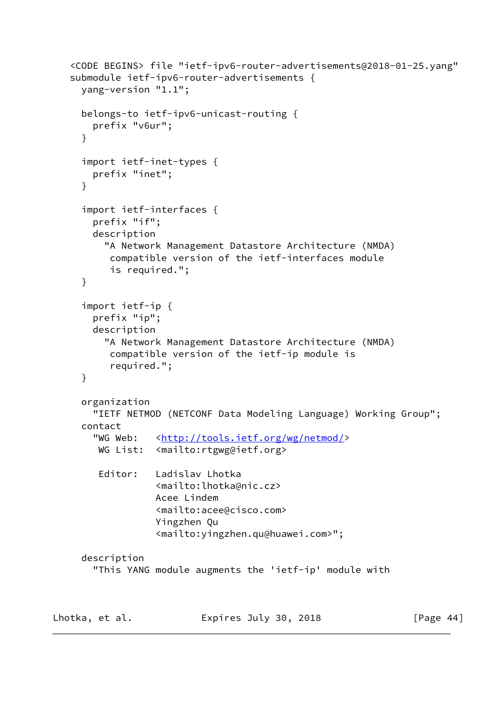```
 <CODE BEGINS> file "ietf-ipv6-router-advertisements@2018-01-25.yang"
    submodule ietf-ipv6-router-advertisements {
     yang-version "1.1";
     belongs-to ietf-ipv6-unicast-routing {
        prefix "v6ur";
      }
      import ietf-inet-types {
        prefix "inet";
     }
      import ietf-interfaces {
        prefix "if";
        description
          "A Network Management Datastore Architecture (NMDA)
           compatible version of the ietf-interfaces module
           is required.";
     }
      import ietf-ip {
        prefix "ip";
        description
          "A Network Management Datastore Architecture (NMDA)
           compatible version of the ietf-ip module is
           required.";
     }
     organization
        "IETF NETMOD (NETCONF Data Modeling Language) Working Group";
     contact
       <http://tools.ietf.org/wg/netmod/>
       WG List: <mailto:rtgwg@ietf.org>
         Editor: Ladislav Lhotka
                   <mailto:lhotka@nic.cz>
                   Acee Lindem
                   <mailto:acee@cisco.com>
                   Yingzhen Qu
                   <mailto:yingzhen.qu@huawei.com>";
     description
        "This YANG module augments the 'ietf-ip' module with
Lhotka, et al. Expires July 30, 2018 [Page 44]
```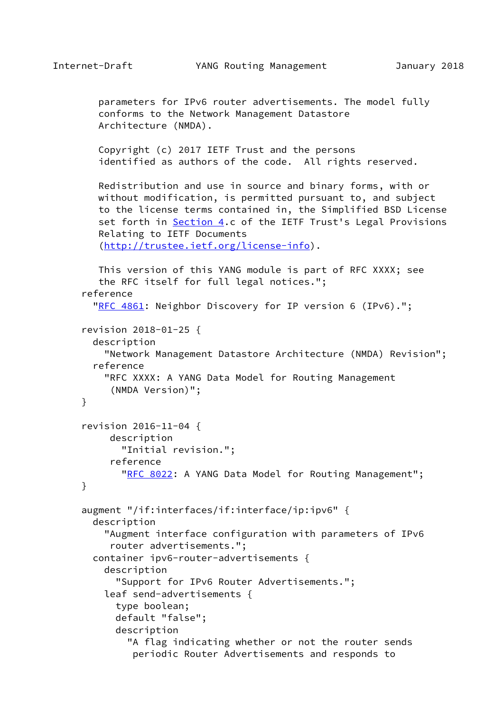}

}

```
 parameters for IPv6 router advertisements. The model fully
    conforms to the Network Management Datastore
    Architecture (NMDA).
    Copyright (c) 2017 IETF Trust and the persons
    identified as authors of the code. All rights reserved.
    Redistribution and use in source and binary forms, with or
    without modification, is permitted pursuant to, and subject
    to the license terms contained in, the Simplified BSD License
   set forth in Section 4.c of the IETF Trust's Legal Provisions
    Relating to IETF Documents
    (http://trustee.ietf.org/license-info).
    This version of this YANG module is part of RFC XXXX; see
    the RFC itself for full legal notices.";
 reference
  "RFC 4861: Neighbor Discovery for IP version 6 (IPv6).";
 revision 2018-01-25 {
   description
     "Network Management Datastore Architecture (NMDA) Revision";
   reference
     "RFC XXXX: A YANG Data Model for Routing Management
      (NMDA Version)";
 revision 2016-11-04 {
      description
        "Initial revision.";
      reference
       "RFC 8022: A YANG Data Model for Routing Management";
 augment "/if:interfaces/if:interface/ip:ipv6" {
   description
     "Augment interface configuration with parameters of IPv6
      router advertisements.";
   container ipv6-router-advertisements {
     description
       "Support for IPv6 Router Advertisements.";
     leaf send-advertisements {
       type boolean;
       default "false";
       description
         "A flag indicating whether or not the router sends
          periodic Router Advertisements and responds to
```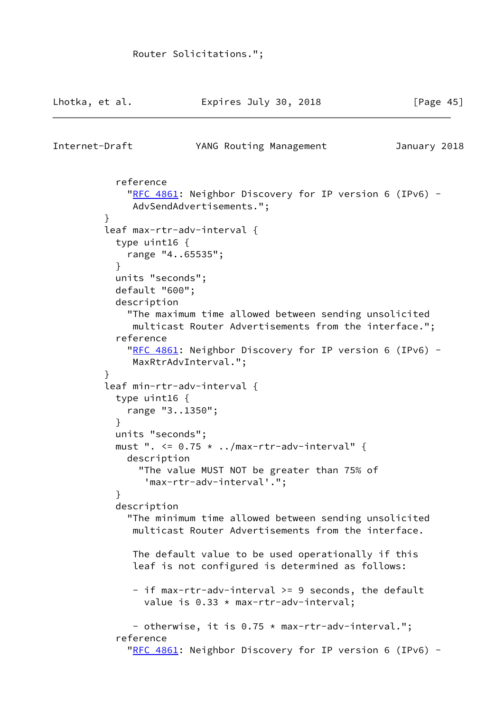```
Lhotka, et al.               Expires July 30, 2018               [Page 45]
Internet-Draft YANG Routing Management January 2018
            reference
             RFC 4861: Neighbor Discovery for IP version 6 (IPv6) -
               AdvSendAdvertisements.";
 }
          leaf max-rtr-adv-interval {
            type uint16 {
             range "4..65535";
 }
           units "seconds";
            default "600";
            description
              "The maximum time allowed between sending unsolicited
               multicast Router Advertisements from the interface.";
            reference
             RFC 4861: Neighbor Discovery for IP version 6 (IPv6) -
               MaxRtrAdvInterval.";
 }
          leaf min-rtr-adv-interval {
            type uint16 {
              range "3..1350";
 }
            units "seconds";
          must ". \leq 0.75 \times \ldots / \text{max-tr-adv-interval" } description
                "The value MUST NOT be greater than 75% of
                 'max-rtr-adv-interval'.";
 }
            description
              "The minimum time allowed between sending unsolicited
               multicast Router Advertisements from the interface.
              The default value to be used operationally if this
               leaf is not configured is determined as follows:
               - if max-rtr-adv-interval >= 9 seconds, the default
                value is 0.33 * max-rtr-adv-interval;
               - otherwise, it is 0.75 * max-rtr-adv-interval.";
            reference
             RFC 4861: Neighbor Discovery for IP version 6 (IPv6) -
```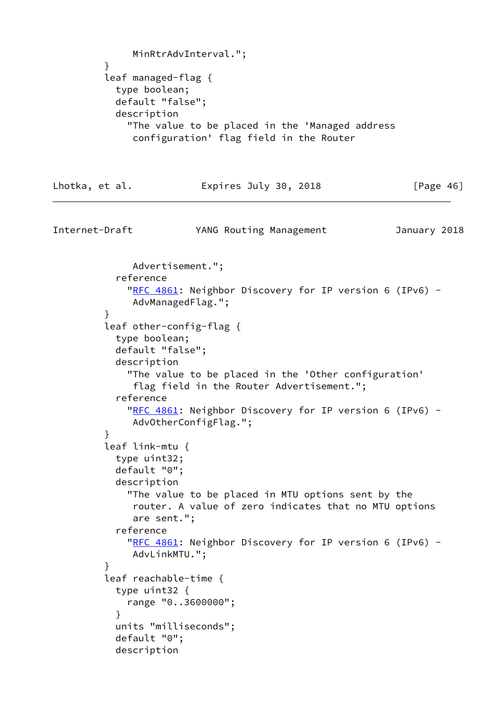```
 MinRtrAdvInterval.";
 }
         leaf managed-flag {
           type boolean;
           default "false";
           description
             "The value to be placed in the 'Managed address
              configuration' flag field in the Router
Lhotka, et al. Expires July 30, 2018 [Page 46]
Internet-Draft YANG Routing Management January 2018
              Advertisement.";
           reference
            RFC 4861: Neighbor Discovery for IP version 6 (IPv6) -
              AdvManagedFlag.";
         }
         leaf other-config-flag {
           type boolean;
           default "false";
           description
             "The value to be placed in the 'Other configuration'
              flag field in the Router Advertisement.";
           reference
            RFC 4861: Neighbor Discovery for IP version 6 (IPv6) -
              AdvOtherConfigFlag.";
 }
         leaf link-mtu {
           type uint32;
           default "0";
           description
             "The value to be placed in MTU options sent by the
              router. A value of zero indicates that no MTU options
              are sent.";
           reference
            RFC 4861: Neighbor Discovery for IP version 6 (IPv6) -
              AdvLinkMTU.";
 }
         leaf reachable-time {
           type uint32 {
             range "0..3600000";
 }
           units "milliseconds";
           default "0";
           description
```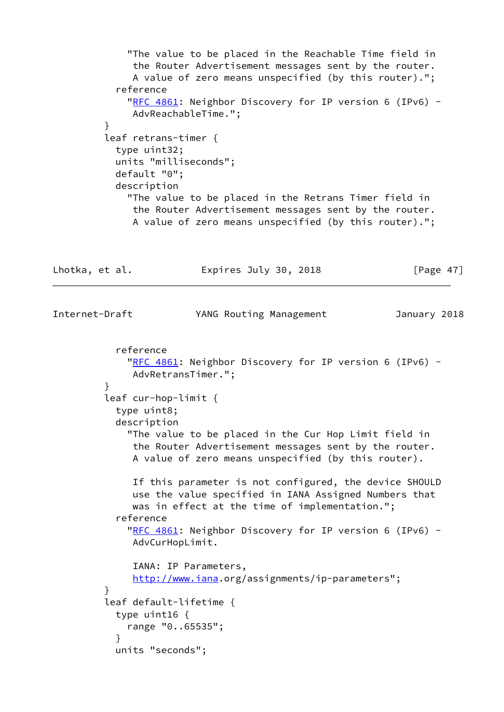"The value to be placed in the Reachable Time field in the Router Advertisement messages sent by the router. A value of zero means unspecified (by this router)."; reference "[RFC 4861:](https://datatracker.ietf.org/doc/pdf/rfc4861) Neighbor Discovery for IP version 6 (IPv6) - AdvReachableTime."; } leaf retrans-timer { type uint32; units "milliseconds"; default "0"; description "The value to be placed in the Retrans Timer field in the Router Advertisement messages sent by the router. A value of zero means unspecified (by this router)."; Lhotka, et al. **Expires July 30, 2018** [Page 47] Internet-Draft YANG Routing Management January 2018 reference "[RFC 4861:](https://datatracker.ietf.org/doc/pdf/rfc4861) Neighbor Discovery for IP version 6 (IPv6) - AdvRetransTimer."; } leaf cur-hop-limit { type uint8; description "The value to be placed in the Cur Hop Limit field in the Router Advertisement messages sent by the router. A value of zero means unspecified (by this router). If this parameter is not configured, the device SHOULD use the value specified in IANA Assigned Numbers that was in effect at the time of implementation."; reference "[RFC 4861:](https://datatracker.ietf.org/doc/pdf/rfc4861) Neighbor Discovery for IP version 6 (IPv6) - AdvCurHopLimit. IANA: IP Parameters, <http://www.iana>.org/assignments/ip-parameters"; } leaf default-lifetime { type uint16 { range "0..65535"; } units "seconds";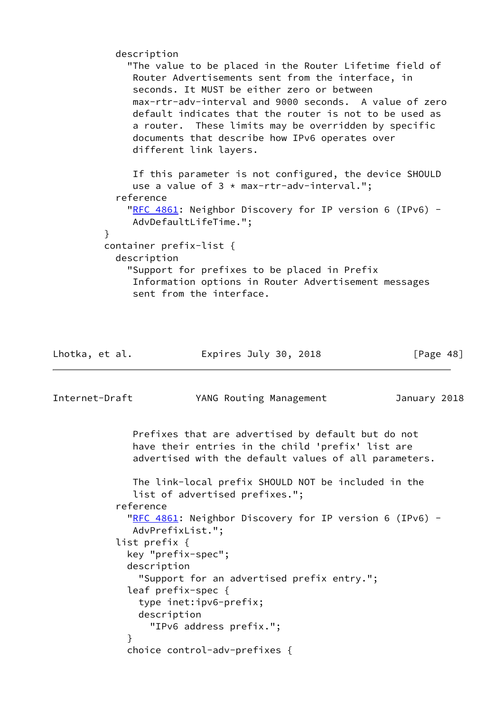description "The value to be placed in the Router Lifetime field of Router Advertisements sent from the interface, in seconds. It MUST be either zero or between max-rtr-adv-interval and 9000 seconds. A value of zero default indicates that the router is not to be used as a router. These limits may be overridden by specific documents that describe how IPv6 operates over different link layers. If this parameter is not configured, the device SHOULD use a value of  $3 * max-tr-adv-interval."$ ; reference "[RFC 4861:](https://datatracker.ietf.org/doc/pdf/rfc4861) Neighbor Discovery for IP version 6 (IPv6) - AdvDefaultLifeTime."; } container prefix-list { description "Support for prefixes to be placed in Prefix Information options in Router Advertisement messages sent from the interface.

Lhotka, et al. **Expires July 30, 2018** [Page 48] Internet-Draft YANG Routing Management January 2018 Prefixes that are advertised by default but do not have their entries in the child 'prefix' list are advertised with the default values of all parameters. The link-local prefix SHOULD NOT be included in the list of advertised prefixes."; reference "[RFC 4861:](https://datatracker.ietf.org/doc/pdf/rfc4861) Neighbor Discovery for IP version 6 (IPv6) - AdvPrefixList."; list prefix { key "prefix-spec"; description "Support for an advertised prefix entry."; leaf prefix-spec { type inet:ipv6-prefix; description "IPv6 address prefix."; } choice control-adv-prefixes {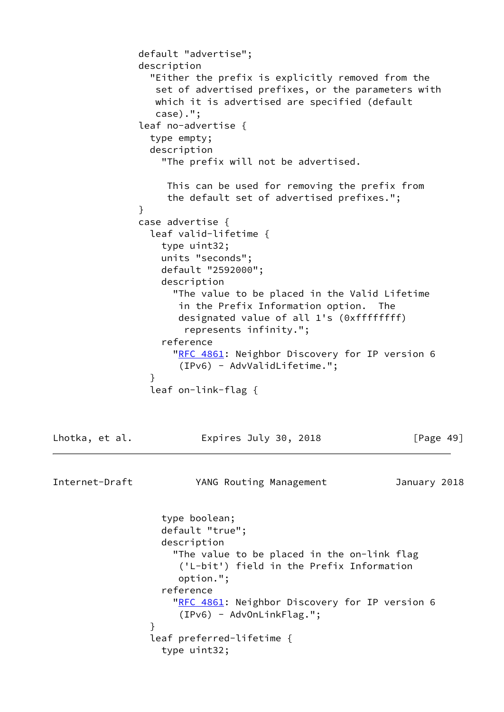```
 default "advertise";
               description
                  "Either the prefix is explicitly removed from the
                  set of advertised prefixes, or the parameters with
                  which it is advertised are specified (default
                  case).";
                leaf no-advertise {
                 type empty;
                 description
                   "The prefix will not be advertised.
                    This can be used for removing the prefix from
                    the default set of advertised prefixes.";
 }
               case advertise {
                 leaf valid-lifetime {
                   type uint32;
                   units "seconds";
                   default "2592000";
                   description
                     "The value to be placed in the Valid Lifetime
                      in the Prefix Information option. The
                      designated value of all 1's (0xffffffff)
                       represents infinity.";
                   reference
                    RFC 4861: Neighbor Discovery for IP version 6
                       (IPv6) - AdvValidLifetime.";
 }
                 leaf on-link-flag {
Lhotka, et al.             Expires July 30, 2018               [Page 49]
Internet-Draft YANG Routing Management January 2018
                   type boolean;
                   default "true";
                   description
                     "The value to be placed in the on-link flag
                       ('L-bit') field in the Prefix Information
                      option.";
                   reference
                     "RFC 4861: Neighbor Discovery for IP version 6
                      (IPv6) - AdvOnLinkFlag.";
 }
                 leaf preferred-lifetime {
                   type uint32;
```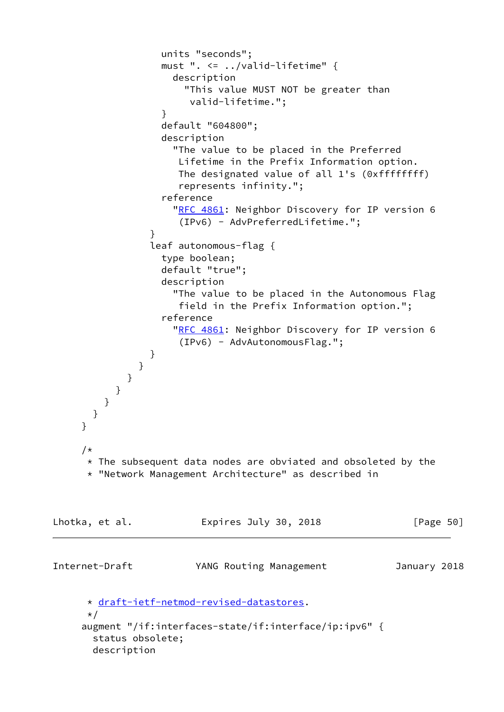```
 units "seconds";
                   must ". <= ../valid-lifetime" {
                    description
                      "This value MUST NOT be greater than
                       valid-lifetime.";
 }
                   default "604800";
                   description
                     "The value to be placed in the Preferred
                     Lifetime in the Prefix Information option.
                     The designated value of all 1's (0xffffffff)
                     represents infinity.";
                   reference
                    RFC 4861: Neighbor Discovery for IP version 6
                     (IPv6) - AdvPreferredLifetime.";
 }
                 leaf autonomous-flag {
                   type boolean;
                   default "true";
                   description
                     "The value to be placed in the Autonomous Flag
                     field in the Prefix Information option.";
                   reference
                    RFC 4861: Neighbor Discovery for IP version 6
                      (IPv6) - AdvAutonomousFlag.";
 }
 }
 }
 }
 }
       }
     }
     /*
     * The subsequent data nodes are obviated and obsoleted by the
      * "Network Management Architecture" as described in
Lhotka, et al.               Expires July 30, 2018               [Page 50]
Internet-Draft YANG Routing Management January 2018
      * draft-ietf-netmod-revised-datastores.
      */
     augment "/if:interfaces-state/if:interface/ip:ipv6" {
       status obsolete;
       description
```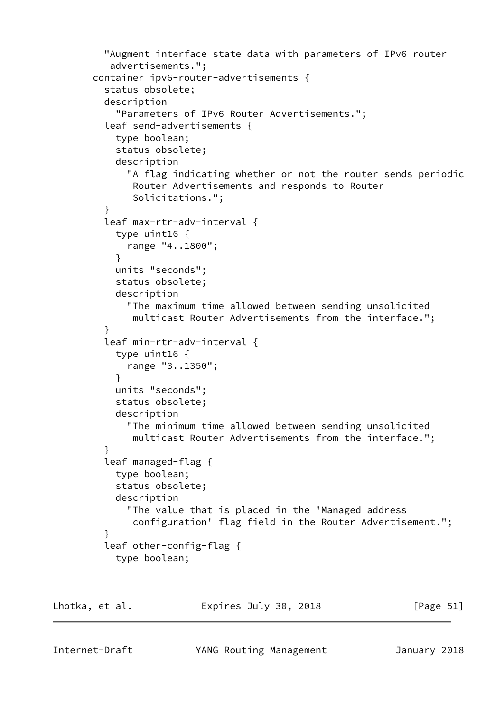```
 "Augment interface state data with parameters of IPv6 router
           advertisements.";
       container ipv6-router-advertisements {
          status obsolete;
         description
            "Parameters of IPv6 Router Advertisements.";
          leaf send-advertisements {
           type boolean;
           status obsolete;
           description
              "A flag indicating whether or not the router sends periodic
              Router Advertisements and responds to Router
              Solicitations.";
 }
          leaf max-rtr-adv-interval {
           type uint16 {
             range "4..1800";
 }
           units "seconds";
           status obsolete;
           description
              "The maximum time allowed between sending unsolicited
              multicast Router Advertisements from the interface.";
 }
          leaf min-rtr-adv-interval {
           type uint16 {
             range "3..1350";
 }
           units "seconds";
           status obsolete;
           description
             "The minimum time allowed between sending unsolicited
              multicast Router Advertisements from the interface.";
 }
          leaf managed-flag {
           type boolean;
            status obsolete;
           description
              "The value that is placed in the 'Managed address
              configuration' flag field in the Router Advertisement.";
 }
          leaf other-config-flag {
           type boolean;
```
Lhotka, et al. Expires July 30, 2018 [Page 51]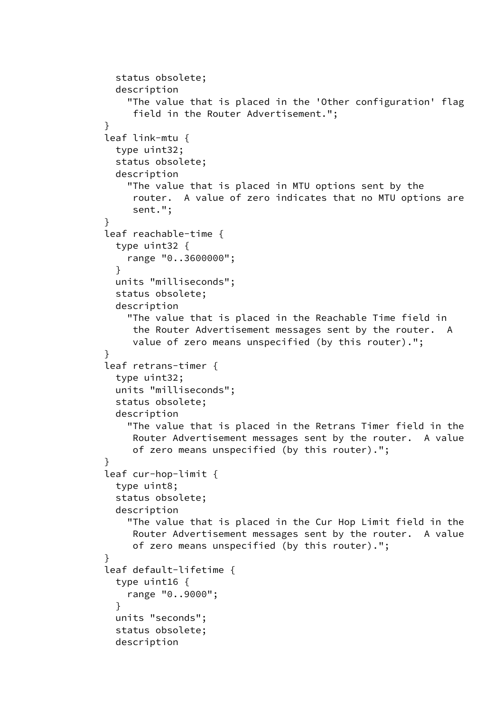```
 status obsolete;
           description
              "The value that is placed in the 'Other configuration' flag
              field in the Router Advertisement.";
 }
         leaf link-mtu {
           type uint32;
           status obsolete;
           description
              "The value that is placed in MTU options sent by the
               router. A value of zero indicates that no MTU options are
               sent.";
 }
         leaf reachable-time {
           type uint32 {
              range "0..3600000";
 }
           units "milliseconds";
           status obsolete;
           description
              "The value that is placed in the Reachable Time field in
              the Router Advertisement messages sent by the router. A
              value of zero means unspecified (by this router).";
 }
         leaf retrans-timer {
           type uint32;
           units "milliseconds";
           status obsolete;
           description
              "The value that is placed in the Retrans Timer field in the
              Router Advertisement messages sent by the router. A value
              of zero means unspecified (by this router).";
 }
         leaf cur-hop-limit {
           type uint8;
           status obsolete;
           description
              "The value that is placed in the Cur Hop Limit field in the
              Router Advertisement messages sent by the router. A value
              of zero means unspecified (by this router).";
 }
         leaf default-lifetime {
           type uint16 {
              range "0..9000";
 }
           units "seconds";
           status obsolete;
           description
```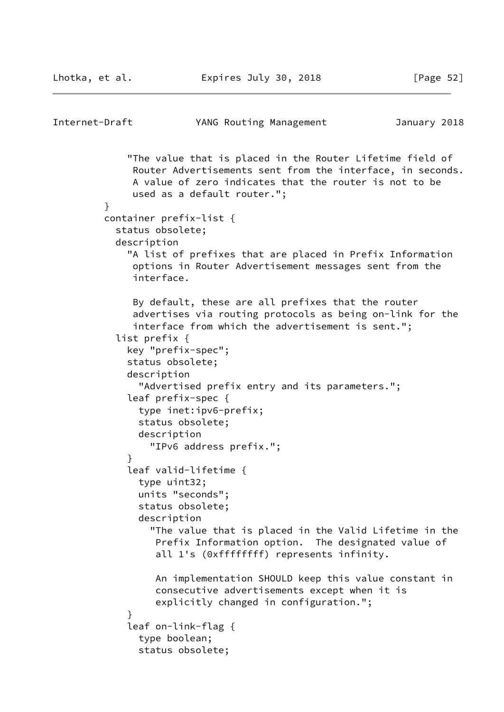```
Internet-Draft YANG Routing Management January 2018
              "The value that is placed in the Router Lifetime field of
               Router Advertisements sent from the interface, in seconds.
               A value of zero indicates that the router is not to be
               used as a default router.";
 }
          container prefix-list {
            status obsolete;
            description
              "A list of prefixes that are placed in Prefix Information
               options in Router Advertisement messages sent from the
               interface.
               By default, these are all prefixes that the router
               advertises via routing protocols as being on-link for the
               interface from which the advertisement is sent.";
            list prefix {
              key "prefix-spec";
              status obsolete;
              description
                "Advertised prefix entry and its parameters.";
              leaf prefix-spec {
                type inet:ipv6-prefix;
                status obsolete;
                description
                  "IPv6 address prefix.";
 }
              leaf valid-lifetime {
                type uint32;
                units "seconds";
                status obsolete;
                description
                  "The value that is placed in the Valid Lifetime in the
                   Prefix Information option. The designated value of
                   all 1's (0xffffffff) represents infinity.
                   An implementation SHOULD keep this value constant in
                   consecutive advertisements except when it is
                   explicitly changed in configuration.";
 }
              leaf on-link-flag {
                type boolean;
                status obsolete;
```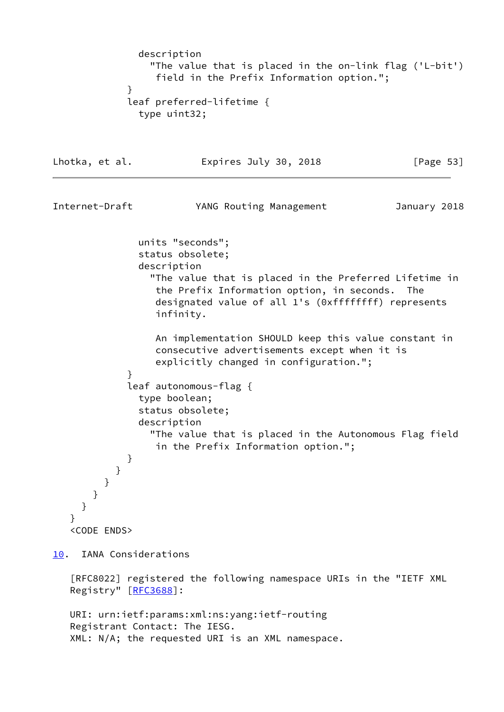```
 description
                 "The value that is placed in the on-link flag ('L-bit')
                  field in the Prefix Information option.";
 }
             leaf preferred-lifetime {
               type uint32;
Lhotka, et al. Expires July 30, 2018 [Page 53]
Internet-Draft YANG Routing Management January 2018
               units "seconds";
               status obsolete;
               description
                 "The value that is placed in the Preferred Lifetime in
                  the Prefix Information option, in seconds. The
                  designated value of all 1's (0xffffffff) represents
                  infinity.
                  An implementation SHOULD keep this value constant in
                  consecutive advertisements except when it is
                  explicitly changed in configuration.";
 }
             leaf autonomous-flag {
               type boolean;
               status obsolete;
               description
                 "The value that is placed in the Autonomous Flag field
                  in the Prefix Information option.";
 }
           }
         }
       }
     }
    }
    <CODE ENDS>
10. IANA Considerations
    [RFC8022] registered the following namespace URIs in the "IETF XML
   Registry" [RFC3688]:
   URI: urn:ietf:params:xml:ns:yang:ietf-routing
   Registrant Contact: The IESG.
   XML: N/A; the requested URI is an XML namespace.
```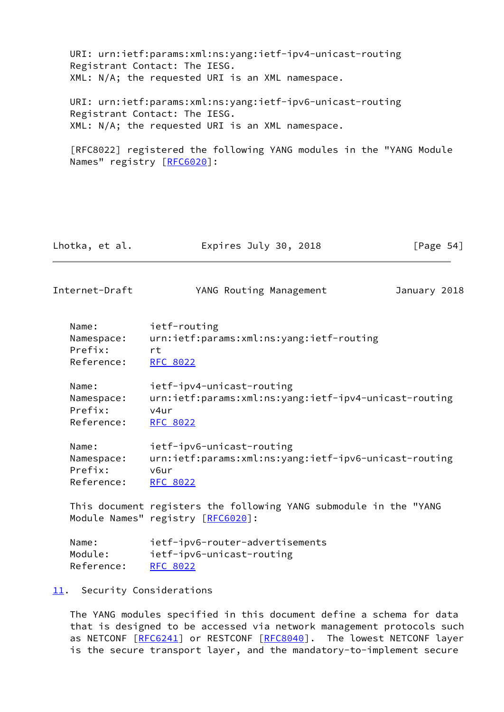URI: urn:ietf:params:xml:ns:yang:ietf-ipv4-unicast-routing Registrant Contact: The IESG. XML: N/A; the requested URI is an XML namespace. URI: urn:ietf:params:xml:ns:yang:ietf-ipv6-unicast-routing Registrant Contact: The IESG.

XML: N/A; the requested URI is an XML namespace.

 [RFC8022] registered the following YANG modules in the "YANG Module Names" registry [\[RFC6020](https://datatracker.ietf.org/doc/pdf/rfc6020)]:

| Lhotka, et al. | Expires July 30, 2018 | [Page $54$ ] |
|----------------|-----------------------|--------------|
|                |                       |              |

Internet-Draft YANG Routing Management January 2018

| Name:      | ietf-routing                             |
|------------|------------------------------------------|
| Namespace: | urn:ietf:params:xml:ns:yang:ietf-routing |
| Prefix:    | rt.                                      |
| Reference: | RFC 8022                                 |

 Name: ietf-ipv4-unicast-routing Namespace: urn:ietf:params:xml:ns:yang:ietf-ipv4-unicast-routing Prefix: v4ur Reference: [RFC 8022](https://datatracker.ietf.org/doc/pdf/rfc8022)

| Name:      | ietf-ipv6-unicast-routing                             |
|------------|-------------------------------------------------------|
| Namespace: | urn:ietf:params:xml:ns:yang:ietf-ipv6-unicast-routing |
| Prefix:    | v6ur                                                  |
| Reference: | RFC 8022                                              |

 This document registers the following YANG submodule in the "YANG Module Names" registry [\[RFC6020](https://datatracker.ietf.org/doc/pdf/rfc6020)]:

| Name:      | ietf-ipv6-router-advertisements |
|------------|---------------------------------|
| Module:    | ietf-ipv6-unicast-routing       |
| Reference: | RFC 8022                        |

## <span id="page-61-0"></span>[11.](#page-61-0) Security Considerations

 The YANG modules specified in this document define a schema for data that is designed to be accessed via network management protocols such as NETCONF [[RFC6241\]](https://datatracker.ietf.org/doc/pdf/rfc6241) or RESTCONF [\[RFC8040](https://datatracker.ietf.org/doc/pdf/rfc8040)]. The lowest NETCONF layer is the secure transport layer, and the mandatory-to-implement secure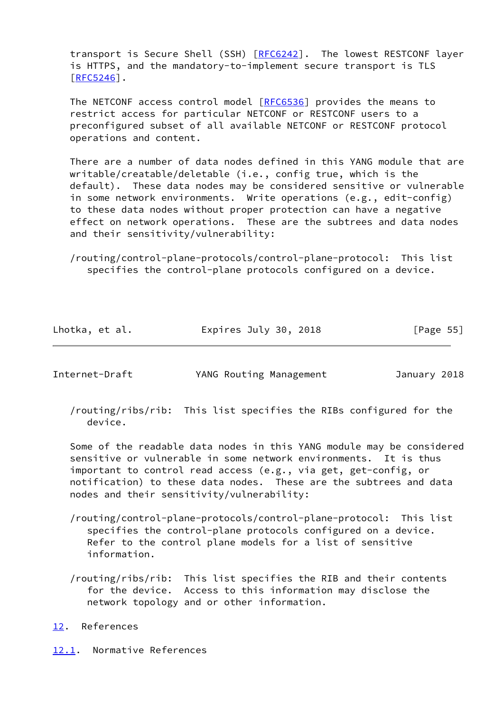transport is Secure Shell (SSH) [\[RFC6242](https://datatracker.ietf.org/doc/pdf/rfc6242)]. The lowest RESTCONF layer is HTTPS, and the mandatory-to-implement secure transport is TLS [\[RFC5246](https://datatracker.ietf.org/doc/pdf/rfc5246)].

 The NETCONF access control model [\[RFC6536](https://datatracker.ietf.org/doc/pdf/rfc6536)] provides the means to restrict access for particular NETCONF or RESTCONF users to a preconfigured subset of all available NETCONF or RESTCONF protocol operations and content.

 There are a number of data nodes defined in this YANG module that are writable/creatable/deletable (i.e., config true, which is the default). These data nodes may be considered sensitive or vulnerable in some network environments. Write operations (e.g., edit-config) to these data nodes without proper protection can have a negative effect on network operations. These are the subtrees and data nodes and their sensitivity/vulnerability:

 /routing/control-plane-protocols/control-plane-protocol: This list specifies the control-plane protocols configured on a device.

| Lhotka, et al. | Expires July 30, 2018 | [Page 55] |
|----------------|-----------------------|-----------|
|----------------|-----------------------|-----------|

Internet-Draft YANG Routing Management January 2018

 /routing/ribs/rib: This list specifies the RIBs configured for the device.

 Some of the readable data nodes in this YANG module may be considered sensitive or vulnerable in some network environments. It is thus important to control read access (e.g., via get, get-config, or notification) to these data nodes. These are the subtrees and data nodes and their sensitivity/vulnerability:

- /routing/control-plane-protocols/control-plane-protocol: This list specifies the control-plane protocols configured on a device. Refer to the control plane models for a list of sensitive information.
- /routing/ribs/rib: This list specifies the RIB and their contents for the device. Access to this information may disclose the network topology and or other information.
- <span id="page-62-0"></span>[12.](#page-62-0) References

<span id="page-62-1"></span>[12.1](#page-62-1). Normative References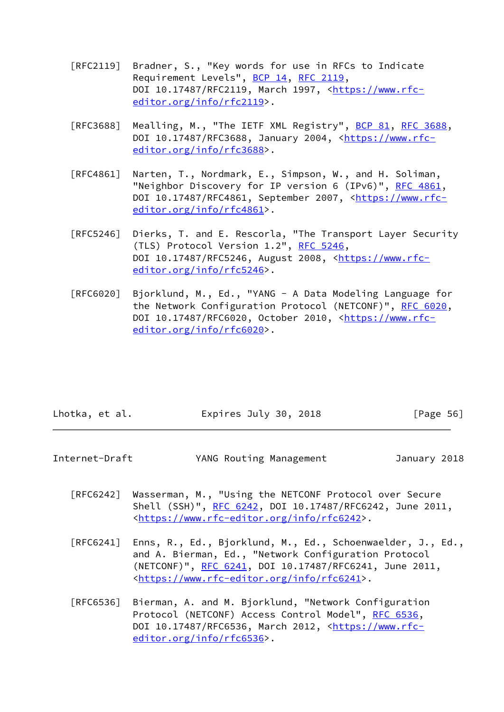- [RFC2119] Bradner, S., "Key words for use in RFCs to Indicate Requirement Levels", [BCP 14](https://datatracker.ietf.org/doc/pdf/bcp14), [RFC 2119](https://datatracker.ietf.org/doc/pdf/rfc2119), DOI 10.17487/RFC2119, March 1997, [<https://www.rfc](https://www.rfc-editor.org/info/rfc2119) [editor.org/info/rfc2119](https://www.rfc-editor.org/info/rfc2119)>.
- [RFC3688] Mealling, M., "The IETF XML Registry", [BCP 81](https://datatracker.ietf.org/doc/pdf/bcp81), [RFC 3688](https://datatracker.ietf.org/doc/pdf/rfc3688), DOI 10.17487/RFC3688, January 2004, [<https://www.rfc](https://www.rfc-editor.org/info/rfc3688) [editor.org/info/rfc3688](https://www.rfc-editor.org/info/rfc3688)>.
- [RFC4861] Narten, T., Nordmark, E., Simpson, W., and H. Soliman, "Neighbor Discovery for IP version 6 (IPv6)", [RFC 4861](https://datatracker.ietf.org/doc/pdf/rfc4861), DOI 10.17487/RFC4861, September 2007, [<https://www.rfc](https://www.rfc-editor.org/info/rfc4861) [editor.org/info/rfc4861](https://www.rfc-editor.org/info/rfc4861)>.
- [RFC5246] Dierks, T. and E. Rescorla, "The Transport Layer Security (TLS) Protocol Version 1.2", [RFC 5246](https://datatracker.ietf.org/doc/pdf/rfc5246), DOI 10.17487/RFC5246, August 2008, <[https://www.rfc](https://www.rfc-editor.org/info/rfc5246) [editor.org/info/rfc5246](https://www.rfc-editor.org/info/rfc5246)>.
- [RFC6020] Bjorklund, M., Ed., "YANG A Data Modeling Language for the Network Configuration Protocol (NETCONF)", [RFC 6020](https://datatracker.ietf.org/doc/pdf/rfc6020), DOI 10.17487/RFC6020, October 2010, [<https://www.rfc](https://www.rfc-editor.org/info/rfc6020) [editor.org/info/rfc6020](https://www.rfc-editor.org/info/rfc6020)>.

| [Page 56]<br>Expires July 30, 2018<br>Lhotka, et al. |  |
|------------------------------------------------------|--|
|------------------------------------------------------|--|

| Internet-Draft | YANG Routing Management | January 2018 |
|----------------|-------------------------|--------------|
|----------------|-------------------------|--------------|

- [RFC6242] Wasserman, M., "Using the NETCONF Protocol over Secure Shell (SSH)", [RFC 6242](https://datatracker.ietf.org/doc/pdf/rfc6242), DOI 10.17487/RFC6242, June 2011, <[https://www.rfc-editor.org/info/rfc6242>](https://www.rfc-editor.org/info/rfc6242).
- [RFC6241] Enns, R., Ed., Bjorklund, M., Ed., Schoenwaelder, J., Ed., and A. Bierman, Ed., "Network Configuration Protocol (NETCONF)", [RFC 6241,](https://datatracker.ietf.org/doc/pdf/rfc6241) DOI 10.17487/RFC6241, June 2011, <[https://www.rfc-editor.org/info/rfc6241>](https://www.rfc-editor.org/info/rfc6241).
- [RFC6536] Bierman, A. and M. Bjorklund, "Network Configuration Protocol (NETCONF) Access Control Model", [RFC 6536](https://datatracker.ietf.org/doc/pdf/rfc6536), DOI 10.17487/RFC6536, March 2012, [<https://www.rfc](https://www.rfc-editor.org/info/rfc6536) [editor.org/info/rfc6536](https://www.rfc-editor.org/info/rfc6536)>.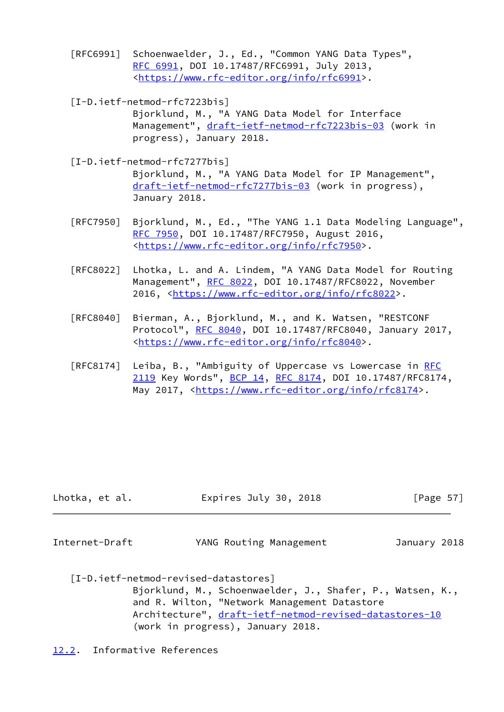- [RFC6991] Schoenwaelder, J., Ed., "Common YANG Data Types", [RFC 6991,](https://datatracker.ietf.org/doc/pdf/rfc6991) DOI 10.17487/RFC6991, July 2013, <[https://www.rfc-editor.org/info/rfc6991>](https://www.rfc-editor.org/info/rfc6991).
- [I-D.ietf-netmod-rfc7223bis] Bjorklund, M., "A YANG Data Model for Interface Management", [draft-ietf-netmod-rfc7223bis-03](https://datatracker.ietf.org/doc/pdf/draft-ietf-netmod-rfc7223bis-03) (work in progress), January 2018.
- [I-D.ietf-netmod-rfc7277bis] Bjorklund, M., "A YANG Data Model for IP Management", [draft-ietf-netmod-rfc7277bis-03](https://datatracker.ietf.org/doc/pdf/draft-ietf-netmod-rfc7277bis-03) (work in progress), January 2018.
- [RFC7950] Bjorklund, M., Ed., "The YANG 1.1 Data Modeling Language", [RFC 7950,](https://datatracker.ietf.org/doc/pdf/rfc7950) DOI 10.17487/RFC7950, August 2016, <[https://www.rfc-editor.org/info/rfc7950>](https://www.rfc-editor.org/info/rfc7950).
- [RFC8022] Lhotka, L. and A. Lindem, "A YANG Data Model for Routing Management", [RFC 8022](https://datatracker.ietf.org/doc/pdf/rfc8022), DOI 10.17487/RFC8022, November 2016, [<https://www.rfc-editor.org/info/rfc8022](https://www.rfc-editor.org/info/rfc8022)>.
- [RFC8040] Bierman, A., Bjorklund, M., and K. Watsen, "RESTCONF Protocol", [RFC 8040](https://datatracker.ietf.org/doc/pdf/rfc8040), DOI 10.17487/RFC8040, January 2017, <[https://www.rfc-editor.org/info/rfc8040>](https://www.rfc-editor.org/info/rfc8040).
- [RFC8174] Leiba, B., "Ambiguity of Uppercase vs Lowercase in [RFC](https://datatracker.ietf.org/doc/pdf/rfc2119) [2119](https://datatracker.ietf.org/doc/pdf/rfc2119) Key Words", [BCP 14](https://datatracker.ietf.org/doc/pdf/bcp14), [RFC 8174,](https://datatracker.ietf.org/doc/pdf/rfc8174) DOI 10.17487/RFC8174, May 2017, [<https://www.rfc-editor.org/info/rfc8174](https://www.rfc-editor.org/info/rfc8174)>.

| Expires July 30, 2018<br>Lhotka, et al. | [Page 57] |
|-----------------------------------------|-----------|
|-----------------------------------------|-----------|

Internet-Draft YANG Routing Management January 2018

 [I-D.ietf-netmod-revised-datastores] Bjorklund, M., Schoenwaelder, J., Shafer, P., Watsen, K., and R. Wilton, "Network Management Datastore Architecture", [draft-ietf-netmod-revised-datastores-10](https://datatracker.ietf.org/doc/pdf/draft-ietf-netmod-revised-datastores-10) (work in progress), January 2018.

<span id="page-64-0"></span>[12.2](#page-64-0). Informative References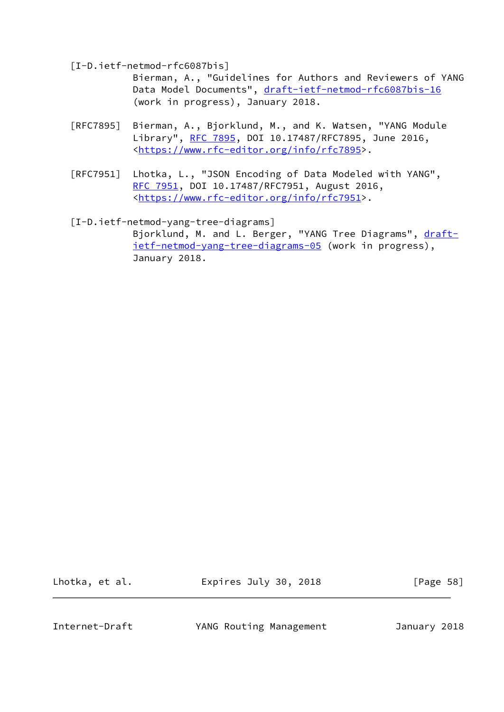[I-D.ietf-netmod-rfc6087bis]

 Bierman, A., "Guidelines for Authors and Reviewers of YANG Data Model Documents", [draft-ietf-netmod-rfc6087bis-16](https://datatracker.ietf.org/doc/pdf/draft-ietf-netmod-rfc6087bis-16) (work in progress), January 2018.

- [RFC7895] Bierman, A., Bjorklund, M., and K. Watsen, "YANG Module Library", [RFC 7895](https://datatracker.ietf.org/doc/pdf/rfc7895), DOI 10.17487/RFC7895, June 2016, <[https://www.rfc-editor.org/info/rfc7895>](https://www.rfc-editor.org/info/rfc7895).
- [RFC7951] Lhotka, L., "JSON Encoding of Data Modeled with YANG", [RFC 7951,](https://datatracker.ietf.org/doc/pdf/rfc7951) DOI 10.17487/RFC7951, August 2016, <[https://www.rfc-editor.org/info/rfc7951>](https://www.rfc-editor.org/info/rfc7951).

 [I-D.ietf-netmod-yang-tree-diagrams] Bjorklund, M. and L. Berger, "YANG Tree Diagrams", [draft](https://datatracker.ietf.org/doc/pdf/draft-ietf-netmod-yang-tree-diagrams-05) [ietf-netmod-yang-tree-diagrams-05](https://datatracker.ietf.org/doc/pdf/draft-ietf-netmod-yang-tree-diagrams-05) (work in progress), January 2018.

Lhotka, et al. **Expires July 30, 2018** [Page 58]

Internet-Draft YANG Routing Management January 2018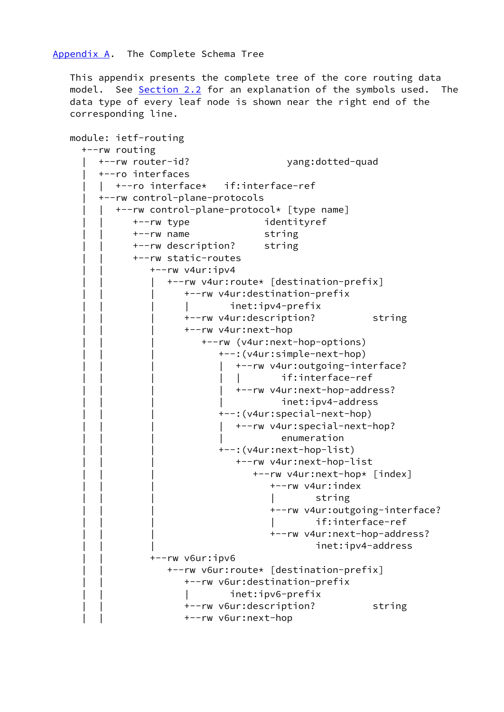<span id="page-66-0"></span> This appendix presents the complete tree of the core routing data model. See [Section 2.2](#page-4-0) for an explanation of the symbols used. The data type of every leaf node is shown near the right end of the corresponding line.

```
 module: ietf-routing
   +--rw routing
      | +--rw router-id? yang:dotted-quad
      | +--ro interfaces
      | | +--ro interface* if:interface-ref
      | +--rw control-plane-protocols
         | | +--rw control-plane-protocol* [type name]
             | | +--rw type identityref
             | | +--rw name string
             | | +--rw description? string
             | | +--rw static-routes
               +--rw v4ur:ipv4 | | | +--rw v4ur:route* [destination-prefix]
                       | | | +--rw v4ur:destination-prefix
                       | | | | inet:ipv4-prefix
                       | | | +--rw v4ur:description? string
                       | | | +--rw v4ur:next-hop
                          | | | +--rw (v4ur:next-hop-options)
                             | | | +--:(v4ur:simple-next-hop)
                             | +--rw v4ur:outgoing-interface?
                                        if:interface-ref
                             | +--rw v4ur:next-hop-address?
                                        inet:ipv4-address
                             | | | +--:(v4ur:special-next-hop)
                               | | | | +--rw v4ur:special-next-hop?
                                        enumeration
                             | | | +--:(v4ur:next-hop-list)
                                 | | | +--rw v4ur:next-hop-list
                                    | | | +--rw v4ur:next-hop* [index]
                                       | | | +--rw v4ur:index
                                               string
                                       | | | +--rw v4ur:outgoing-interface?
                                               if:interface-ref
                                       | | | +--rw v4ur:next-hop-address?
                                               inet:ipv4-address
                | | +--rw v6ur:ipv6
                   | | +--rw v6ur:route* [destination-prefix]
                       | | +--rw v6ur:destination-prefix
                       | | | inet:ipv6-prefix
                       | | +--rw v6ur:description? string
                       | | +--rw v6ur:next-hop
```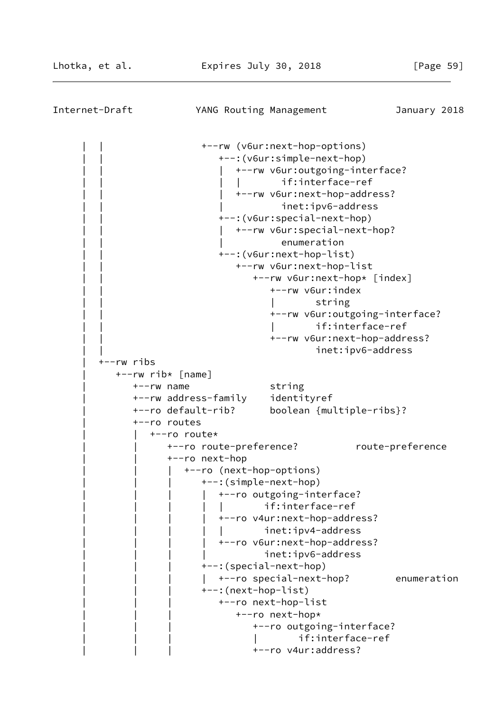| Internet-Draft | YANG Routing Management                                                                                                                                            |                                                                                                                                                                                                                                                                                                                                                                                                                                                                                                                                                | January 2018                    |
|----------------|--------------------------------------------------------------------------------------------------------------------------------------------------------------------|------------------------------------------------------------------------------------------------------------------------------------------------------------------------------------------------------------------------------------------------------------------------------------------------------------------------------------------------------------------------------------------------------------------------------------------------------------------------------------------------------------------------------------------------|---------------------------------|
| +--rw ribs     | +--rw rib* [name]<br>$+--rw$ name<br>+--rw address-family<br>+--ro default-rib?<br>+--ro routes                                                                    | +--rw (v6ur:next-hop-options)<br>+--: (v6ur:simple-next-hop)<br>+--rw v6ur:outgoing-interface?<br>if:interface-ref<br>+--rw v6ur:next-hop-address?<br>inet:ipv6-address<br>+--: (v6ur: special-next-hop)<br>+--rw v6ur:special-next-hop?<br>enumeration<br>+--: (v6ur:next-hop-list)<br>+--rw v6ur:next-hop-list<br>+--rw v6ur:next-hop* [index]<br>+--rw v6ur:index<br>string<br>+--rw v6ur:outgoing-interface?<br>if:interface-ref<br>+--rw v6ur:next-hop-address?<br>inet:ipv6-address<br>string<br>identityref<br>boolean {multiple-ribs}? |                                 |
|                | +--ro route*<br>+--ro route-preference?<br>+--ro next-hop<br>+--ro (next-hop-options)<br>+--: (simple-next-hop)<br>+--: (special-next-hop)<br>+--: (next-hop-list) | +--ro outgoing-interface?<br>if:interface-ref<br>+--ro v4ur:next-hop-address?<br>inet:ipv4-address<br>+--ro v6ur:next-hop-address?<br>inet:ipv6-address<br>+--ro special-next-hop?<br>+--ro next-hop-list<br>+--ro next-hop*<br>+--ro outgoing-interface?<br>if:interface-ref<br>+--ro v4ur:address?                                                                                                                                                                                                                                           | route-preference<br>enumeration |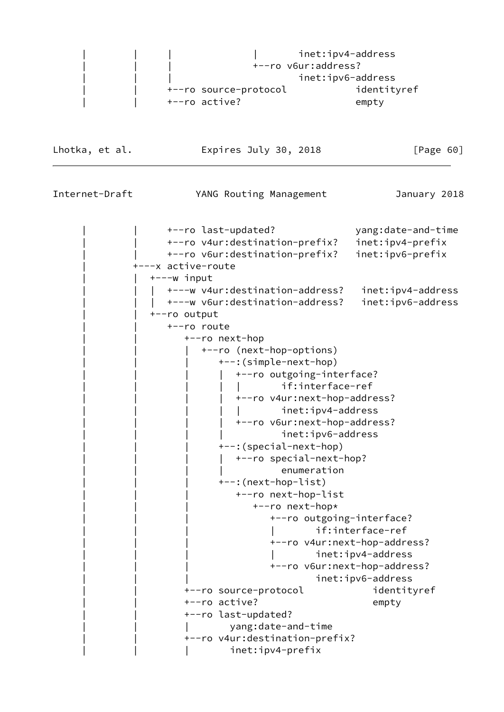|  |                       | inet:ipv4-address |
|--|-----------------------|-------------------|
|  | +--ro v6ur:address?   |                   |
|  |                       | inet:ipv6-address |
|  | +--ro source-protocol | identityref       |
|  | +--ro active?         | empty             |
|  |                       |                   |

Lhotka, et al. **Expires July 30, 2018** [Page 60]

Internet-Draft YANG Routing Management January 2018

 | | +--ro last-updated? yang:date-and-time | | +--ro v4ur:destination-prefix? inet:ipv4-prefix | | +--ro v6ur:destination-prefix? inet:ipv6-prefix | +---x active-route  $+---w$  input | | | +---w v4ur:destination-address? inet:ipv4-address | | | +---w v6ur:destination-address? inet:ipv6-address | | +--ro output +--ro route | | +--ro next-hop | | | +--ro (next-hop-options) | | | +--:(simple-next-hop) | | | | +--ro outgoing-interface? | | | | | if:interface-ref | | | | +--ro v4ur:next-hop-address? inet:ipv4-address | | | | +--ro v6ur:next-hop-address? inet:ipv6-address | | | +--:(special-next-hop) | | | | +--ro special-next-hop? enumeration | | | +--:(next-hop-list) | | | +--ro next-hop-list +--ro next-hop\* | | | +--ro outgoing-interface? if:interface-ref | | | +--ro v4ur:next-hop-address? inet:ipv4-address | | | +--ro v6ur:next-hop-address? inet:ipv6-address | | +--ro source-protocol identityref | | +--ro active? empty | | +--ro last-updated? | | | yang:date-and-time | | +--ro v4ur:destination-prefix? inet:ipv4-prefix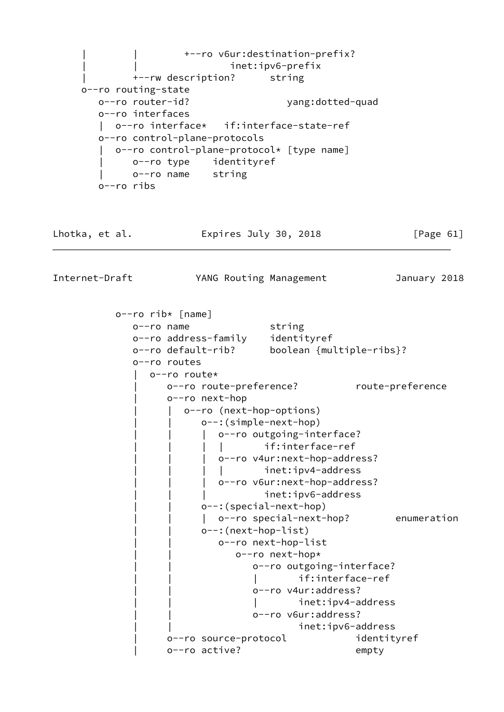| | +--ro v6ur:destination-prefix? inet:ipv6-prefix | +--rw description? string o--ro routing-state o--ro router-id? yang:dotted-quad o--ro interfaces | o--ro interface\* if:interface-state-ref o--ro control-plane-protocols | o--ro control-plane-protocol\* [type name] | o--ro type identityref | o--ro name string o--ro ribs Lhotka, et al. Expires July 30, 2018 [Page 61] Internet-Draft YANG Routing Management January 2018 o--ro rib\* [name] o--ro name string o--ro address-family identityref o--ro default-rib? boolean {multiple-ribs}? o--ro routes | o--ro route\* o--ro route-preference? route-preference | o--ro next-hop o--ro (next-hop-options) o--: (simple-next-hop) | o--ro outgoing-interface? | | | | if:interface-ref o--ro v4ur:next-hop-address? | | | | inet:ipv4-address | o--ro v6ur:next-hop-address? inet:ipv6-address o--: (special-next-hop) | o--ro special-next-hop? enumeration o--: (next-hop-list) | | o--ro next-hop-list o--ro next-hop\* o--ro outgoing-interface? if:interface-ref | | o--ro v4ur:address? inet:ipv4-address o--ro v6ur:address? inet:ipv6-address o--ro source-protocol identityref | o--ro active? empty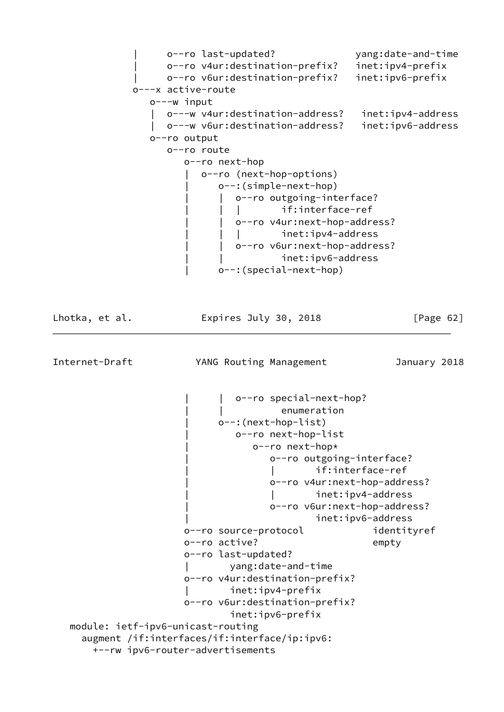| o--ro last-updated? yang:date-and-time | o--ro v4ur:destination-prefix? inet:ipv4-prefix | o--ro v6ur:destination-prefix? inet:ipv6-prefix o---x active-route o---w input | o---w v4ur:destination-address? inet:ipv4-address | o---w v6ur:destination-address? inet:ipv6-address o--ro output o--ro route o--ro next-hop | o--ro (next-hop-options) | o--:(simple-next-hop) | o--ro outgoing-interface? if:interface-ref o--ro v4ur:next-hop-address? inet:ipv4-address o--ro v6ur:next-hop-address? | | inet:ipv6-address | o--:(special-next-hop) Lhotka, et al. **Expires July 30, 2018** [Page 62] Internet-Draft YANG Routing Management January 2018 | | o--ro special-next-hop? enumeration | o--:(next-hop-list) | o--ro next-hop-list | o--ro next-hop\* | o--ro outgoing-interface? if:interface-ref | o--ro v4ur:next-hop-address? | | inet:ipv4-address | o--ro v6ur:next-hop-address? | inet:ipv6-address o--ro source-protocol identityref o--ro active? empty o--ro last-updated? | yang:date-and-time o--ro v4ur:destination-prefix? | inet:ipv4-prefix o--ro v6ur:destination-prefix? inet:ipv6-prefix module: ietf-ipv6-unicast-routing augment /if:interfaces/if:interface/ip:ipv6: +--rw ipv6-router-advertisements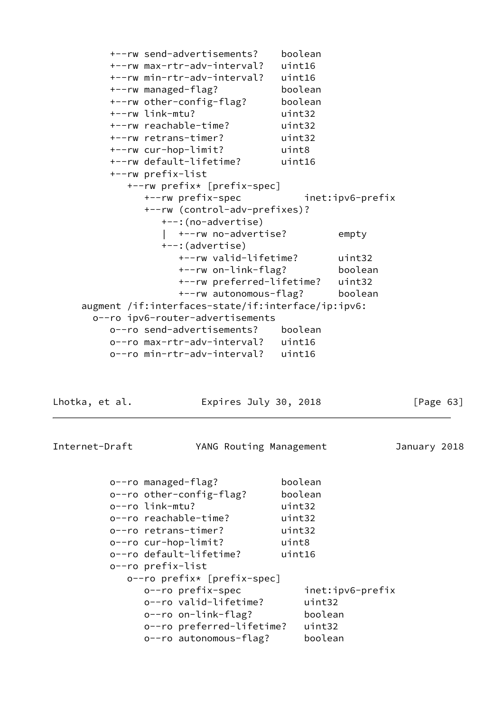| +--rw send-advertisements?                         | boolean |                  |
|----------------------------------------------------|---------|------------------|
| +--rw max-rtr-adv-interval?                        | uint16  |                  |
| +--rw min-rtr-adv-interval?                        | uint16  |                  |
| +--rw managed-flag?                                | boolean |                  |
| +--rw other-config-flag?                           | boolean |                  |
| +--rw link-mtu?                                    | uint32  |                  |
| +--rw reachable-time?                              | uint32  |                  |
| +--rw retrans-timer?                               | uint32  |                  |
| +--rw cur-hop-limit?                               | uint8   |                  |
| +--rw default-lifetime?                            | uint16  |                  |
| +--rw prefix-list                                  |         |                  |
| +--rw prefix* [prefix-spec]                        |         |                  |
| +--rw prefix-spec                                  |         | inet:ipv6-prefix |
| +--rw (control-adv-prefixes)?                      |         |                  |
| +--: (no-advertise)                                |         |                  |
| +--rw no-advertise?                                |         | empty            |
| +--:(advertise)                                    |         |                  |
| +--rw valid-lifetime?                              |         | uint32           |
| +--rw on-link-flag?                                |         | boolean          |
| +--rw preferred-lifetime? uint32                   |         |                  |
| +--rw autonomous-flag?                             |         | boolean          |
| augment /if:interfaces-state/if:interface/ip:ipv6: |         |                  |
| o--ro ipv6-router-advertisements                   |         |                  |
| o--ro send-advertisements?                         | boolean |                  |
| o--ro max-rtr-adv-interval? uint16                 |         |                  |
| o--ro min-rtr-adv-interval?                        | uint16  |                  |

Lhotka, et al. **Expires July 30, 2018** [Page 63]

Internet-Draft YANG Routing Management January 2018

|                             | o--ro managed-flag?       | boolean          |
|-----------------------------|---------------------------|------------------|
|                             | o--ro other-config-flag?  | boolean          |
|                             | o--ro link-mtu?           | uint32           |
|                             | o--ro reachable-time?     | uint32           |
|                             | o--ro retrans-timer?      | uint32           |
|                             | o--ro cur-hop-limit?      | uint8            |
|                             | o--ro default-lifetime?   | uint16           |
|                             | o--ro prefix-list         |                  |
| o--ro prefix* [prefix-spec] |                           |                  |
|                             | o--ro prefix-spec         | inet:ipv6-prefix |
|                             | o--ro valid-lifetime?     | uint32           |
|                             | o--ro on-link-flag?       | boolean          |
|                             | o--ro preferred-lifetime? | uint32           |
|                             | o--ro autonomous-flag?    | boolean          |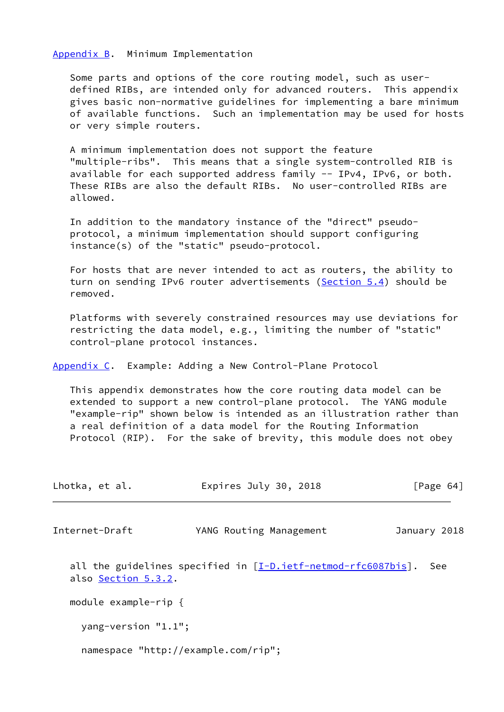## <span id="page-72-0"></span>[Appendix B.](#page-72-0) Minimum Implementation

 Some parts and options of the core routing model, such as user defined RIBs, are intended only for advanced routers. This appendix gives basic non-normative guidelines for implementing a bare minimum of available functions. Such an implementation may be used for hosts or very simple routers.

 A minimum implementation does not support the feature "multiple-ribs". This means that a single system-controlled RIB is available for each supported address family -- IPv4, IPv6, or both. These RIBs are also the default RIBs. No user-controlled RIBs are allowed.

 In addition to the mandatory instance of the "direct" pseudo protocol, a minimum implementation should support configuring instance(s) of the "static" pseudo-protocol.

 For hosts that are never intended to act as routers, the ability to turn on sending IPv6 router advertisements ([Section 5.4\)](#page-11-0) should be removed.

 Platforms with severely constrained resources may use deviations for restricting the data model, e.g., limiting the number of "static" control-plane protocol instances.

<span id="page-72-1"></span>[Appendix C.](#page-72-1) Example: Adding a New Control-Plane Protocol

 This appendix demonstrates how the core routing data model can be extended to support a new control-plane protocol. The YANG module "example-rip" shown below is intended as an illustration rather than a real definition of a data model for the Routing Information Protocol (RIP). For the sake of brevity, this module does not obey

| Lhotka, et al.          | Expires July 30, 2018                                            | [Page 64]    |
|-------------------------|------------------------------------------------------------------|--------------|
| Internet-Draft          | YANG Routing Management                                          | January 2018 |
| also Section 5.3.2.     | all the guidelines specified in $[I-D.ietf-netmod-rfc6087bis]$ . | See          |
| module example-rip $\{$ |                                                                  |              |
| yang-version "1.1";     |                                                                  |              |
|                         | namespace "http://example.com/rip";                              |              |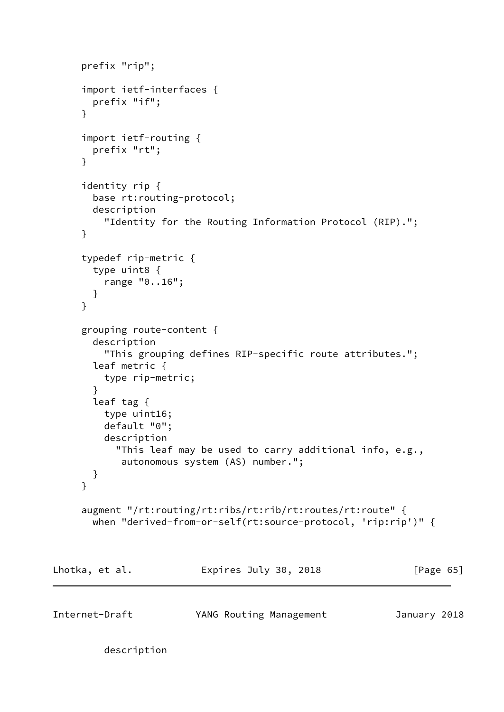```
 prefix "rip";
      import ietf-interfaces {
       prefix "if";
      }
      import ietf-routing {
       prefix "rt";
      }
      identity rip {
        base rt:routing-protocol;
        description
          "Identity for the Routing Information Protocol (RIP).";
      }
      typedef rip-metric {
       type uint8 {
         range "0..16";
       }
      }
      grouping route-content {
        description
          "This grouping defines RIP-specific route attributes.";
        leaf metric {
         type rip-metric;
        }
        leaf tag {
         type uint16;
          default "0";
          description
            "This leaf may be used to carry additional info, e.g.,
             autonomous system (AS) number.";
        }
      }
      augment "/rt:routing/rt:ribs/rt:rib/rt:routes/rt:route" {
        when "derived-from-or-self(rt:source-protocol, 'rip:rip')" {
Lhotka, et al. Expires July 30, 2018 [Page 65]
Internet-Draft YANG Routing Management January 2018
```

```
 description
```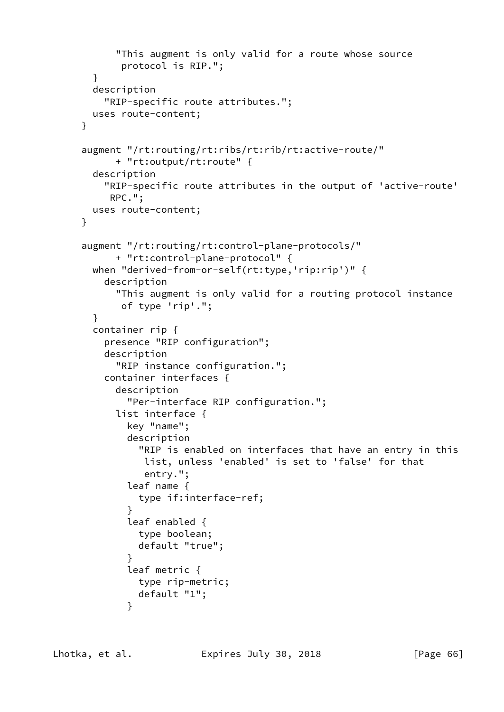```
 "This augment is only valid for a route whose source
             protocol is RIP.";
        }
        description
          "RIP-specific route attributes.";
        uses route-content;
     }
     augment "/rt:routing/rt:ribs/rt:rib/rt:active-route/"
            + "rt:output/rt:route" {
        description
          "RIP-specific route attributes in the output of 'active-route'
           RPC.";
        uses route-content;
     }
      augment "/rt:routing/rt:control-plane-protocols/"
            + "rt:control-plane-protocol" {
       when "derived-from-or-self(rt:type,'rip:rip')" {
          description
            "This augment is only valid for a routing protocol instance
             of type 'rip'.";
        }
        container rip {
          presence "RIP configuration";
          description
            "RIP instance configuration.";
          container interfaces {
            description
              "Per-interface RIP configuration.";
            list interface {
              key "name";
              description
                "RIP is enabled on interfaces that have an entry in this
                 list, unless 'enabled' is set to 'false' for that
                 entry.";
              leaf name {
                type if:interface-ref;
 }
              leaf enabled {
                type boolean;
                default "true";
 }
              leaf metric {
                type rip-metric;
                default "1";
 }
```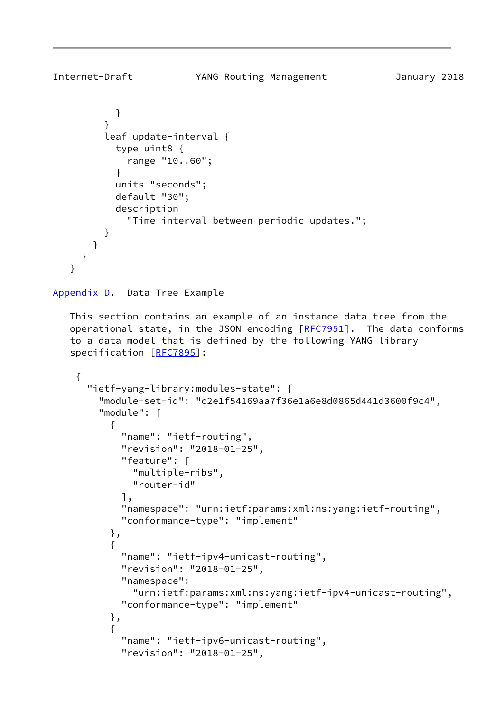```
 }
 }
          leaf update-interval {
            type uint8 {
              range "10..60";
 }
           units "seconds";
            default "30";
            description
              "Time interval between periodic updates.";
          }
       }
     }
    }
Appendix D. Data Tree Example
   This section contains an example of an instance data tree from the
  operational state, in the JSON encoding [REC7951]. The data conforms
    to a data model that is defined by the following YANG library
    specification [RFC7895]:
     {
       "ietf-yang-library:modules-state": {
         "module-set-id": "c2e1f54169aa7f36e1a6e8d0865d441d3600f9c4",
         "module": [
           {
             "name": "ietf-routing",
             "revision": "2018-01-25",
             "feature": [
               "multiple-ribs",
               "router-id"
             ],
             "namespace": "urn:ietf:params:xml:ns:yang:ietf-routing",
             "conformance-type": "implement"
          },
\{ "name": "ietf-ipv4-unicast-routing",
             "revision": "2018-01-25",
             "namespace":
               "urn:ietf:params:xml:ns:yang:ietf-ipv4-unicast-routing",
             "conformance-type": "implement"
           },
\{ "name": "ietf-ipv6-unicast-routing",
             "revision": "2018-01-25",
```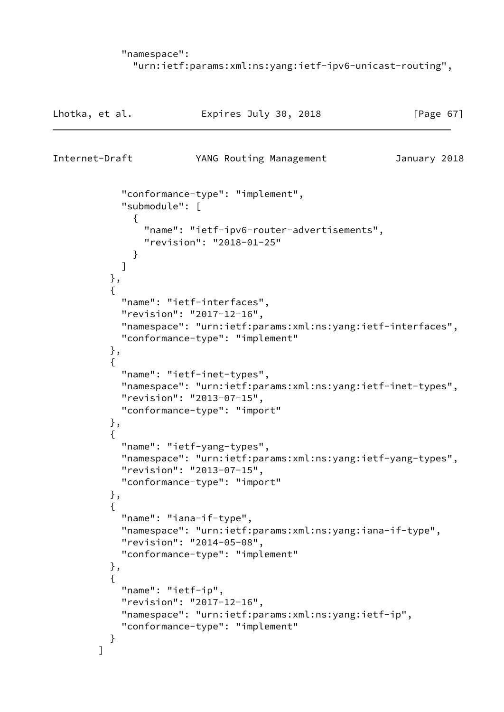```
 "namespace":
   "urn:ietf:params:xml:ns:yang:ietf-ipv6-unicast-routing",
```

```
Lhotka, et al. Expires July 30, 2018 [Page 67]
Internet-Draft YANG Routing Management January 2018
            "conformance-type": "implement",
            "submodule": [
\{ "name": "ietf-ipv6-router-advertisements",
               "revision": "2018-01-25"
 }
 ]
          },
\{ "name": "ietf-interfaces",
            "revision": "2017-12-16",
            "namespace": "urn:ietf:params:xml:ns:yang:ietf-interfaces",
            "conformance-type": "implement"
          },
\{ "name": "ietf-inet-types",
            "namespace": "urn:ietf:params:xml:ns:yang:ietf-inet-types",
            "revision": "2013-07-15",
            "conformance-type": "import"
          },
\{ "name": "ietf-yang-types",
            "namespace": "urn:ietf:params:xml:ns:yang:ietf-yang-types",
            "revision": "2013-07-15",
            "conformance-type": "import"
          },
\{ "name": "iana-if-type",
            "namespace": "urn:ietf:params:xml:ns:yang:iana-if-type",
            "revision": "2014-05-08",
            "conformance-type": "implement"
          },
\{ "name": "ietf-ip",
            "revision": "2017-12-16",
            "namespace": "urn:ietf:params:xml:ns:yang:ietf-ip",
            "conformance-type": "implement"
          }
        ]
```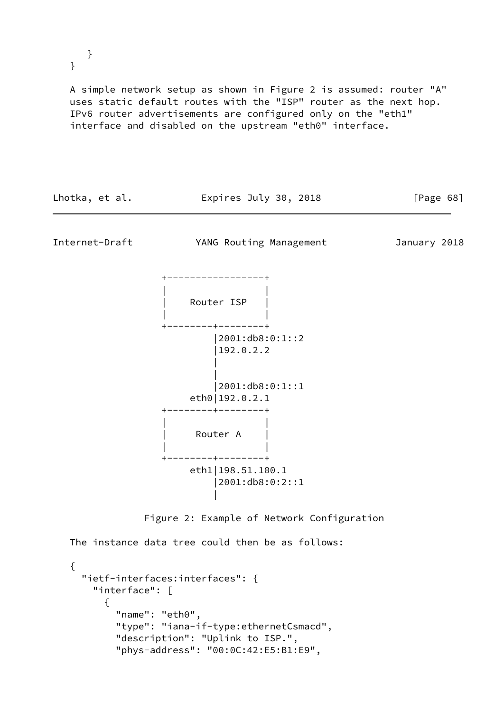} }

 A simple network setup as shown in Figure 2 is assumed: router "A" uses static default routes with the "ISP" router as the next hop. IPv6 router advertisements are configured only on the "eth1" interface and disabled on the upstream "eth0" interface.

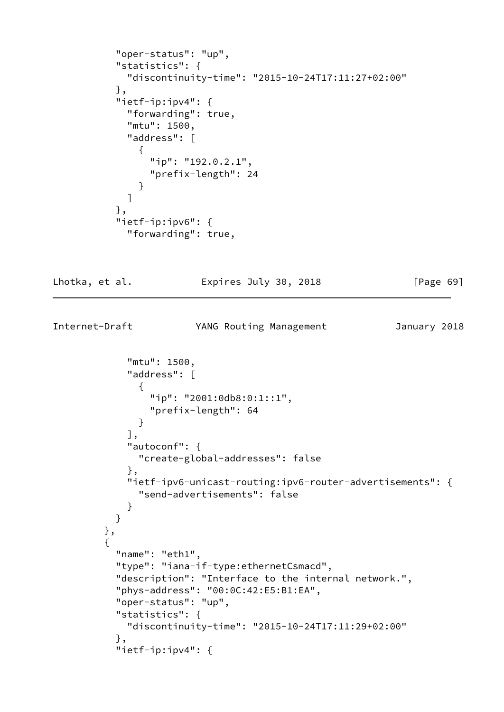```
 "oper-status": "up",
           "statistics": {
             "discontinuity-time": "2015-10-24T17:11:27+02:00"
           },
           "ietf-ip:ipv4": {
             "forwarding": true,
             "mtu": 1500,
             "address": [
\{ "ip": "192.0.2.1",
                "prefix-length": 24
 }
 ]
           },
           "ietf-ip:ipv6": {
             "forwarding": true,
```
Lhotka, et al. **Expires July 30, 2018** [Page 69]

Internet-Draft YANG Routing Management January 2018

```
 "mtu": 1500,
             "address": [
\{ "ip": "2001:0db8:0:1::1",
                 "prefix-length": 64
 }
             ],
             "autoconf": {
               "create-global-addresses": false
             },
             "ietf-ipv6-unicast-routing:ipv6-router-advertisements": {
               "send-advertisements": false
 }
 }
         },
         {
          "name": "eth1",
           "type": "iana-if-type:ethernetCsmacd",
           "description": "Interface to the internal network.",
           "phys-address": "00:0C:42:E5:B1:EA",
           "oper-status": "up",
           "statistics": {
             "discontinuity-time": "2015-10-24T17:11:29+02:00"
           },
           "ietf-ip:ipv4": {
```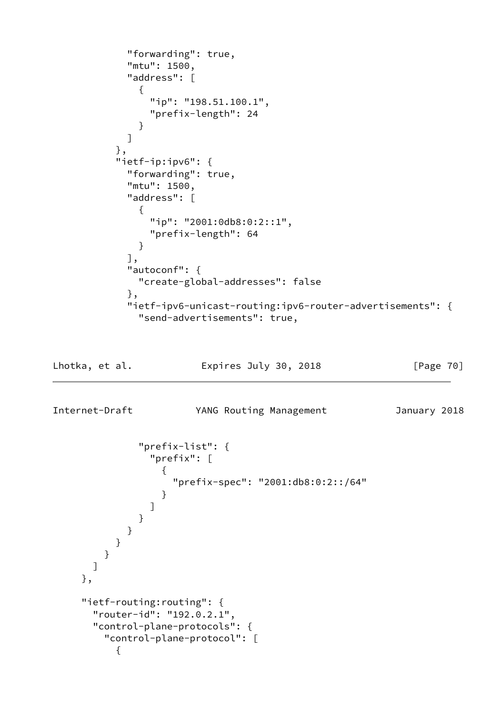```
 "forwarding": true,
            "mtu": 1500,
            "address": [
\{ "ip": "198.51.100.1",
               "prefix-length": 24
 }
 ]
          },
          "ietf-ip:ipv6": {
            "forwarding": true,
            "mtu": 1500,
            "address": [
\{ "ip": "2001:0db8:0:2::1",
               "prefix-length": 64
 }
            ],
            "autoconf": {
             "create-global-addresses": false
            },
            "ietf-ipv6-unicast-routing:ipv6-router-advertisements": {
              "send-advertisements": true,
Lhotka, et al. Expires July 30, 2018 [Page 70]
```
Internet-Draft YANG Routing Management January 2018

```
 "prefix-list": {
              "prefix": [
\{ "prefix-spec": "2001:db8:0:2::/64"
 }
 ]
 }
          }
         }
       }
      ]
    },
    "ietf-routing:routing": {
      "router-id": "192.0.2.1",
      "control-plane-protocols": {
        "control-plane-protocol": [
\{
```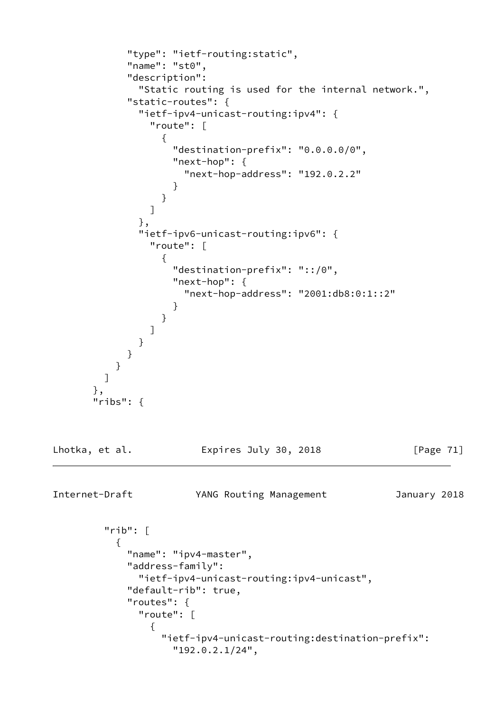```
 "type": "ietf-routing:static",
           "name": "st0",
           "description":
             "Static routing is used for the internal network.",
           "static-routes": {
             "ietf-ipv4-unicast-routing:ipv4": {
               "route": [
\{ "destination-prefix": "0.0.0.0/0",
                  "next-hop": {
                   "next-hop-address": "192.0.2.2"
 }
 }
 ]
             },
             "ietf-ipv6-unicast-routing:ipv6": {
              "route": [
{f} "destination-prefix": "::/0",
                  "next-hop": {
                   "next-hop-address": "2001:db8:0:1::2"
 }
 }
 ]
 }
           }
         }
        ]
      },
      "ribs": {
Lhotka, et al. Expires July 30, 2018 [Page 71]
Internet-Draft YANG Routing Management January 2018
        "rib": [
\{"name": "ipv4-master",
           "address-family":
             "ietf-ipv4-unicast-routing:ipv4-unicast",
           "default-rib": true,
           "routes": {
             "route": [
\{ "ietf-ipv4-unicast-routing:destination-prefix":
                  "192.0.2.1/24",
```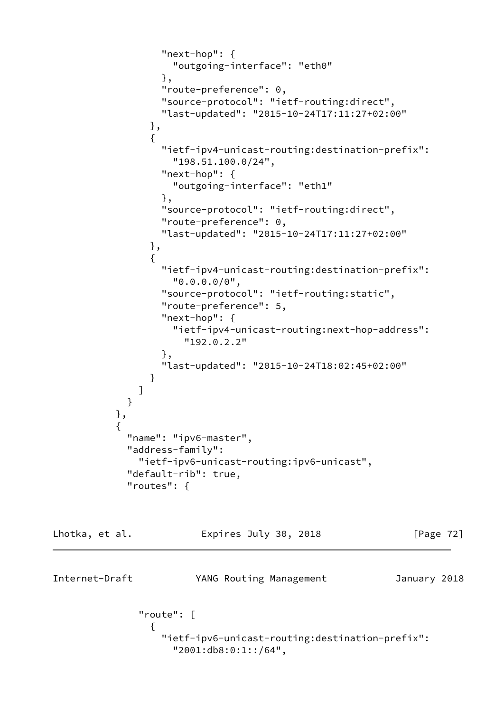```
 "next-hop": {
                    "outgoing-interface": "eth0"
                  },
                  "route-preference": 0,
                  "source-protocol": "ietf-routing:direct",
                  "last-updated": "2015-10-24T17:11:27+02:00"
                },
\{ "ietf-ipv4-unicast-routing:destination-prefix":
                    "198.51.100.0/24",
                  "next-hop": {
                    "outgoing-interface": "eth1"
 },
                  "source-protocol": "ietf-routing:direct",
                  "route-preference": 0,
                  "last-updated": "2015-10-24T17:11:27+02:00"
                },
\{ "ietf-ipv4-unicast-routing:destination-prefix":
                    "0.0.0.0/0",
                  "source-protocol": "ietf-routing:static",
                  "route-preference": 5,
                  "next-hop": {
                    "ietf-ipv4-unicast-routing:next-hop-address":
                     "192.0.2.2"
 },
                  "last-updated": "2015-10-24T18:02:45+02:00"
 }
 ]
 }
           },
\{"name": "ipv6-master",
            "address-family":
              "ietf-ipv6-unicast-routing:ipv6-unicast",
            "default-rib": true,
            "routes": {
```

```
Lhotka, et al. Expires July 30, 2018 [Page 72]
Internet-Draft YANG Routing Management January 2018
            "route": [
\{ "ietf-ipv6-unicast-routing:destination-prefix":
                 "2001:db8:0:1::/64",
```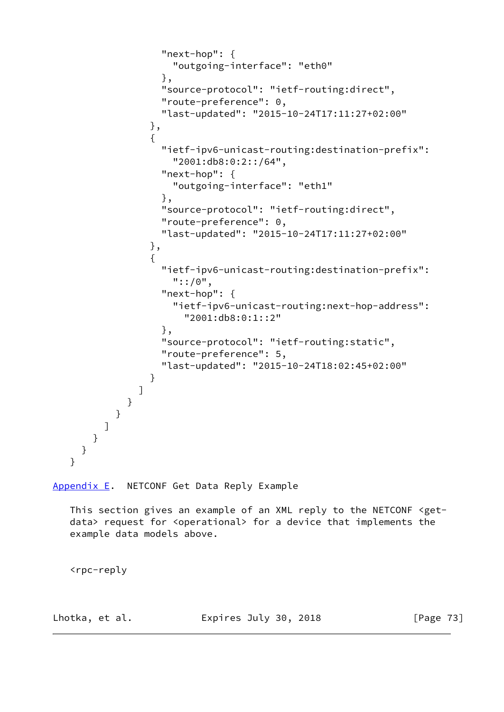```
 "next-hop": {
                    "outgoing-interface": "eth0"
 },
                  "source-protocol": "ietf-routing:direct",
                  "route-preference": 0,
                  "last-updated": "2015-10-24T17:11:27+02:00"
                },
\{ "ietf-ipv6-unicast-routing:destination-prefix":
                    "2001:db8:0:2::/64",
                  "next-hop": {
                    "outgoing-interface": "eth1"
 },
                  "source-protocol": "ietf-routing:direct",
                  "route-preference": 0,
                  "last-updated": "2015-10-24T17:11:27+02:00"
                },
\{ "ietf-ipv6-unicast-routing:destination-prefix":
                    "::/0",
                  "next-hop": {
                    "ietf-ipv6-unicast-routing:next-hop-address":
                      "2001:db8:0:1::2"
                  },
                  "source-protocol": "ietf-routing:static",
                  "route-preference": 5,
                  "last-updated": "2015-10-24T18:02:45+02:00"
 }
 ]
            }
          }
        ]
      }
     }
   }
```

```
Appendix E. NETCONF Get Data Reply Example
```
 This section gives an example of an XML reply to the NETCONF <get data> request for <operational> for a device that implements the example data models above.

<rpc-reply

Lhotka, et al. **Expires July 30, 2018** [Page 73]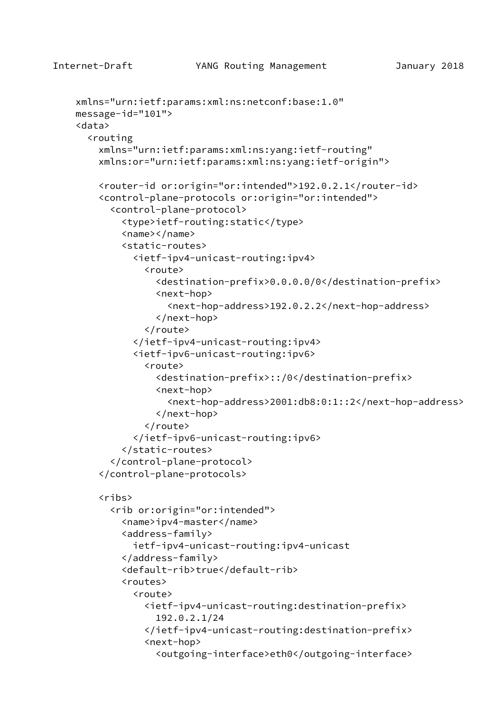```
 xmlns="urn:ietf:params:xml:ns:netconf:base:1.0"
 message-id="101">
 <data>
   <routing
     xmlns="urn:ietf:params:xml:ns:yang:ietf-routing"
     xmlns:or="urn:ietf:params:xml:ns:yang:ietf-origin">
     <router-id or:origin="or:intended">192.0.2.1</router-id>
     <control-plane-protocols or:origin="or:intended">
       <control-plane-protocol>
         <type>ietf-routing:static</type>
         <name></name>
         <static-routes>
           <ietf-ipv4-unicast-routing:ipv4>
             <route>
               <destination-prefix>0.0.0.0/0</destination-prefix>
                <next-hop>
                  <next-hop-address>192.0.2.2</next-hop-address>
                </next-hop>
             </route>
           </ietf-ipv4-unicast-routing:ipv4>
           <ietf-ipv6-unicast-routing:ipv6>
             <route>
               <destination-prefix>::/0</destination-prefix>
               <next-hop>
                  <next-hop-address>2001:db8:0:1::2</next-hop-address>
                </next-hop>
             </route>
           </ietf-ipv6-unicast-routing:ipv6>
         </static-routes>
       </control-plane-protocol>
     </control-plane-protocols>
     <ribs>
       <rib or:origin="or:intended">
         <name>ipv4-master</name>
         <address-family>
           ietf-ipv4-unicast-routing:ipv4-unicast
         </address-family>
         <default-rib>true</default-rib>
         <routes>
           <route>
             <ietf-ipv4-unicast-routing:destination-prefix>
               192.0.2.1/24
             </ietf-ipv4-unicast-routing:destination-prefix>
             <next-hop>
                <outgoing-interface>eth0</outgoing-interface>
```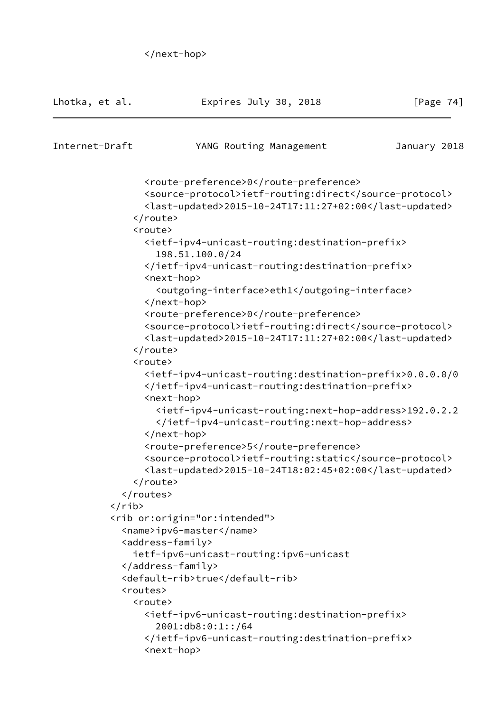```
 </next-hop>
```

| Lhotka, et al.      | Expires July 30, 2018                                                                                                                                      | [Page $74$ ] |
|---------------------|------------------------------------------------------------------------------------------------------------------------------------------------------------|--------------|
| Internet-Draft      | YANG Routing Management                                                                                                                                    | January 2018 |
|                     | <route-preference>0</route-preference>                                                                                                                     |              |
|                     | <source-protocol>ietf-routing:direct</source-protocol>                                                                                                     |              |
|                     |                                                                                                                                                            |              |
|                     | <last-updated>2015-10-24T17:11:27+02:00</last-updated>                                                                                                     |              |
| <br><route></route> |                                                                                                                                                            |              |
|                     |                                                                                                                                                            |              |
|                     | <ietf-ipv4-unicast-routing:destination-prefix><br/>198.51.100.0/24</ietf-ipv4-unicast-routing:destination-prefix>                                          |              |
|                     | <br><next-hop></next-hop>                                                                                                                                  |              |
|                     | <outgoing-interface>eth1</outgoing-interface><br>                                                                                                          |              |
|                     | <route-preference>0</route-preference>                                                                                                                     |              |
|                     | <source-protocol>ietf-routing:direct</source-protocol>                                                                                                     |              |
|                     | <last-updated>2015-10-24T17:11:27+02:00</last-updated>                                                                                                     |              |
|                     |                                                                                                                                                            |              |
| <route></route>     |                                                                                                                                                            |              |
|                     | <ietf-ipv4-unicast-routing:destination-prefix>0.0.0.0/0<br/></ietf-ipv4-unicast-routing:destination-prefix><br><next-hop></next-hop>                       |              |
|                     | <ietf-ipv4-unicast-routing:next-hop-address>192.0.2.2<br/></ietf-ipv4-unicast-routing:next-hop-address>                                                    |              |
|                     |                                                                                                                                                            |              |
|                     | <route-preference>5</route-preference><br><source-protocol>ietf-routing:static</source-protocol><br><last-updated>2015-10-24T18:02:45+02:00</last-updated> |              |
|                     |                                                                                                                                                            |              |
|                     |                                                                                                                                                            |              |
| $\langle$ /rib>     |                                                                                                                                                            |              |
|                     | <rib or:origin="or:intended"></rib>                                                                                                                        |              |
|                     | <name>ipv6-master</name>                                                                                                                                   |              |
|                     | <address-family></address-family>                                                                                                                          |              |
|                     | ietf-ipv6-unicast-routing:ipv6-unicast                                                                                                                     |              |
|                     |                                                                                                                                                            |              |
|                     | <default-rib>true</default-rib>                                                                                                                            |              |
| <routes></routes>   |                                                                                                                                                            |              |
| <route></route>     |                                                                                                                                                            |              |
|                     | <ietf-ipv6-unicast-routing:destination-prefix><br/>2001:db8:0:1::/64</ietf-ipv6-unicast-routing:destination-prefix>                                        |              |
|                     | <br><next-hop></next-hop>                                                                                                                                  |              |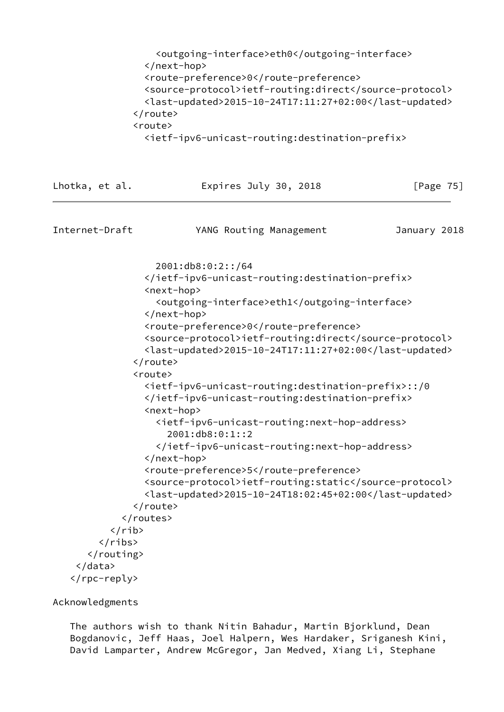| <outgoing-interface>eth0</outgoing-interface>                                                 |                                                        |
|-----------------------------------------------------------------------------------------------|--------------------------------------------------------|
|                                                                                               |                                                        |
| <route-preference>0</route-preference>                                                        |                                                        |
|                                                                                               | <source-protocol>ietf-routing:direct</source-protocol> |
|                                                                                               | <last-updated>2015-10-24T17:11:27+02:00</last-updated> |
| $\langle$ /route>                                                                             |                                                        |
| <route></route>                                                                               |                                                        |
| <ietf-ipv6-unicast-routing:destination-prefix></ietf-ipv6-unicast-routing:destination-prefix> |                                                        |

| Expires July 30, 2018                                                                                                                                                                                                                                                                                                                                                                                                                                                                                                                                                                                                                                                                            | [Page 75]                                                                                  |
|--------------------------------------------------------------------------------------------------------------------------------------------------------------------------------------------------------------------------------------------------------------------------------------------------------------------------------------------------------------------------------------------------------------------------------------------------------------------------------------------------------------------------------------------------------------------------------------------------------------------------------------------------------------------------------------------------|--------------------------------------------------------------------------------------------|
| YANG Routing Management                                                                                                                                                                                                                                                                                                                                                                                                                                                                                                                                                                                                                                                                          | January 2018                                                                               |
| 2001:db8:0:2::/64<br><br><next-hop><br/><outgoing-interface>eth1</outgoing-interface><br/></next-hop><br><route-preference>0</route-preference><br><source-protocol>ietf-routing:direct</source-protocol><br><last-updated>2015-10-24T17:11:27+02:00</last-updated><br><ietf-ipv6-unicast-routing:destination-prefix>::/0<br/></ietf-ipv6-unicast-routing:destination-prefix><br><next-hop><br/><ietf-ipv6-unicast-routing:next-hop-address><br/>2001:db8:0:1::2<br/></ietf-ipv6-unicast-routing:next-hop-address><br/></next-hop><br><route-preference>5</route-preference><br><source-protocol>ietf-routing:static</source-protocol><br><last-updated>2015-10-24T18:02:45+02:00</last-updated> |                                                                                            |
|                                                                                                                                                                                                                                                                                                                                                                                                                                                                                                                                                                                                                                                                                                  |                                                                                            |
|                                                                                                                                                                                                                                                                                                                                                                                                                                                                                                                                                                                                                                                                                                  | <br><route><br/></route><br><br>$\langle$ /rib><br>$\langle$ /ribs><br><br>Acknowledgments |

 The authors wish to thank Nitin Bahadur, Martin Bjorklund, Dean Bogdanovic, Jeff Haas, Joel Halpern, Wes Hardaker, Sriganesh Kini, David Lamparter, Andrew McGregor, Jan Medved, Xiang Li, Stephane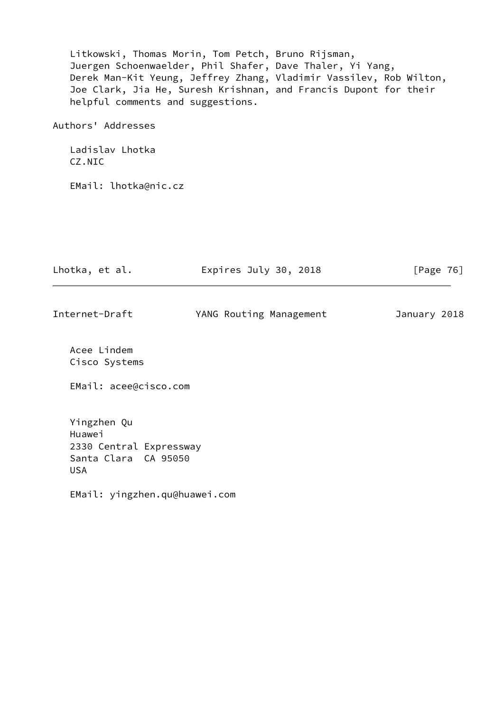| Litkowski, Thomas Morin, Tom Petch, Bruno Rijsman,<br>Juergen Schoenwaelder, Phil Shafer, Dave Thaler, Yi Yang,<br>Derek Man-Kit Yeung, Jeffrey Zhang, Vladimir Vassilev, Rob Wilton,<br>Joe Clark, Jia He, Suresh Krishnan, and Francis Dupont for their<br>helpful comments and suggestions. |                         |              |
|------------------------------------------------------------------------------------------------------------------------------------------------------------------------------------------------------------------------------------------------------------------------------------------------|-------------------------|--------------|
| Authors' Addresses                                                                                                                                                                                                                                                                             |                         |              |
| Ladislav Lhotka<br>CZ.NIC                                                                                                                                                                                                                                                                      |                         |              |
| EMail: lhotka@nic.cz                                                                                                                                                                                                                                                                           |                         |              |
|                                                                                                                                                                                                                                                                                                |                         |              |
| Lhotka, et al.                                                                                                                                                                                                                                                                                 | Expires July 30, 2018   | [Page $76$ ] |
| Internet-Draft                                                                                                                                                                                                                                                                                 | YANG Routing Management | January 2018 |
| Acee Lindem<br>Cisco Systems                                                                                                                                                                                                                                                                   |                         |              |
| EMail: acee@cisco.com                                                                                                                                                                                                                                                                          |                         |              |
| Yingzhen Qu<br>Huawei<br>2330 Central Expressway<br>Santa Clara CA 95050                                                                                                                                                                                                                       |                         |              |

EMail: yingzhen.qu@huawei.com